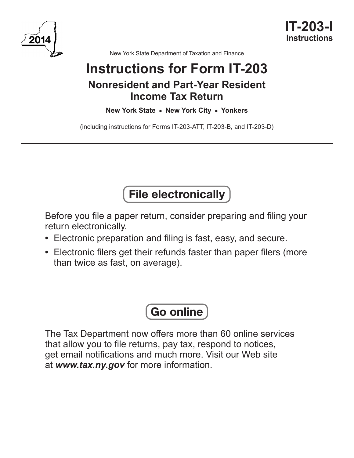



New York State Department of Taxation and Finance

# **Instructions for Form IT-203 Nonresident and Part-Year Resident Income Tax Return**

## **New York State • New York City • Yonkers**

(including instructions for Forms IT-203-ATT, IT-203-B, and IT-203-D)

# File electronically

Before you file a paper return, consider preparing and filing your return electronically.

- **•** Electronic preparation and filing is fast, easy, and secure.
- **•** Electronic filers get their refunds faster than paper filers (more than twice as fast, on average).

# Go online

The Tax Department now offers more than 60 online services that allow you to file returns, pay tax, respond to notices, get email notifications and much more. Visit our Web site at *www.tax.ny.gov* for more information.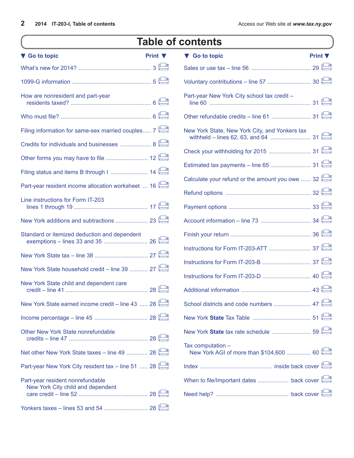# **Table of contents**

| ▼ Go to topic                                      | Print $\nabla$ | ▼ Go to topic                                                | <b>Print</b> |
|----------------------------------------------------|----------------|--------------------------------------------------------------|--------------|
|                                                    |                |                                                              |              |
|                                                    |                |                                                              |              |
| How are nonresident and part-year                  |                | Part-year New York City school tax credit -                  |              |
|                                                    |                |                                                              |              |
| Filing information for same-sex married couples 7  |                | New York State, New York City, and Yonkers tax               |              |
| Credits for individuals and businesses  8          |                |                                                              |              |
|                                                    |                |                                                              |              |
|                                                    |                | Calculate your refund or the amount you owe  32              |              |
| Part-year resident income allocation worksheet  16 |                |                                                              |              |
| Line instructions for Form IT-203                  |                |                                                              |              |
|                                                    |                |                                                              |              |
| Standard or itemized deduction and dependent       |                |                                                              |              |
|                                                    |                |                                                              |              |
|                                                    |                |                                                              |              |
| New York State household credit - line 39  27      |                |                                                              |              |
| New York State child and dependent care            |                |                                                              |              |
| New York State earned income credit – line 43  28  |                | School districts and code numbers  47                        |              |
|                                                    |                |                                                              |              |
| Other New York State nonrefundable                 |                |                                                              |              |
| Net other New York State taxes – line 49  28       |                | Tax computation -<br>New York AGI of more than \$104,600  60 |              |
| Part-year New York City resident tax - line 51  28 |                |                                                              |              |
| Part-year resident nonrefundable                   |                |                                                              |              |
| New York City child and dependent                  |                |                                                              |              |
|                                                    |                |                                                              |              |

| ▼ Go to topic                                                | Print $\Psi$ |
|--------------------------------------------------------------|--------------|
|                                                              |              |
|                                                              |              |
| Part-year New York City school tax credit -                  |              |
|                                                              |              |
| New York State, New York City, and Yonkers tax               |              |
|                                                              |              |
|                                                              |              |
| Calculate your refund or the amount you owe  32              |              |
|                                                              |              |
|                                                              |              |
|                                                              |              |
|                                                              |              |
|                                                              |              |
|                                                              |              |
|                                                              |              |
|                                                              |              |
|                                                              |              |
|                                                              |              |
|                                                              |              |
| Tax computation -<br>New York AGI of more than \$104,600  60 |              |
|                                                              |              |
|                                                              |              |
|                                                              |              |
|                                                              |              |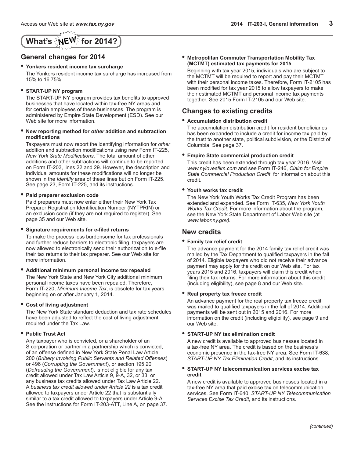# <span id="page-2-0"></span>**What's**  $\sqrt{\frac{2}{5}}$  **<b>for 2014?**

### **General changes for 2014**

### **• Yonkers resident income tax surcharge**

The Yonkers resident income tax surcharge has increased from 15% to 16.75%.

### **• START-UP NY program**

The START-UP NY program provides tax benefits to approved businesses that have located within tax-free NY areas and for certain employees of these businesses. The program is administered by Empire State Development (ESD). See our Web site for more information.

### **• New reporting method for** *other* **addition and subtraction modifications**

Taxpayers must now report the identifying information for *other* addition and subtraction modifications using new Form IT-225, *New York State Modifications*. The total amount of other additions and other subtractions will continue to be reported on Form IT-203, lines 22 and 29. However, the description and individual amounts for these modifications will no longer be shown in the *Identify* area of these lines but on Form IT-225. See page 23, Form IT-225, and its instructions.

### **• Paid preparer exclusion code**

Paid preparers must now enter either their New York Tax Preparer Registration Identification Number (NYTPRIN) or an exclusion code (if they are not required to register). See page 35 and our Web site.

### **• Signature requirements for e-filed returns**

To make the process less burdensome for tax professionals and further reduce barriers to electronic filing, taxpayers are now allowed to electronically send their authorization to e-file their tax returns to their tax preparer. See our Web site for more information.

**• Additional minimum personal income tax repealed**

The New York State and New York City additional minimum personal income taxes have been repealed. Therefore, Form IT-220, *Minimum Income Tax*, is obsolete for tax years beginning on or after January 1, 2014.

### **• Cost of living adjustment**

The New York State standard deduction and tax rate schedules have been adjusted to reflect the cost of living adjustment required under the Tax Law.

### **• Public Trust Act**

Any taxpayer who is convicted, or a shareholder of an S corporation or partner in a partnership which is convicted, of an offense defined in New York State Penal Law Article 200 (*Bribery Involving Public Servants and Related Offenses*) or 496 (*Corrupting the Government*), or section 195.20 (*Defrauding the Government*), is not eligible for any tax credit allowed under Tax Law Article 9, 9-A, 32, or 33, or any business tax credits allowed under Tax Law Article 22. A *business tax credit allowed under Article 22* is a tax credit allowed to taxpayers under Article 22 that is substantially similar to a tax credit allowed to taxpayers under Article 9-A. See the instructions for Form IT-203-ATT, Line A, on page 37. **• Metropolitan Commuter Transportation Mobility Tax (MCTMT) estimated tax payments for 2015**

Beginning with tax year 2015, individuals who are subject to the MCTMT will be required to report and pay their MCTMT with their personal income taxes. Therefore, Form IT-2105 has been modified for tax year 2015 to allow taxpayers to make their estimated MCTMT and personal income tax payments together. See 2015 Form IT-2105 and our Web site.

### **Changes to existing credits**

### **• Accumulation distribution credit**

The accumulation distribution credit for resident beneficiaries has been expanded to include a credit for income tax paid by the trust to another state, political subdivision, or the District of Columbia. See page 37.

### **• Empire State commercial production credit**

This credit has been extended through tax year 2016. Visit *www.nylovesfilm.com* and see Form IT-246, *Claim for Empire State Commercial Production Credit*, for information about this credit.

### **• Youth works tax credit**

The New York Youth Works Tax Credit Program has been extended and expanded. See Form IT-635, *New York Youth Works Tax Credit*. For more information about the program, see the New York State Department of Labor Web site (at *www.labor.ny.gov).*

### **New credits**

### **• Family tax relief credit**

The advance payment for the 2014 family tax relief credit was mailed by the Tax Department to qualified taxpayers in the fall of 2014. Eligible taxpayers who did not receive their advance payment may apply for the credit on our Web site. For tax years 2015 and 2016, taxpayers will claim this credit when filing their tax returns. For more information about this credit (including eligibility), see page 8 and our Web site.

### **• Real property tax freeze credit**

An advance payment for the real property tax freeze credit was mailed to qualified taxpayers in the fall of 2014. Additional payments will be sent out in 2015 and 2016. For more information on the credit (including eligibility), see page 9 and our Web site.

### **• START-UP NY tax elimination credit**

A new credit is available to approved businesses located in a tax-free NY area. The credit is based on the business's economic presence in the tax-free NY area. See Form IT-638, *START-UP NY Tax Elimination Credit*, and its instructions.

### **• START-UP NY telecommunication services excise tax credit**

A new credit is available to approved businesses located in a tax-free NY area that paid excise tax on telecommunication services. See Form IT-640, *START-UP NY Telecommunication Services Excise Tax Credit*, and its instructions.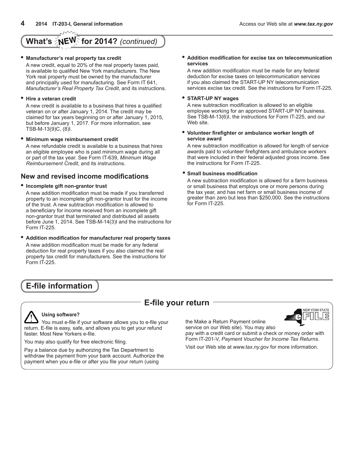# **What's ∑NE<sup>W</sup> for 2014?** (continued)

### **• Manufacturer's real property tax credit**

A new credit, equal to 20% of the real property taxes paid, is available to qualified New York manufacturers. The New York real property must be owned by the manufacturer and principally used for manufacturing. See Form IT 641, *Manufacturer's Real Property Tax Credit*, and its instructions.

### **• Hire a veteran credit**

A new credit is available to a business that hires a qualified veteran on or after January 1, 2014. The credit may be claimed for tax years beginning on or after January 1, 2015, but before January 1, 2017. For more information, see TSB-M-13(9)C, (8)I.

### **• Minimum wage reimbursement credit**

A new refundable credit is available to a business that hires an eligible employee who is paid minimum wage during all or part of the tax year. See Form IT-639, *Minimum Wage Reimbursement Credit*, and its instructions.

### **New and revised income modifications**

### **• Incomplete gift non-grantor trust**

A new addition modification must be made if you transferred property to an incomplete gift non-grantor trust for the income of the trust. A new subtraction modification is allowed to a beneficiary for income received from an incomplete gift non-grantor trust that terminated and distributed all assets before June 1, 2014. See TSB-M-14(3)I and the instructions for Form IT-225.

**• Addition modification for manufacturer real property taxes** A new addition modification must be made for any federal deduction for real property taxes if you also claimed the real property tax credit for manufacturers. See the instructions for Form IT-225.

## **E-file information**

## **E-file your return**



**Using software?**

You must e-file if your software allows you to e-file your return. E-file is easy, safe, and allows you to get your refund faster. Most New Yorkers e-file.

You may also qualify for free electronic filing.

Pay a balance due by authorizing the Tax Department to withdraw the payment from your bank account. Authorize the payment when you e-file or after you file your return (using

the Make a Return Payment online service on our Web site). You may also

pay with a credit card or submit a check or money order with Form IT-201-V, *Payment Voucher for Income Tax Returns*.

Visit our Web site at *www.tax.ny.gov* for more information.

### **• Addition modification for excise tax on telecommunication services**

A new addition modification must be made for any federal deduction for excise taxes on telecommunication services if you also claimed the START-UP NY telecommunication services excise tax credit. See the instructions for Form IT-225.

### **• START-UP NY wages**

A new subtraction modification is allowed to an eligible employee working for an approved START-UP NY business. See TSB-M-13(6)I, the instructions for Form IT-225, and our Web site.

#### **• Volunteer firefighter or ambulance worker length of service award**

A new subtraction modification is allowed for length of service awards paid to volunteer firefighters and ambulance workers that were included in their federal adjusted gross income. See the instructions for Form IT-225.

### **• Small business modification**

A new subtraction modification is allowed for a farm business or small business that employs one or more persons during the tax year, and has net farm or small business income of greater than zero but less than \$250,000. See the instructions for Form IT-225.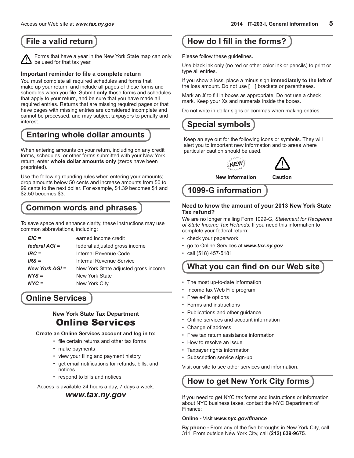Forms that have a year in the New York State map can only be used for that tax year.

### **Important reminder to file a complete return**

You must complete all required schedules and forms that make up your return, and include all pages of those forms and schedules when you file. Submit **only** those forms and schedules that apply to your return, and be sure that you have made all required entries. Returns that are missing required pages or that have pages with missing entries are considered incomplete and cannot be processed, and may subject taxpayers to penalty and interest.

## **Entering whole dollar amounts**

When entering amounts on your return, including on any credit forms, schedules, or other forms submitted with your New York return, enter **whole dollar amounts only** (zeros have been preprinted).

Use the following rounding rules when entering your amounts; drop amounts below 50 cents and increase amounts from 50 to 99 cents to the next dollar. For example, \$1.39 becomes \$1 and \$2.50 becomes \$3.

## **Common words and phrases**

To save space and enhance clarity, these instructions may use common abbreviations, including:

| $EIC =$          | earned income credit                 |
|------------------|--------------------------------------|
| federal $AGI =$  | federal adjusted gross income        |
| $IRC =$          | Internal Revenue Code                |
| $IRS =$          | Internal Revenue Service             |
| New York $AGI =$ | New York State adjusted gross income |
| $NYS =$          | New York State                       |
| $NYC =$          | New York City                        |

## **Online Services**

### **New York State Tax Department** Online Services

**Create an Online Services account and log in to:**

- file certain returns and other tax forms
- make payments
- view your filing and payment history
- get email notifications for refunds, bills, and notices
- respond to bills and notices

Access is available 24 hours a day, 7 days a week.

### *www.tax.ny.gov*

## <span id="page-4-0"></span>**File a valid return Howard Electron Control Howard Fillin the forms?**

Please follow these guidelines.

Use black ink only (no red or other color ink or pencils) to print or type all entries.

If you show a loss, place a minus sign **immediately to the left** of the loss amount. Do not use [ ] brackets or parentheses.

Mark an *X* to fill in boxes as appropriate. Do not use a check mark. Keep your Xs and numerals inside the boxes.

Do not write in dollar signs or commas when making entries.

## **Special symbols**

Keep an eye out for the following icons or symbols. They will alert you to important new information and to areas where particular caution should be used.

**ALEWS** 



**New information Caution**

# **1099-G information**

### **Need to know the amount of your 2013 New York State Tax refund?**

We are no longer mailing Form 1099-G, *Statement for Recipients of State Income Tax Refunds*. If you need this information to complete your federal return:

- check your paperwork
- go to Online Services at *www.tax.ny.gov*
- call (518) 457-5181

## **What you can find on our Web site**

- The most up-to-date information
- Income tax Web File program
- Free e-file options
- Forms and instructions
- Publications and other guidance
- Online services and account information
- Change of address
- Free tax return assistance information
- How to resolve an issue
- Taxpayer rights information
- Subscription service sign-up

Visit our site to see other services and information.

# **How to get New York City forms**

If you need to get NYC tax forms and instructions or information about NYC business taxes, contact the NYC Department of Finance:

### **Online -** Visit *www.nyc.gov/finance*

**By phone -** From any of the five boroughs in New York City, call 311. From outside New York City, call **(212) 639-9675**.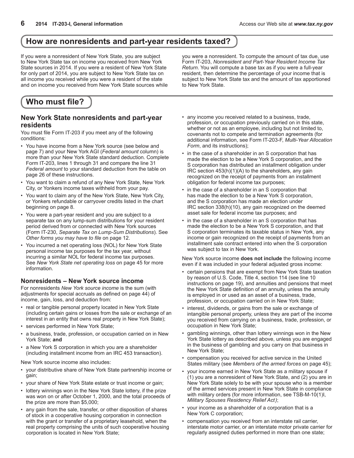## <span id="page-5-0"></span>**How are nonresidents and part-year residents taxed?**

If you were a nonresident of New York State, you are subject to New York State tax on income you received from New York State sources in 2014. If you were a resident of New York State for only part of 2014, you are subject to New York State tax on all income you received while you were a resident of the state and on income you received from New York State sources while you were a nonresident. To compute the amount of tax due, use Form IT-203, *Nonresident and Part-Year Resident Income Tax Return*. You will compute a base tax as if you were a full-year resident, then determine the percentage of your income that is subject to New York State tax and the amount of tax apportioned to New York State.

## **Who must file?**

### **New York State nonresidents and part-year residents**

You must file Form IT‑203 if you meet any of the following conditions:

- You have income from a New York source (see below and page 7) and your New York AGI (*Federal amount* column) is more than your New York State standard deduction. Complete Form IT-203, lines 1 through 31 and compare the line 31 *Federal amount* to your standard deduction from the table on page 26 of these instructions.
- You want to claim a refund of any New York State, New York City, or Yonkers income taxes withheld from your pay.
- You want to claim any of the New York State, New York City, or Yonkers refundable or carryover credits listed in the chart beginning on page 8.
- You were a part-year resident and you are subject to a separate tax on any lump-sum distributions for your resident period derived from or connected with New York sources (Form IT-230, *Separate Tax on Lump‑Sum Distributions*). See *Other forms you may have to file* on page 12.
- You incurred a net operating loss (NOL) for New York State personal income tax purposes for the tax year, without incurring a similar NOL for federal income tax purposes. See *New York State net operating loss* on page 45 for more information.

### **Nonresidents – New York source income**

For nonresidents *New York source income* is the sum (with adjustments for special accruals as defined on page 44) of income, gain, loss, and deduction from:

- real or tangible personal property located in New York State (including certain gains or losses from the sale or exchange of an interest in an entity that owns real property in New York State);
- services performed in New York State;
- a business, trade, profession, or occupation carried on in New York State; **and**
- a New York S corporation in which you are a shareholder (including installment income from an IRC 453 transaction).

New York source income also includes:

- your distributive share of New York State partnership income or gain;
- your share of New York State estate or trust income or gain;
- lottery winnings won in the New York State lottery, if the prize was won on or after October 1, 2000, and the total proceeds of the prize are more than \$5,000;
- any gain from the sale, transfer, or other disposition of shares of stock in a cooperative housing corporation in connection with the grant or transfer of a proprietary leasehold, when the real property comprising the units of such cooperative housing corporation is located in New York State;
- any income you received related to a business, trade, profession, or occupation previously carried on in this state, whether or not as an employee, including but not limited to, covenants not to compete and termination agreements (for additional information, see Form IT-203-F, *Multi-Year Allocation Form*, and its instructions);
- in the case of a shareholder in an S corporation that has made the election to be a New York S corporation, and the S corporation has distributed an installment obligation under IRC section 453(h)(1)(A) to the shareholders, any gain recognized on the receipt of payments from an installment obligation for federal income tax purposes;
- in the case of a shareholder in an S corporation that has made the election to be a New York S corporation, and the S corporation has made an election under IRC section 338(h)(10), any gain recognized on the deemed asset sale for federal income tax purposes; and
- in the case of a shareholder in an S corporation that has made the election to be a New York S corporation, and that S corporation terminates its taxable status in New York, any income or gain recognized on the receipt of payments from an installment sale contract entered into when the S corporation was subject to tax in New York.

New York source income **does not include** the following income even if it was included in your federal adjusted gross income:

- certain pensions that are exempt from New York State taxation by reason of U.S. Code, Title 4, section 114 (see line 10 instructions on page 19), and annuities and pensions that meet the New York State definition of an annuity, unless the annuity is employed in or used as an asset of a business, trade, profession, or occupation carried on in New York State;
- interest, dividends, or gains from the sale or exchange of intangible personal property, unless they are part of the income you received from carrying on a business, trade, profession, or occupation in New York State;
- gambling winnings, other than lottery winnings won in the New York State lottery as described above, unless you are engaged in the business of gambling and you carry on that business in New York State;
- compensation you received for active service in the United States military (see *Members of the armed forces* on page 45);
- your income earned in New York State as a military spouse if (1) you are a nonresident of New York State, and (2) you are in New York State solely to be with your spouse who is a member of the armed services present in New York State in compliance with military orders (for more information, see TSB-M-10(1)I, *Military Spouses Residency Relief Act)*;
- your income as a shareholder of a corporation that is a New York C corporation;
- compensation you received from an interstate rail carrier, interstate motor carrier, or an interstate motor private carrier for regularly assigned duties performed in more than one state;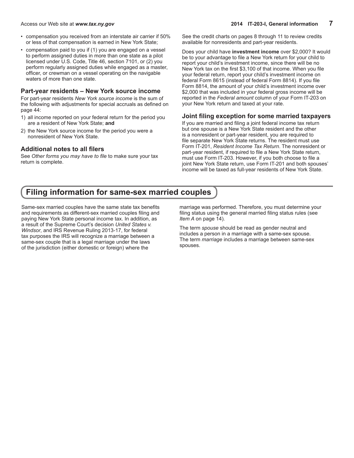- <span id="page-6-0"></span>• compensation you received from an interstate air carrier if 50% or less of that compensation is earned in New York State;
- compensation paid to you if (1) you are engaged on a vessel to perform assigned duties in more than one state as a pilot licensed under U.S. Code, Title 46, section 7101, or (2) you perform regularly assigned duties while engaged as a master, officer, or crewman on a vessel operating on the navigable waters of more than one state.

### **Part-year residents – New York source income**

For part-year residents *New York source income* is the sum of the following with adjustments for special accruals as defined on page 44:

- 1) all income reported on your federal return for the period you are a resident of New York State; **and**
- 2) the New York source income for the period you were a nonresident of New York State.

### **Additional notes to all filers**

See *Other forms you may have to file* to make sure your tax return is complete.

See the credit charts on pages 8 through 11 to review credits available for nonresidents and part-year residents.

Does your child have **investment income** over \$2,000? It would be to your advantage to file a New York return for your child to report your child's investment income, since there will be no New York tax on the first \$3,100 of that income. When you file your federal return, report your child's investment income on federal Form 8615 (instead of federal Form 8814). If you file Form 8814, the amount of your child's investment income over \$2,000 that was included in your federal gross income will be reported in the *Federal amount* column of your Form IT-203 on your New York return and taxed at your rate.

### **Joint filing exception for some married taxpayers**

If you are married and filing a joint federal income tax return but one spouse is a New York State resident and the other is a nonresident or part-year resident, you are required to file separate New York State returns. The resident must use Form IT-201, *Resident Income Tax Return*. The nonresident or part-year resident, if required to file a New York State return, must use Form IT-203. However, if you both choose to file a joint New York State return, use Form IT-201 and both spouses' income will be taxed as full-year residents of New York State.

## **Filing information for same-sex married couples**

Same-sex married couples have the same state tax benefits and requirements as different-sex married couples filing and paying New York State personal income tax. In addition, as a result of the Supreme Court's decision *United States v. Windsor*, and IRS Revenue Ruling 2013-17, for federal tax purposes the IRS will recognize a marriage between a same-sex couple that is a legal marriage under the laws of the jurisdiction (either domestic or foreign) where the

marriage was performed. Therefore, you must determine your filing status using the general married filing status rules (see *Item A* on page 14)*.*

The term *spouse* should be read as gender neutral and includes a person in a marriage with a same-sex spouse. The term *marriage* includes a marriage between same-sex spouses.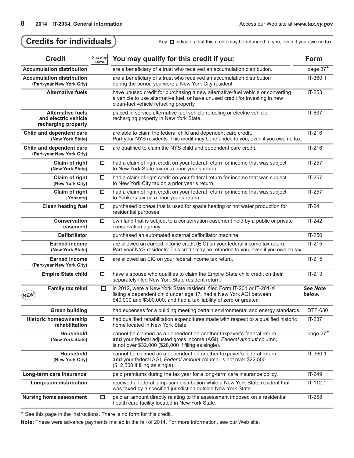| <b>Credit</b>                                                           | See Key<br>above. | You may qualify for this credit if you:                                                                                                                                                                             |                           |  |  |  |  |  |
|-------------------------------------------------------------------------|-------------------|---------------------------------------------------------------------------------------------------------------------------------------------------------------------------------------------------------------------|---------------------------|--|--|--|--|--|
| <b>Accumulation distribution</b>                                        |                   | are a beneficiary of a trust who received an accumulation distribution.                                                                                                                                             | page 37*                  |  |  |  |  |  |
| <b>Accumulation distribution</b><br>(Part-year New York City)           |                   | are a beneficiary of a trust who received an accumulation distribution<br>during the period you were a New York City resident.                                                                                      | IT-360.1                  |  |  |  |  |  |
| <b>Alternative fuels</b>                                                |                   | have unused credit for purchasing a new alternative-fuel vehicle or converting<br>a vehicle to use alternative fuel, or have unused credit for investing in new<br>clean-fuel vehicle refueling property.           | IT-253                    |  |  |  |  |  |
| <b>Alternative fuels</b><br>and electric vehicle<br>recharging property |                   | placed in service alternative fuel vehicle refueling or electric vehicle<br>recharging property in New York State.                                                                                                  | IT-637                    |  |  |  |  |  |
| Child and dependent care<br>(New York State)                            |                   | are able to claim the federal child and dependent care credit.<br>Part-year NYS residents: This credit may be refunded to you, even if you owe no tax.                                                              | IT-216                    |  |  |  |  |  |
| Child and dependent care<br>(Part-year New York City)                   | $\Box$            | are qualified to claim the NYS child and dependent care credit.                                                                                                                                                     | IT-216                    |  |  |  |  |  |
| Claim of right<br>(New York State)                                      | O                 | had a claim of right credit on your federal return for income that was subject<br>to New York State tax on a prior year's return.                                                                                   | $IT-257$                  |  |  |  |  |  |
| Claim of right<br>(New York City)                                       | $\Box$            | had a claim of right credit on your federal return for income that was subject<br>to New York City tax on a prior year's return.                                                                                    | $IT-257$                  |  |  |  |  |  |
| Claim of right<br>(Yonkers)                                             | $\Box$            | had a claim of right credit on your federal return for income that was subject<br>to Yonkers tax on a prior year's return.                                                                                          | $IT-257$                  |  |  |  |  |  |
| <b>Clean heating fuel</b><br>$\Box$                                     |                   | purchased bioheat that is used for space heating or hot water production for<br>residential purposes.                                                                                                               | $IT-241$                  |  |  |  |  |  |
| <b>Conservation</b><br>easement                                         | $\Box$            | own land that is subject to a conservation easement held by a public or private<br>conservation agency.                                                                                                             | $IT-242$                  |  |  |  |  |  |
| <b>Defibrillator</b>                                                    |                   | purchased an automated external defibrillator machine.                                                                                                                                                              | IT-250                    |  |  |  |  |  |
| <b>Earned income</b><br>(New York State)                                |                   | are allowed an earned income credit (EIC) on your federal income tax return.<br>Part-year NYS residents: This credit may be refunded to you, even if you owe no tax.                                                | $IT-215$                  |  |  |  |  |  |
| <b>Earned income</b><br>(Part-year New York City)                       | $\Box$            | are allowed an EIC on your federal income tax return.                                                                                                                                                               | $IT-215$                  |  |  |  |  |  |
| <b>Empire State child</b>                                               | O                 | have a spouse who qualifies to claim the Empire State child credit on their<br>separately filed New York State resident return.                                                                                     | $IT-213$                  |  |  |  |  |  |
| <b>Family tax relief</b>                                                | □                 | in 2012, were a New York State resident, filed Form IT-201 or IT-201-X<br>listing a dependent child under age 17, had a New York AGI between<br>\$40,000 and \$300,000, and had a tax liability of zero or greater. | <b>See Note</b><br>below. |  |  |  |  |  |
| <b>Green building</b>                                                   |                   | had expenses for a building meeting certain environmental and energy standards.                                                                                                                                     | DTF-630                   |  |  |  |  |  |
| <b>Historic homeownership</b><br>rehabilitation                         | □                 | had qualified rehabilitation expenditures made with respect to a qualified historic<br>home located in New York State.                                                                                              | IT-237                    |  |  |  |  |  |
| Household<br>(New York State)                                           |                   | cannot be claimed as a dependent on another taxpayer's federal return<br>and your federal adjusted gross income (AGI), Federal amount column,<br>is not over \$32,000 (\$28,000 if filing as single).               | page 27 <sup>*</sup>      |  |  |  |  |  |
| Household<br>(New York City)                                            |                   | cannot be claimed as a dependent on another taxpayer's federal return<br>and your federal AGI, Federal amount column, is not over \$22,500<br>$($12,500$ if filing as single).                                      | $IT-360.1$                |  |  |  |  |  |
| Long-term care insurance                                                |                   | paid premiums during the tax year for a long-term care insurance policy.                                                                                                                                            | IT-249                    |  |  |  |  |  |
| Lump-sum distribution                                                   |                   | received a federal lump-sum distribution while a New York State resident that<br>was taxed by a specified jurisdiction outside New York State.                                                                      | $IT-112.1$                |  |  |  |  |  |
| <b>Nursing home assessment</b>                                          | О                 | paid an amount directly relating to the assessment imposed on a residential<br>health care facility located in New York State.                                                                                      | IT-258                    |  |  |  |  |  |

<span id="page-7-0"></span>Credits for individuals **Manufary:** Key: **D** indicates that this credit may be refunded to you, even if you owe no tax.

\* See this page in the instructions. There is no form for this credit.

**Note:** These were advance payments mailed in the fall of 2014. For more information, see our Web site.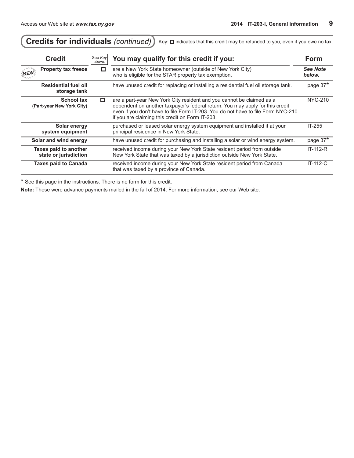Í

| <b>Credits for individuals (continued)</b><br>Key: $\square$ indicates that this credit may be refunded to you, even if you owe no tax. |                   |                                                                                                                                                                                                                                                                                               |                    |  |  |  |  |
|-----------------------------------------------------------------------------------------------------------------------------------------|-------------------|-----------------------------------------------------------------------------------------------------------------------------------------------------------------------------------------------------------------------------------------------------------------------------------------------|--------------------|--|--|--|--|
| <b>Credit</b>                                                                                                                           | See Key<br>above. | You may qualify for this credit if you:                                                                                                                                                                                                                                                       | <b>Form</b>        |  |  |  |  |
| <b>Property tax freeze</b><br><b>NEW</b>                                                                                                | О                 | are a New York State homeowner (outside of New York City)<br>who is eligible for the STAR property tax exemption.                                                                                                                                                                             | See Note<br>below. |  |  |  |  |
| <b>Residential fuel oil</b><br>storage tank                                                                                             |                   | have unused credit for replacing or installing a residential fuel oil storage tank.                                                                                                                                                                                                           | page 37*           |  |  |  |  |
| <b>School tax</b><br>(Part-year New York City)                                                                                          | о                 | are a part-year New York City resident and you cannot be claimed as a<br>dependent on another taxpayer's federal return. You may apply for this credit<br>even if you don't have to file Form IT-203. You do not have to file Form NYC-210<br>if you are claiming this credit on Form IT-203. | NYC-210            |  |  |  |  |
| Solar energy<br>system equipment                                                                                                        |                   | purchased or leased solar energy system equipment and installed it at your<br>principal residence in New York State.                                                                                                                                                                          | IT-255             |  |  |  |  |
| Solar and wind energy                                                                                                                   |                   | have unused credit for purchasing and installing a solar or wind energy system.                                                                                                                                                                                                               | page 37*           |  |  |  |  |
| Taxes paid to another<br>state or jurisdiction                                                                                          |                   | received income during your New York State resident period from outside<br>New York State that was taxed by a jurisdiction outside New York State.                                                                                                                                            | IT-112-R           |  |  |  |  |
| <b>Taxes paid to Canada</b>                                                                                                             |                   | received income during your New York State resident period from Canada<br>that was taxed by a province of Canada.                                                                                                                                                                             | $IT-112-C$         |  |  |  |  |

↸

\* See this page in the instructions. There is no form for this credit.

**Note:** These were advance payments mailed in the fall of 2014. For more information, see our Web site.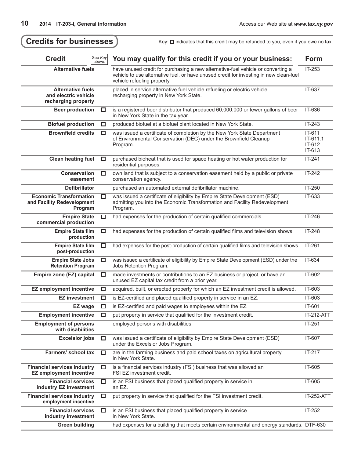| <b>Credits for businesses</b>                                           |                   | Key: $\Box$ indicates that this credit may be refunded to you, even if you owe no tax.                                                                                                                    |                                        |  |  |
|-------------------------------------------------------------------------|-------------------|-----------------------------------------------------------------------------------------------------------------------------------------------------------------------------------------------------------|----------------------------------------|--|--|
| <b>Credit</b>                                                           | See Key<br>above. | You may qualify for this credit if you or your business:                                                                                                                                                  | <b>Form</b>                            |  |  |
| <b>Alternative fuels</b>                                                |                   | have unused credit for purchasing a new alternative-fuel vehicle or converting a<br>vehicle to use alternative fuel, or have unused credit for investing in new clean-fuel<br>vehicle refueling property. | IT-253                                 |  |  |
| <b>Alternative fuels</b><br>and electric vehicle<br>recharging property |                   | placed in service alternative fuel vehicle refueling or electric vehicle<br>recharging property in New York State.                                                                                        | IT-637                                 |  |  |
| <b>Beer production</b>                                                  | O                 | is a registered beer distributor that produced 60,000,000 or fewer gallons of beer<br>in New York State in the tax year.                                                                                  | IT-636                                 |  |  |
| <b>Biofuel production</b>                                               | □                 | produced biofuel at a biofuel plant located in New York State.                                                                                                                                            | $IT-243$                               |  |  |
| <b>Brownfield credits</b>                                               | □                 | was issued a certificate of completion by the New York State Department<br>of Environmental Conservation (DEC) under the Brownfield Cleanup<br>Program.                                                   | IT-611<br>IT-611.1<br>IT-612<br>IT-613 |  |  |
| <b>Clean heating fuel</b>                                               | □                 | purchased bioheat that is used for space heating or hot water production for<br>residential purposes.                                                                                                     | $IT-241$                               |  |  |
| <b>Conservation</b><br>easement                                         | □                 | own land that is subject to a conservation easement held by a public or private<br>conservation agency.                                                                                                   | $IT-242$                               |  |  |
| <b>Defibrillator</b>                                                    |                   | purchased an automated external defibrillator machine.                                                                                                                                                    | IT-250                                 |  |  |
| <b>Economic Transformation</b><br>and Facility Redevelopment<br>Program | □                 | was issued a certificate of eligibility by Empire State Development (ESD)<br>admitting you into the Economic Transformation and Facility Redevelopment<br>Program.                                        | IT-633                                 |  |  |
| <b>Empire State</b><br>commercial production                            | □                 | had expenses for the production of certain qualified commercials.                                                                                                                                         | IT-246                                 |  |  |
| <b>Empire State film</b><br>production                                  | o                 | had expenses for the production of certain qualified films and television shows.                                                                                                                          | IT-248                                 |  |  |
| <b>Empire State film</b><br>post-production                             | 口                 | had expenses for the post-production of certain qualified films and television shows.                                                                                                                     | IT-261                                 |  |  |
| <b>Empire State Jobs</b><br>◘<br><b>Retention Program</b>               |                   | was issued a certificate of eligibility by Empire State Development (ESD) under the<br>Jobs Retention Program.                                                                                            |                                        |  |  |
| Empire zone (EZ) capital                                                | O                 | made investments or contributions to an EZ business or project, or have an<br>unused EZ capital tax credit from a prior year.                                                                             |                                        |  |  |
| <b>EZ employment incentive</b>                                          | □                 | acquired, built, or erected property for which an EZ investment credit is allowed.                                                                                                                        | IT-603                                 |  |  |
| <b>EZ investment</b>                                                    | □                 | is EZ-certified and placed qualified property in service in an EZ.                                                                                                                                        | IT-603                                 |  |  |
| EZ wage                                                                 | $\Box$            | is EZ-certified and paid wages to employees within the EZ.                                                                                                                                                | IT-601                                 |  |  |
| <b>Employment incentive</b>                                             | $\Box$            | put property in service that qualified for the investment credit.                                                                                                                                         | IT-212-ATT                             |  |  |
| <b>Employment of persons</b><br>with disabilities                       |                   | employed persons with disabilities.                                                                                                                                                                       | IT-251                                 |  |  |
| <b>Excelsior jobs</b>                                                   | □                 | was issued a certificate of eligibility by Empire State Development (ESD)<br>under the Excelsior Jobs Program.                                                                                            | IT-607                                 |  |  |
| <b>Farmers' school tax</b>                                              | O                 | are in the farming business and paid school taxes on agricultural property<br>in New York State.                                                                                                          | $IT-217$                               |  |  |
| <b>Financial services industry</b><br><b>EZ employment incentive</b>    | 口                 | is a financial services industry (FSI) business that was allowed an<br>FSI EZ investment credit.                                                                                                          | IT-605                                 |  |  |
| <b>Financial services</b><br>industry EZ investment                     | ◘                 | is an FSI business that placed qualified property in service in<br>an EZ.                                                                                                                                 | IT-605                                 |  |  |
| <b>Financial services industry</b><br>employment incentive              | O                 | put property in service that qualified for the FSI investment credit.                                                                                                                                     | <b>IT-252-ATT</b>                      |  |  |
| <b>Financial services</b><br>industry investment                        | □                 | is an FSI business that placed qualified property in service<br>in New York State.                                                                                                                        | IT-252                                 |  |  |
| <b>Green building</b>                                                   |                   | had expenses for a building that meets certain environmental and energy standards. DTF-630                                                                                                                |                                        |  |  |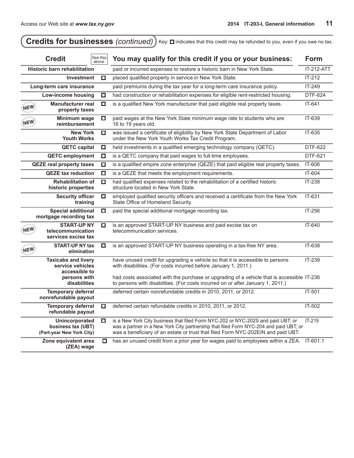| <b>Credits for businesses (continued)</b><br>Key: $\Box$ indicates that this credit may be refunded to you, even if you owe no tax.      |                                                                   |                   |                                                                                                                                                                                                                                                               |                   |  |  |  |
|------------------------------------------------------------------------------------------------------------------------------------------|-------------------------------------------------------------------|-------------------|---------------------------------------------------------------------------------------------------------------------------------------------------------------------------------------------------------------------------------------------------------------|-------------------|--|--|--|
|                                                                                                                                          | <b>Credit</b>                                                     | See Key<br>above. | You may qualify for this credit if you or your business:                                                                                                                                                                                                      |                   |  |  |  |
|                                                                                                                                          | <b>Historic barn rehabilitation</b>                               |                   | paid or incurred expenses to restore a historic barn in New York State.                                                                                                                                                                                       | <b>IT-212-ATT</b> |  |  |  |
|                                                                                                                                          | <b>Investment</b>                                                 | □                 | placed qualified property in service in New York State.                                                                                                                                                                                                       | $IT-212$          |  |  |  |
|                                                                                                                                          | Long-term care insurance                                          |                   | paid premiums during the tax year for a long-term care insurance policy.                                                                                                                                                                                      | IT-249            |  |  |  |
|                                                                                                                                          | Low-income housing                                                | □                 | had construction or rehabilitation expenses for eligible rent-restricted housing.                                                                                                                                                                             | DTF-624           |  |  |  |
| $\mathcal{M}_L$<br><b>NEW</b>                                                                                                            | <b>Manufacturer real</b><br>property taxes                        | □                 | is a qualified New York manufacturer that paid eligible real property taxes.                                                                                                                                                                                  | IT-641            |  |  |  |
| <b>NEW</b>                                                                                                                               | Minimum wage<br>reimbursement                                     | □                 | paid wages at the New York State minimum wage rate to students who are<br>16 to 19 years old.                                                                                                                                                                 | IT-639            |  |  |  |
|                                                                                                                                          | <b>New York</b><br><b>Youth Works</b>                             | o                 | was issued a certificate of eligibility by New York State Department of Labor<br>under the New York Youth Works Tax Credit Program.                                                                                                                           | IT-635            |  |  |  |
|                                                                                                                                          | <b>QETC capital</b>                                               | □                 | held investments in a qualified emerging technology company (QETC).                                                                                                                                                                                           | DTF-622           |  |  |  |
|                                                                                                                                          | <b>QETC employment</b>                                            | $\Box$            | is a QETC company that paid wages to full-time employees.                                                                                                                                                                                                     | DTF-621           |  |  |  |
| <b>QEZE real property taxes</b><br>$\Box$<br><b>QEZE tax reduction</b><br>$\Box$<br><b>Rehabilitation of</b><br>□<br>historic properties |                                                                   |                   | is a qualified empire zone enterprise (QEZE) that paid eligible real property taxes.                                                                                                                                                                          | IT-606            |  |  |  |
|                                                                                                                                          |                                                                   |                   | is a QEZE that meets the employment requirements.                                                                                                                                                                                                             | IT-604            |  |  |  |
|                                                                                                                                          |                                                                   |                   | had qualified expenses related to the rehabilitation of a certified historic<br>structure located in New York State.                                                                                                                                          | IT-238            |  |  |  |
| <b>Security officer</b><br>O<br>training                                                                                                 |                                                                   |                   | employed qualified security officers and received a certificate from the New York<br>State Office of Homeland Security.                                                                                                                                       | IT-631            |  |  |  |
| <b>Special additional</b><br>$\Box$<br>mortgage recording tax                                                                            |                                                                   |                   | paid the special additional mortgage recording tax.                                                                                                                                                                                                           | IT-256            |  |  |  |
|                                                                                                                                          | <b>START-UP NY</b><br>telecommunication<br>services excise tax    | □                 | is an approved START-UP NY business and paid excise tax on<br>telecommunication services.                                                                                                                                                                     | IT-640            |  |  |  |
| NEW                                                                                                                                      | <b>START-UP NY tax</b><br>elimination                             | о                 | is an approved START-UP NY business operating in a tax-free NY area.                                                                                                                                                                                          | IT-638            |  |  |  |
|                                                                                                                                          | <b>Taxicabs and livery</b><br>service vehicles<br>accessible to   |                   | have unused credit for upgrading a vehicle so that it is accessible to persons<br>with disabilities. (For costs incurred before January 1, 2011.)                                                                                                             | IT-239            |  |  |  |
| persons with<br>disabilities                                                                                                             |                                                                   |                   | had costs associated with the purchase or upgrading of a vehicle that is accessible IT-236<br>to persons with disabilities. (For costs incurred on or after January 1, 2011.)                                                                                 |                   |  |  |  |
| <b>Temporary deferral</b><br>nonrefundable payout                                                                                        |                                                                   |                   | deferred certain nonrefundable credits in 2010, 2011, or 2012.                                                                                                                                                                                                | IT-501            |  |  |  |
|                                                                                                                                          | <b>Temporary deferral</b><br>refundable payout                    | □                 | deferred certain refundable credits in 2010, 2011, or 2012.                                                                                                                                                                                                   | IT-502            |  |  |  |
|                                                                                                                                          | Unincorporated<br>business tax (UBT)<br>(Part-year New York City) | □                 | is a New York City business that filed Form NYC-202 or NYC-202S and paid UBT; or<br>was a partner in a New York City partnership that filed Form NYC-204 and paid UBT; or<br>was a beneficiary of an estate or trust that filed Form NYC-202EIN and paid UBT. | $IT-219$          |  |  |  |
| Zone equivalent area<br>o<br>(ZEA) wage                                                                                                  |                                                                   |                   | has an unused credit from a prior year for wages paid to employees within a ZEA.                                                                                                                                                                              | IT-601.1          |  |  |  |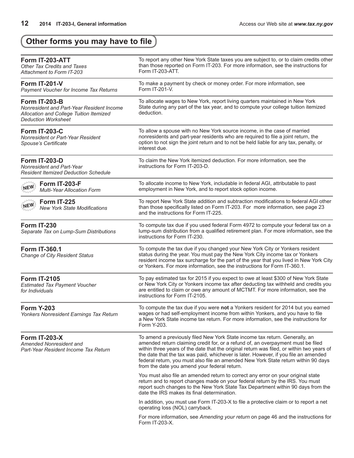# <span id="page-11-0"></span>**Other forms you may have to file**

| Form IT-203-ATT<br><b>Other Tax Credits and Taxes</b><br>Attachment to Form IT-203                                                         | To report any other New York State taxes you are subject to, or to claim credits other<br>than those reported on Form IT-203. For more information, see the instructions for<br>Form IT-203-ATT.                                                                                                                                                                                                                                                                                          |
|--------------------------------------------------------------------------------------------------------------------------------------------|-------------------------------------------------------------------------------------------------------------------------------------------------------------------------------------------------------------------------------------------------------------------------------------------------------------------------------------------------------------------------------------------------------------------------------------------------------------------------------------------|
| <b>Form IT-201-V</b><br>Payment Voucher for Income Tax Returns                                                                             | To make a payment by check or money order. For more information, see<br>Form IT-201-V.                                                                                                                                                                                                                                                                                                                                                                                                    |
| <b>Form IT-203-B</b><br>Nonresident and Part-Year Resident Income<br>Allocation and College Tuition Itemized<br><b>Deduction Worksheet</b> | To allocate wages to New York, report living quarters maintained in New York<br>State during any part of the tax year, and to compute your college tuition itemized<br>deduction.                                                                                                                                                                                                                                                                                                         |
| <b>Form IT-203-C</b><br>Nonresident or Part-Year Resident<br>Spouse's Certificate                                                          | To allow a spouse with no New York source income, in the case of married<br>nonresidents and part-year residents who are required to file a joint return, the<br>option to not sign the joint return and to not be held liable for any tax, penalty, or<br>interest due.                                                                                                                                                                                                                  |
| <b>Form IT-203-D</b><br>Nonresident and Part-Year<br><b>Resident Itemized Deduction Schedule</b>                                           | To claim the New York itemized deduction. For more information, see the<br>instructions for Form IT-203-D.                                                                                                                                                                                                                                                                                                                                                                                |
| Form IT-203-F<br><b>NEWS</b><br><b>Multi-Year Allocation Form</b>                                                                          | To allocate income to New York, includable in federal AGI, attributable to past<br>employment in New York, and to report stock option income.                                                                                                                                                                                                                                                                                                                                             |
| Form IT-225<br><b>NEWS</b><br><b>New York State Modifications</b>                                                                          | To report New York State addition and subtraction modifications to federal AGI other<br>than those specifically listed on Form IT-203. For more information, see page 23<br>and the instructions for Form IT-225.                                                                                                                                                                                                                                                                         |
| Form IT-230<br>Separate Tax on Lump-Sum Distributions                                                                                      | To compute tax due if you used federal Form 4972 to compute your federal tax on a<br>lump-sum distribution from a qualified retirement plan. For more information, see the<br>instructions for Form IT-230.                                                                                                                                                                                                                                                                               |
| <b>Form IT-360.1</b><br><b>Change of City Resident Status</b>                                                                              | To compute the tax due if you changed your New York City or Yonkers resident<br>status during the year. You must pay the New York City income tax or Yonkers<br>resident income tax surcharge for the part of the year that you lived in New York City<br>or Yonkers. For more information, see the instructions for Form IT-360.1.                                                                                                                                                       |
| <b>Form IT-2105</b><br><b>Estimated Tax Payment Voucher</b><br>for Individuals                                                             | To pay estimated tax for 2015 if you expect to owe at least \$300 of New York State<br>or New York City or Yonkers income tax after deducting tax withheld and credits you<br>are entitled to claim or owe any amount of MCTMT. For more information, see the<br>instructions for Form IT-2105.                                                                                                                                                                                           |
| <b>Form Y-203</b><br>Yonkers Nonresident Earnings Tax Return                                                                               | To compute the tax due if you were not a Yonkers resident for 2014 but you earned<br>wages or had self-employment income from within Yonkers, and you have to file<br>a New York State income tax return. For more information, see the instructions for<br>Form Y-203.                                                                                                                                                                                                                   |
| <b>Form IT-203-X</b><br>Amended Nonresident and<br>Part-Year Resident Income Tax Return                                                    | To amend a previously filed New York State income tax return. Generally, an<br>amended return claiming credit for, or a refund of, an overpayment must be filed<br>within three years of the date that the original return was filed, or within two years of<br>the date that the tax was paid, whichever is later. However, if you file an amended<br>federal return, you must also file an amended New York State return within 90 days<br>from the date you amend your federal return. |
|                                                                                                                                            | You must also file an amended return to correct any error on your original state<br>return and to report changes made on your federal return by the IRS. You must<br>report such changes to the New York State Tax Department within 90 days from the<br>date the IRS makes its final determination.                                                                                                                                                                                      |
|                                                                                                                                            | In addition, you must use Form IT-203-X to file a protective claim or to report a net<br>operating loss (NOL) carryback.                                                                                                                                                                                                                                                                                                                                                                  |
|                                                                                                                                            | For more information, see Amending your return on page 46 and the instructions for<br>Form IT-203-X.                                                                                                                                                                                                                                                                                                                                                                                      |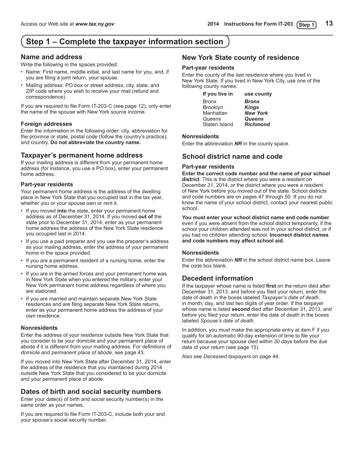# **Step 1 – Complete the taxpayer information section**

## **Name and address**

Write the following in the spaces provided:

- Name: First name, middle initial, and last name for you, and, if you are filing a joint return, your spouse.
- Mailing address: PO box or street address, city, state, and ZIP code where you wish to receive your mail (refund and correspondence).

If you are required to file Form IT-203-C (see page 12), only enter the name of the spouse with New York source income.

### **Foreign addresses**

Enter the information in the following order: city, abbreviation for the province or state, postal code (follow the country's practice), and country. **Do not abbreviate the country name.**

## **Taxpayer's permanent home address**

If your mailing address is different from your permanent home address (for instance, you use a PO box), enter your permanent home address.

### **Part-year residents**

Your permanent home address is the address of the dwelling place in New York State that you occupied last in the tax year, whether you or your spouse own or rent it.

- If you moved **into** the state, enter your permanent home address as of December 31, 2014. If you moved **out of** the state prior to December 31, 2014, enter as your permanent home address the address of the New York State residence you occupied last in 2014.
- If you use a paid preparer and you use the preparer's address as your mailing address, enter the address of your permanent home in the space provided.
- If you are a permanent resident of a nursing home, enter the nursing home address.
- If you are in the armed forces and your permanent home was in New York State when you entered the military, enter your New York permanent home address regardless of where you are stationed.
- If you are married and maintain separate New York State residences and are filing separate New York State returns, enter as your permanent home address the address of your own residence.

### **Nonresidents**

Enter the address of your residence outside New York State that you consider to be your domicile and your permanent place of abode if it is different from your mailing address. For definitions of *domicile* and *permanent place of abode*, see page 43.

If you moved into New York State after December 31, 2014, enter the address of the residence that you maintained during 2014 outside New York State that you considered to be your domicile and your permanent place of abode.

## **Dates of birth and social security numbers**

Enter your date(s) of birth and social security number(s) in the same order as your names.

If you are required to file Form IT-203-C, include both your and your spouse's social security number.

## **New York State county of residence**

### **Part-year residents**

Enter the county of the last residence where you lived in New York State. If you lived in New York City, use one of the following county names:

| If you live in  | use county      |
|-----------------|-----------------|
| <b>Bronx</b>    | <b>Bronx</b>    |
| <b>Brooklyn</b> | <b>Kings</b>    |
| Manhattan       | <b>New York</b> |
| Queens          | Queens          |
| Staten Island   | <b>Richmond</b> |
|                 |                 |

### **Nonresidents**

Enter the abbreviation *NR* in the county space.

## **School district name and code**

### **Part-year residents**

**Enter the correct code number and the name of your school district**. This is the district where you were a resident on December 31, 2014, or the district where you were a resident of New York before you moved out of the state. School districts and code numbers are on pages 47 through 50. If you do not know the name of your school district, contact your nearest public school.

#### **You must enter your school district name and code number** even if you were absent from the school district temporarily, if the school your children attended was not in your school district, or if you had no children attending school. **Incorrect district names and code numbers may affect school aid.**

### **Nonresidents**

Enter the abbreviation *NR* in the school district name box. Leave the code box blank.

## **Decedent information**

If the taxpayer whose name is listed **first** on the return died after December 31, 2013, and before you filed your return, enter the date of death in the boxes labeled *Taxpayer's date of death*, in month, day, and last two digits of year order. If the taxpayer whose name is listed **second** died after December 31, 2013, and before you filed your return, enter the date of death in the boxes labeled *Spouse's date of death*.

In addition, you must make the appropriate entry at item F if you qualify for an automatic 90-day extension of time to file your return because your spouse died within 30 days before the due date of your return (see page 15).

Also see *Deceased taxpayers* on page 44.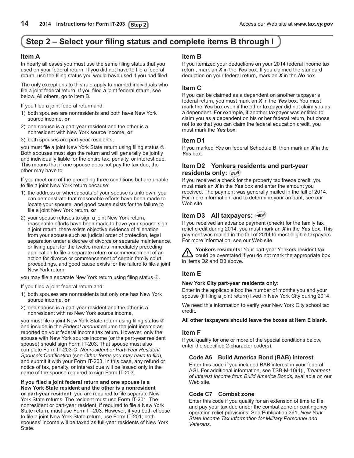## <span id="page-13-0"></span>**Step 2 – Select your filing status and complete items B through I**

### **Item A**

In nearly all cases you must use the same filing status that you used on your federal return. If you did not have to file a federal return, use the filing status you would have used if you had filed.

The only exceptions to this rule apply to married individuals who file a joint federal return. If you filed a joint federal return, see below. All others, go to item B.

If you filed a joint federal return and:

- 1) both spouses are nonresidents and both have New York source income, **or**
- 2) one spouse is a part-year resident and the other is a nonresident with New York source income, **or**
- 3) both spouses are part-year residents,

you must file a joint New York State return using filing status 2. Both spouses must sign the return and will generally be jointly and individually liable for the entire tax, penalty, or interest due. This means that if one spouse does not pay the tax due, the other may have to.

If you meet one of the preceding three conditions but are unable to file a joint New York return because:

- 1) the address or whereabouts of your spouse is unknown, you can demonstrate that reasonable efforts have been made to locate your spouse, and good cause exists for the failure to file a joint New York return, **or**
- 2) your spouse refuses to sign a joint New York return, reasonable efforts have been made to have your spouse sign a joint return, there exists objective evidence of alienation from your spouse such as judicial order of protection, legal separation under a decree of divorce or separate maintenance, or living apart for the twelve months immediately preceding application to file a separate return or commencement of an action for divorce or commencement of certain family court proceedings, and good cause exists for the failure to file a joint New York return,

you may file a separate New York return using filing status  $\circled{1}$ .

If you filed a joint federal return and:

- 1) both spouses are nonresidents but only one has New York source income, **or**
- 2) one spouse is a part-year resident and the other is a nonresident with no New York source income,

you must file a joint New York State return using filing status 2 and include in the *Federal amount* column the joint income as reported on your federal income tax return. However, only the spouse with New York source income (or the part-year resident spouse) should sign Form IT‑203. That spouse must also complete Form IT‑203‑C, *Nonresident or Part-Year Resident Spouse's Certification* (see *Other forms you may have to file*), and submit it with your Form IT‑203. In this case, any refund or notice of tax, penalty, or interest due will be issued only in the name of the spouse required to sign Form IT‑203.

**If you filed a joint federal return and one spouse is a New York State resident and the other is a nonresident or part-year resident**, you are required to file separate New York State returns. The resident must use Form IT-201. The nonresident or part-year resident, if required to file a New York State return, must use Form IT-203. However, if you both choose to file a joint New York State return, use Form IT-201; both spouses' income will be taxed as full-year residents of New York State.

### **Item B**

If you itemized your deductions on your 2014 federal income tax return, mark an *X* in the *Yes* box. If you claimed the standard deduction on your federal return, mark an *X* in the *No* box.

### **Item C**

If you can be claimed as a dependent on another taxpayer's federal return, you must mark an *X* in the *Yes* box. You must mark the *Yes* box even if the other taxpayer did not claim you as a dependent. For example, if another taxpayer was entitled to claim you as a dependent on his or her federal return, but chose not to so that you can claim the federal education credit, you must mark the *Yes* box.

### **Item D1**

If you marked *Yes* on federal Schedule B, then mark an *X* in the *Yes* box.

### **Item D2 Yonkers residents and part-year residents only:**  $\frac{1}{2}N$ **E** $M$ <sup>5</sup>

If you received a check for the property tax freeze credit, you must mark an *X* in the *Yes* box and enter the amount you received. The payment was generally mailed in the fall of 2014. For more information, and to determine your amount, see our Web site.

### **Item D3 All taxpayers:**

If you received an advance payment (check) for the family tax relief credit during 2014, you must mark an *X* in the *Yes* box. This payment was mailed in the fall of 2014 to most eligible taxpayers. For more information, see our Web site.

**Yonkers residents:** Your part-year Yonkers resident tax could be overstated if you do not mark the appropriate box in items D2 and D3 above.

### **Item E**

### **New York City part-year residents only:**

Enter in the applicable box the number of months you and your spouse (if filing a joint return) lived in New York City during 2014.

We need this information to verify your New York City school tax credit.

### **All other taxpayers should leave the boxes at item E blank**.

### **Item F**

If you qualify for one or more of the special conditions below, enter the specified 2‑character code(s).

### **Code A6 Build America Bond (BAB) interest**

Enter this code if you included BAB interest in your federal AGI. For additional information, see TSB-M-10(4)I, *Treatment of Interest Income from Build America Bonds*, available on our Web site*.*

### **Code C7 Combat zone**

Enter this code if you qualify for an extension of time to file and pay your tax due under the combat zone or contingency operation relief provisions. See Publication 361, *New York State Income Tax Information for Military Personnel and Veterans*.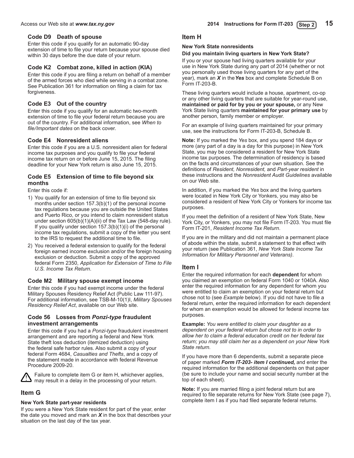### **Code D9 Death of spouse**

Enter this code if you qualify for an automatic 90-day extension of time to file your return because your spouse died within 30 days before the due date of your return.

### **Code K2 Combat zone, killed in action (KIA)**

Enter this code if you are filing a return on behalf of a member of the armed forces who died while serving in a combat zone. See Publication 361 for information on filing a claim for tax forgiveness.

### **Code E3 Out of the country**

Enter this code if you qualify for an automatic two-month extension of time to file your federal return because you are out of the country. For additional information, see *When to file/Important dates* on the back cover.

### **Code E4 Nonresident aliens**

Enter this code if you are a U.S. nonresident alien for federal income tax purposes and you qualify to file your federal income tax return on or before June 15, 2015. The filing deadline for your New York return is also June 15, 2015.

### **Code E5 Extension of time to file beyond six months**

Enter this code if:

- 1) You qualify for an extension of time to file beyond six months under section 157.3(b)(1) of the personal income tax regulations because you are outside the United States and Puerto Rico, or you intend to claim nonresident status under section 605(b)(1)(A)(ii) of the Tax Law (548-day rule). If you qualify under section  $157.3(b)(1)(i)$  of the personal income tax regulations, submit a copy of the letter you sent to the IRS to request the additional time to file.
- 2) You received a federal extension to qualify for the federal foreign earned income exclusion and/or the foreign housing exclusion or deduction. Submit a copy of the approved federal Form 2350, *Application for Extension of Time to File U.S. Income Tax Return*.

### **Code M2 Military spouse exempt income**

Enter this code if you had exempt income under the federal Military Spouses Residency Relief Act (Public Law 111-97). For additional information, see TSB-M-10(1)I, *Military Spouses Residency Relief Act*, available on our Web site.

### **Code 56 Losses from** *Ponzi-type* **fraudulent investment arrangements**

Enter this code if you had a *Ponzi-type* fraudulent investment arrangement and are reporting a federal and New York State theft loss deduction (itemized deduction) using the federal safe harbor rules. Also submit a copy of your federal Form 4684, *Casualties and Thefts*, and a copy of the statement made in accordance with federal Revenue Procedure 2009-20.

Failure to complete item G or item H, whichever applies, may result in a delay in the processing of your return.

### **Item G**

### **New York State part-year residents**

If you were a New York State resident for part of the year, enter the date you moved and mark an *X* in the box that describes your situation on the last day of the tax year.

### **Item H**

### **New York State nonresidents**

### **Did you maintain living quarters in New York State?**

If you or your spouse had living quarters available for your use in New York State during any part of 2014 (whether or not you personally used those living quarters for any part of the year), mark an *X* in the *Yes* box and complete Schedule B on Form IT‑203‑B.

These living quarters would include a house, apartment, co-op or any other living quarters that are suitable for year-round use, **maintained or paid for by you or your spouse,** or any New York State living quarters **maintained for your primary use** by another person, family member or employer.

For an example of living quarters maintained for your primary use, see the instructions for Form IT‑203‑B, Schedule B.

**Note:** If you marked the *Yes* box, and you spend 184 days or more (any part of a day is a day for this purpose) in New York State, you may be considered a resident for New York State income tax purposes. The determination of residency is based on the facts and circumstances of your own situation. See the definitions of *Resident, Nonresident,* and *Part-year resident* in these instructions and the *Nonresident Audit Guidelines* available on our Web site.

In addition, if you marked the *Yes* box and the living quarters were located in New York City or Yonkers, you may also be considered a resident of New York City or Yonkers for income tax purposes.

If you meet the definition of a resident of New York State, New York City, or Yonkers, you may not file Form IT-203. You must file Form IT-201, *Resident Income Tax Return*.

If you are in the military and did not maintain a permanent place of abode within the state, submit a statement to that effect with your return (see Publication 361, *New York State Income Tax Information for Military Personnel and Veterans)*.

### **Item I**

Enter the required information for each **dependent** for whom you claimed an exemption on federal Form 1040 or 1040A. Also enter the required information for any dependent for whom you were entitled to claim an exemption on your federal return but chose not to (see *Example* below). If you did not have to file a federal return, enter the required information for each dependent for whom an exemption would be allowed for federal income tax purposes.

**Example:** *You were entitled to claim your daughter as a dependent on your federal return but chose not to in order to allow her to claim a federal education credit on her federal tax return; you may still claim her as a dependent on your New York State return.*

If you have more than 6 dependents, submit a separate piece of paper marked *Form IT-203- item I continued,* and enter the required information for the additional dependents on that paper (be sure to include your name and social security number at the top of each sheet).

**Note:** If you are married filing a joint federal return but are required to file separate returns for New York State (see page 7), complete item I as if you had filed separate federal returns.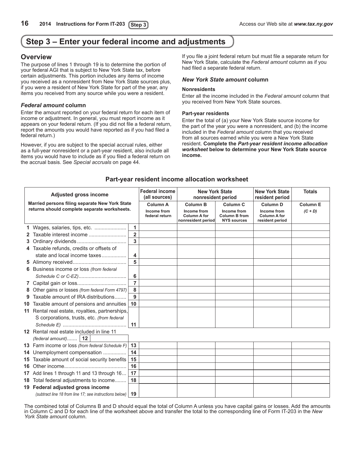## <span id="page-15-0"></span>**Step 3 – Enter your federal income and adjustments**

### **Overview**

The purpose of lines 1 through 19 is to determine the portion of your federal AGI that is subject to New York State tax, before certain adjustments. This portion includes any items of income you received as a nonresident from New York State sources plus, if you were a resident of New York State for part of the year, any items you received from any source while you were a resident.

### *Federal amount* **column**

Enter the amount reported on your federal return for each item of income or adjustment. In general, you must report income as it appears on your federal return. (If you did not file a federal return, report the amounts you would have reported as if you had filed a federal return.)

However, if you are subject to the special accrual rules, either as a full-year nonresident or a part-year resident, also include all items you would have to include as if you filed a federal return on the accrual basis. See *Special accruals* on page 44.

If you file a joint federal return but must file a separate return for New York State, calculate the *Federal amount* column as if you had filed a separate federal return.

### *New York State amount* **column**

#### **Nonresidents**

Enter all the income included in the *Federal amount* column that you received from New York State sources.

#### **Part-year residents**

Enter the total of (a) your New York State source income for the part of the year you were a nonresident, and (b) the income included in the *Federal amount* column that you received from all sources earned while you were a New York State resident. **Complete the** *Part-year resident income allocation worksheet* **below to determine your New York State source income.**

|    | <b>Adjusted gross income</b>                            |                | <b>Federal income</b><br>(all sources) | <b>New York State</b><br>nonresident period              |                                                           | <b>New York State</b><br>resident period              | <b>Totals</b>   |
|----|---------------------------------------------------------|----------------|----------------------------------------|----------------------------------------------------------|-----------------------------------------------------------|-------------------------------------------------------|-----------------|
|    | Married persons filing separate New York State          |                | Column A                               | <b>Column B</b>                                          | <b>Column C</b>                                           | <b>Column D</b>                                       | <b>Column E</b> |
|    | returns should complete separate worksheets.            |                | Income from<br>federal return          | Income from<br><b>Column A for</b><br>nonresident period | Income from<br><b>Column B from</b><br><b>NYS sources</b> | Income from<br><b>Column A for</b><br>resident period | $(C + D)$       |
|    |                                                         | $\mathbf{1}$   |                                        |                                                          |                                                           |                                                       |                 |
|    | Taxable interest income<br>2                            | $\overline{2}$ |                                        |                                                          |                                                           |                                                       |                 |
|    | 3                                                       | $\overline{3}$ |                                        |                                                          |                                                           |                                                       |                 |
|    | 4 Taxable refunds, credits or offsets of                |                |                                        |                                                          |                                                           |                                                       |                 |
|    | state and local income taxes                            | 4              |                                        |                                                          |                                                           |                                                       |                 |
|    | 5                                                       | 5              |                                        |                                                          |                                                           |                                                       |                 |
|    | Business income or loss (from federal<br>6.             |                |                                        |                                                          |                                                           |                                                       |                 |
|    |                                                         | 6              |                                        |                                                          |                                                           |                                                       |                 |
|    | 7                                                       | $\overline{7}$ |                                        |                                                          |                                                           |                                                       |                 |
|    | Other gains or losses (from federal Form 4797)<br>8     | 8              |                                        |                                                          |                                                           |                                                       |                 |
|    | Taxable amount of IRA distributions                     | 9              |                                        |                                                          |                                                           |                                                       |                 |
| 10 | Taxable amount of pensions and annuities                | 10             |                                        |                                                          |                                                           |                                                       |                 |
| 11 | Rental real estate, royalties, partnerships,            |                |                                        |                                                          |                                                           |                                                       |                 |
|    | S corporations, trusts, etc. (from federal              |                |                                        |                                                          |                                                           |                                                       |                 |
|    |                                                         | 11             |                                        |                                                          |                                                           |                                                       |                 |
|    | 12 Rental real estate included in line 11               |                |                                        |                                                          |                                                           |                                                       |                 |
|    | (federal amount)   12                                   |                |                                        |                                                          |                                                           |                                                       |                 |
| 13 | Farm income or loss (from federal Schedule F)           | 13             |                                        |                                                          |                                                           |                                                       |                 |
| 14 | Unemployment compensation                               | 14             |                                        |                                                          |                                                           |                                                       |                 |
| 15 | Taxable amount of social security benefits              | 15             |                                        |                                                          |                                                           |                                                       |                 |
| 16 |                                                         | 16             |                                        |                                                          |                                                           |                                                       |                 |
| 17 | Add lines 1 through 11 and 13 through 16                | 17             |                                        |                                                          |                                                           |                                                       |                 |
| 18 | Total federal adjustments to income                     | 18             |                                        |                                                          |                                                           |                                                       |                 |
|    | 19 Federal adjusted gross income                        |                |                                        |                                                          |                                                           |                                                       |                 |
|    | (subtract line 18 from line 17; see instructions below) | 19             |                                        |                                                          |                                                           |                                                       |                 |

### **Part-year resident income allocation worksheet**

The combined total of Columns B and D should equal the total of Column A unless you have capital gains or losses. Add the amounts in Column C and D for each line of the worksheet above and transfer the total to the corresponding line of Form IT‑203 in the *New York State amount* column.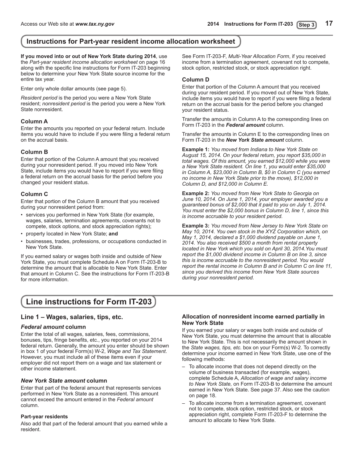## <span id="page-16-0"></span>**Instructions for Part-year resident income allocation worksheet**

**If you moved into or out of New York State during 2014**, use the *Part-year resident income allocation worksheet* on page 16 along with the specific line instructions for Form IT-203 beginning below to determine your New York State source income for the entire tax year.

Enter only whole dollar amounts (see page 5).

*Resident period* is the period you were a New York State resident; *nonresident period* is the period you were a New York State nonresident.

### **Column A**

Enter the amounts you reported on your federal return. Include items you would have to include if you were filing a federal return on the accrual basis.

### **Column B**

Enter that portion of the Column A amount that you received during your nonresident period. If you moved into New York State, include items you would have to report if you were filing a federal return on the accrual basis for the period before you changed your resident status.

### **Column C**

Enter that portion of the Column B amount that you received during your nonresident period from:

- • services you performed in New York State (for example, wages, salaries, termination agreements, covenants not to compete, stock options, and stock appreciation rights);
- • property located in New York State; **and**
- businesses, trades, professions, or occupations conducted in New York State.

If you earned salary or wages both inside and outside of New York State, you must complete Schedule A on Form IT-203-B to determine the amount that is allocable to New York State. Enter that amount in Column C. See the instructions for Form IT-203-B for more information.

See Form IT-203-F, *Multi-Year Allocation Form*, if you received income from a termination agreement, covenant not to compete, stock option, restricted stock, or stock appreciation right.

### **Column D**

Enter that portion of the Column A amount that you received during your resident period. If you moved out of New York State, include items you would have to report if you were filing a federal return on the accrual basis for the period before you changed your resident status.

Transfer the amounts in Column A to the corresponding lines on Form IT-203 in the *Federal amount* column.

Transfer the amounts in Column E to the corresponding lines on Form IT-203 in the *New York State amount* column.

**Example 1:** *You moved from Indiana to New York State on August 15, 2014. On your federal return, you report \$35,000 in total wages. Of this amount, you earned \$12,000 while you were a New York State resident. On line 1, you would enter \$35,000 in Column A, \$23,000 in Column B, \$0 in Column C (you earned no income in New York State prior to the move), \$12,000 in Column D, and \$12,000 in Column E.*

**Example 2:** *You moved from New York State to Georgia on June 10, 2014. On June 1, 2014, your employer awarded you a guaranteed bonus of \$2,000 that it paid to you on July 1, 2014. You must enter the \$2,000 bonus in Column D, line 1, since this is income accruable to your resident period.*

**Example 3:** *You moved from New Jersey to New York State on May 10, 2014. You own stock in the XYZ Corporation which, on May 1, 2014, declared a \$1,000 dividend payable on June 1, 2014. You also received \$500 a month from rental property located in New York which you sold on April 30, 2014.You must report the \$1,000 dividend income in Column B on line 3, since this is income accruable to the nonresident period. You would report the rental income in Column B and in Column C on line 11, since you derived this income from New York State sources during your nonresident period.*

## **Line instructions for Form IT-203**

### **Line 1 – Wages, salaries, tips, etc.**

### *Federal amount* **column**

Enter the total of all wages, salaries, fees, commissions, bonuses, tips, fringe benefits, etc., you reported on your 2014 federal return. Generally, the amount you enter should be shown in box 1 of your federal Form(s) W-2, *Wage and Tax Statement*. However, you must include all of these items even if your employer did not report them on a wage and tax statement or other income statement.

### *New York State amount* **column**

Enter that part of the federal amount that represents services performed in New York State as a nonresident. This amount cannot exceed the amount entered in the *Federal amount* column.

### **Part-year residents**

Also add that part of the federal amount that you earned while a resident.

### **Allocation of nonresident income earned partially in New York State**

If you earned your salary or wages both inside and outside of New York State, you must determine the amount that is allocable to New York State. This is not necessarily the amount shown in the *State wages, tips, etc.* box on your Form(s) W-2. To correctly determine your income earned in New York State, use one of the following methods:

- – To allocate income that does not depend directly on the volume of business transacted (for example, wages), complete Schedule A, *Allocation of wage and salary income to New York State,* on Form IT-203-B to determine the amount earned in New York State. See page 37. Also see the caution on page 18.
- To allocate income from a termination agreement, covenant not to compete, stock option, restricted stock, or stock appreciation right, complete Form IT-203-F to determine the amount to allocate to New York State.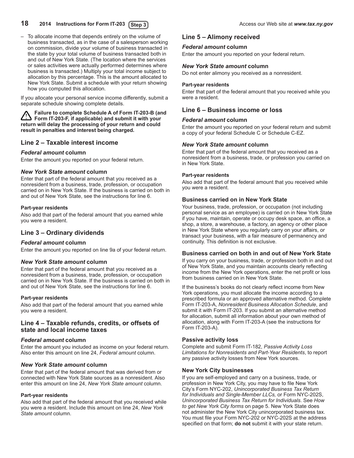- To allocate income that depends entirely on the volume of business transacted, as in the case of a salesperson working on commission, divide your volume of business transacted in the state by your total volume of business transacted both in and out of New York State. (The location where the services or sales activities were actually performed determines where business is transacted.) Multiply your total income subject to allocation by this percentage. This is the amount allocated to New York State. Submit a schedule with your return showing how you computed this allocation.

If you allocate your personal service income differently, submit a separate schedule showing complete details.

#### **Failure to complete Schedule A of Form IT-203-B (and Form IT-203-F, if applicable) and submit it with your return will delay the processing of your return and could result in penalties and interest being charged.**

### **Line 2 – Taxable interest income**

### *Federal amount* **column**

Enter the amount you reported on your federal return.

### *New York State amount* **column**

Enter that part of the federal amount that you received as a nonresident from a business, trade, profession, or occupation carried on in New York State. If the business is carried on both in and out of New York State, see the instructions for line 6.

### **Part-year residents**

Also add that part of the federal amount that you earned while you were a resident.

### **Line 3 – Ordinary dividends**

### *Federal amount* **column**

Enter the amount you reported on line 9a of your federal return.

### *New York State amount* **column**

Enter that part of the federal amount that you received as a nonresident from a business, trade, profession, or occupation carried on in New York State. If the business is carried on both in and out of New York State, see the instructions for line 6.

### **Part-year residents**

Also add that part of the federal amount that you earned while you were a resident.

### **Line 4 – Taxable refunds, credits, or offsets of state and local income taxes**

### *Federal amount* **column**

Enter the amount you included as income on your federal return. Also enter this amount on line 24, *Federal amount* column.

### *New York State amount* **column**

Enter that part of the federal amount that was derived from or connected with New York State sources as a nonresident. Also enter this amount on line 24, *New York State amount* column.

### **Part-year residents**

Also add that part of the federal amount that you received while you were a resident. Include this amount on line 24, *New York State amount* column.

### **Line 5 – Alimony received**

### *Federal amount* **column**

Enter the amount you reported on your federal return.

### *New York State amount* **column**

Do not enter alimony you received as a nonresident.

### **Part-year residents**

Enter that part of the federal amount that you received while you were a resident.

### **Line 6 – Business income or loss**

### *Federal amount* **column**

Enter the amount you reported on your federal return and submit a copy of your federal Schedule C or Schedule C-EZ.

### *New York State amount* **column**

Enter that part of the federal amount that you received as a nonresident from a business, trade, or profession you carried on in New York State.

### **Part-year residents**

Also add that part of the federal amount that you received while you were a resident.

### **Business carried on in New York State**

Your business, trade, profession, or occupation (not including personal service as an employee) is carried on in New York State if you have, maintain, operate or occupy desk space, an office, a shop, a store, a warehouse, a factory, an agency or other place in New York State where you regularly carry on your affairs, or transact your business, with a fair measure of permanency and continuity. This definition is not exclusive.

### **Business carried on both in and out of New York State**

If you carry on your business, trade, or profession both in and out of New York State, and you maintain accounts clearly reflecting income from the New York operations, enter the net profit or loss from business carried on in New York State.

If the business's books do not clearly reflect income from New York operations, you must allocate the income according to a prescribed formula or an approved alternative method. Complete Form IT-203-A, *Nonresident Business Allocation Schedule*, and submit it with Form IT-203. If you submit an alternative method for allocation, submit all information about your own method of allocation, along with Form IT-203-A (see the instructions for Form IT-203-A).

### **Passive activity loss**

Complete and submit Form IT-182, *Passive Activity Loss Limitations for Nonresidents and Part-Year Residents*, to report any passive activity losses from New York sources.

### **New York City businesses**

If you are self-employed and carry on a business, trade, or profession in New York City, you may have to file New York City's Form NYC-202, *Unincorporated Business Tax Return for Individuals and Single-Member LLCs,* or Form NYC-202S, *Unincorporated Business Tax Return for Individuals*. See *How to get New York City forms* on page 5. New York State does not administer the New York City unincorporated business tax. You must file your Form NYC-202 or NYC-202S at the address specified on that form; **do not** submit it with your state return.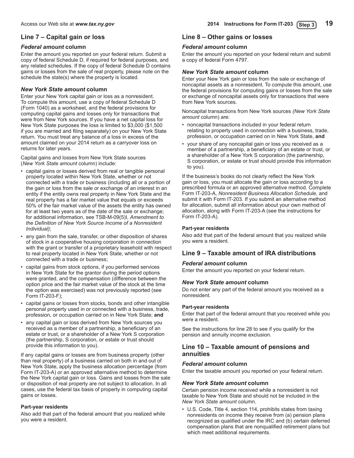### **Line 7 – Capital gain or loss**

### *Federal amount* **column**

Enter the amount you reported on your federal return. Submit a copy of federal Schedule D, if required for federal purposes, and any related schedules. If the copy of federal Schedule D contains gains or losses from the sale of real property, please note on the schedule the state(s) where the property is located.

### *New York State amount* **column**

Enter your New York capital gain or loss as a nonresident. To compute this amount, use a copy of federal Schedule D (Form 1040) as a worksheet, and the federal provisions for computing capital gains and losses only for transactions that were from New York sources. If you have a net capital loss for New York State purposes the loss is limited to \$3,000 (\$1,500 if you are married and filing separately) on your New York State return. You must treat any balance of a loss in excess of the amount claimed on your 2014 return as a carryover loss on returns for later years.

Capital gains and losses from New York State sources (*New York State amount* column) include:

- capital gains or losses derived from real or tangible personal property located within New York State, whether or not connected with a trade or business (including all or a portion of the gain or loss from the sale or exchange of an interest in an entity if the entity owns real property in New York State and the real property has a fair market value that equals or exceeds 50% of the fair market value of the assets the entity has owned for at least two years as of the date of the sale or exchange; for additional information, see TSB-M-09(5)I, *Amendment to the Definition of New York Source Income of a Nonresident Individual)*;
- any gain from the sale, transfer, or other disposition of shares of stock in a cooperative housing corporation in connection with the grant or transfer of a proprietary leasehold with respect to real property located in New York State, whether or not connected with a trade or business;
- capital gains from stock options, if you performed services in New York State for the grantor during the period options were granted, and the compensation (difference between the option price and the fair market value of the stock at the time the option was exercised) was not previously reported (see Form IT-203-F);
- capital gains or losses from stocks, bonds and other intangible personal property used in or connected with a business, trade, profession, or occupation carried on in New York State; **and**
- any capital gain or loss derived from New York sources you received as a member of a partnership, a beneficiary of an estate or trust, or a shareholder of a New York S corporation (the partnership, S corporation, or estate or trust should provide this information to you).

If any capital gains or losses are from business property (other than real property) of a business carried on both in and out of New York State, apply the business allocation percentage (from Form IT-203-A) or an approved alternative method to determine the New York capital gain or loss. Gains and losses from the sale or disposition of real property are not subject to allocation. In all cases, use the federal tax basis of property in computing capital gains or losses.

### **Part-year residents**

Also add that part of the federal amount that you realized while you were a resident.

### **Line 8 – Other gains or losses**

### *Federal amount* **column**

Enter the amount you reported on your federal return and submit a copy of federal Form 4797.

### *New York State amount* **column**

Enter your New York gain or loss from the sale or exchange of noncapital assets as a nonresident. To compute this amount, use the federal provisions for computing gains or losses from the sale or exchange of noncapital assets only for transactions that were from New York sources.

Noncapital transactions from New York sources *(New York State amount* column) are:

- noncapital transactions included in your federal return relating to property used in connection with a business, trade, profession, or occupation carried on in New York State, **and**
- your share of any noncapital gain or loss you received as a member of a partnership, a beneficiary of an estate or trust, or a shareholder of a New York S corporation (the partnership, S corporation, or estate or trust should provide this information to you).

If the business's books do not clearly reflect the New York gain or loss, you must allocate the gain or loss according to a prescribed formula or an approved alternative method. Complete Form IT-203-A, *Nonresident Business Allocation Schedule*, and submit it with Form IT-203. If you submit an alternative method for allocation, submit all information about your own method of allocation, along with Form IT-203-A (see the instructions for Form IT-203-A).

### **Part-year residents**

Also add that part of the federal amount that you realized while you were a resident.

### **Line 9 – Taxable amount of IRA distributions**

### *Federal amount* **column**

Enter the amount you reported on your federal return.

### *New York State amount* **column**

Do not enter any part of the federal amount you received as a nonresident.

### **Part-year residents**

Enter that part of the federal amount that you received while you were a resident.

See the instructions for line 28 to see if you qualify for the pension and annuity income exclusion.

### **Line 10 – Taxable amount of pensions and annuities**

### *Federal amount* **column**

Enter the taxable amount you reported on your federal return.

### *New York State amount* **column**

Certain pension income received while a nonresident is not taxable to New York State and should not be included in the *New York State amount* column.

• U.S. Code, Title 4, section 114, prohibits states from taxing nonresidents on income they receive from (a) pension plans recognized as qualified under the IRC and (b) certain deferred compensation plans that are nonqualified retirement plans but which meet additional requirements.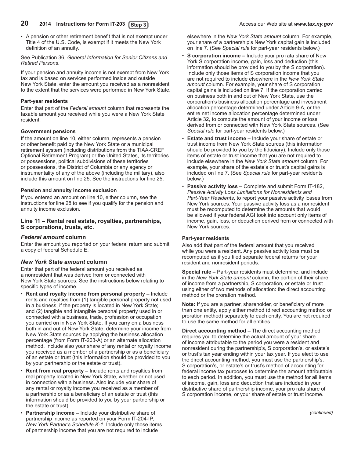### 20 **2014** Instructions for Form IT-203 (Step 3) Access our Web site at www.tax.ny.gov

• A pension or other retirement benefit that is not exempt under Title 4 of the U.S. Code, is exempt if it meets the New York definition of an annuity.

#### See Publication 36, *General Information for Senior Citizens and Retired Persons*.

If your pension and annuity income is not exempt from New York tax and is based on services performed inside and outside New York State, enter the amount you received as a nonresident to the extent that the services were performed in New York State.

### **Part-year residents**

Enter that part of the *Federal amount* column that represents the taxable amount you received while you were a New York State resident.

### **Government pensions**

If the amount on line 10, either column, represents a pension or other benefit paid by the New York State or a municipal retirement system (including distributions from the TIAA-CREF Optional Retirement Program) or the United States, its territories or possessions, political subdivisions of these territories or possessions, the District of Columbia or any agency or instrumentality of any of the above (including the military), also include this amount on line 25. See the instructions for line 25.

### **Pension and annuity income exclusion**

If you entered an amount on line 10, either column, see the instructions for line 28 to see if you qualify for the pension and annuity income exclusion.

### **Line 11 – Rental real estate, royalties, partnerships, S corporations, trusts, etc.**

### *Federal amount* **column**

Enter the amount you reported on your federal return and submit a copy of federal Schedule E.

### *New York State amount* **column**

Enter that part of the federal amount you received as a nonresident that was derived from or connected with New York State sources. See the instructions below relating to specific types of income.

- • **Rent and royalty income from personal property –** Include rents and royalties from (1) tangible personal property not used in a business, if the property is located in New York State; and (2) tangible and intangible personal property used in or connected with a business, trade, profession or occupation you carried on in New York State. If you carry on a business both in and out of New York State, determine your income from New York State sources by applying the business allocation percentage (from Form IT-203-A) or an alternate allocation method. Include also your share of any rental or royalty income you received as a member of a partnership or as a beneficiary of an estate or trust (this information should be provided to you by your partnership or the estate or trust).
- **Rent from real property –** Include rents and royalties from real property located in New York State, whether or not used in connection with a business. Also include your share of any rental or royalty income you received as a member of a partnership or as a beneficiary of an estate or trust (this information should be provided to you by your partnership or the estate or trust).
- **Partnership income –** Include your distributive share of partnership income as reported on your Form IT-204-IP, *New York Partner's Schedule K-1*. Include only those items of partnership income that you are not required to include

elsewhere in the *New York State amount* column. For example, your share of a partnership's New York capital gain is included on line 7. (See *Special rule* for part-year residents below.)

- **S corporation income –** Include your pro rata share of New York S corporation income, gain, loss and deduction (this information should be provided to you by the S corporation). Include only those items of S corporation income that you are not required to include elsewhere in the *New York State amount* column. For example, your share of S corporation capital gains is included on line 7. If the corporation carried on business both in and out of New York State, use the corporation's business allocation percentage and investment allocation percentage determined under Article 9-A, or the entire net income allocation percentage determined under Article 32, to compute the amount of your income or loss derived from or connected with New York State sources. (See *Special rule* for part-year residents below.)
- • **Estate and trust income** Include your share of estate or trust income from New York State sources (this information should be provided to you by the fiduciary). Include only those items of estate or trust income that you are not required to include elsewhere in the *New York State amount* column. For example, your share of the estate's or trust's capital gains is included on line 7. (See *Special rule* for part-year residents below.)
- **Passive activity loss –** Complete and submit Form IT-182, *Passive Activity Loss Limitations for Nonresidents and Part-Year Residents*, to report your passive activity losses from New York sources. Your passive activity loss as a nonresident must be recomputed to determine the amounts that would be allowed if your federal AGI took into account only items of income, gain, loss, or deduction derived from or connected with New York sources.

### **Part-year residents**

Also add that part of the federal amount that you received while you were a resident. Any passive activity loss must be recomputed as if you filed separate federal returns for your resident and nonresident periods.

**Special rule –** Part-year residents must determine, and include in the *New York State amount* column, the portion of their share of income from a partnership, S corporation, or estate or trust using either of two methods of allocation: the direct accounting method or the proration method.

**Note:** If you are a partner, shareholder, or beneficiary of more than one entity, apply either method (direct accounting method or proration method) separately to each entity. You are not required to use the same method for all entities.

**Direct accounting method –** The direct accounting method requires you to determine the actual amount of your share of income attributable to the period you were a resident and nonresident during the partnership's, S corporation's, or estate's or trust's tax year ending within your tax year. If you elect to use the direct accounting method, you must use the partnership's, S corporation's, or estate's or trust's method of accounting for federal income tax purposes to determine the amount attributable to each period. In addition, you must use the method for all items of income, gain, loss and deduction that are included in your distributive share of partnership income, your pro rata share of S corporation income, or your share of estate or trust income.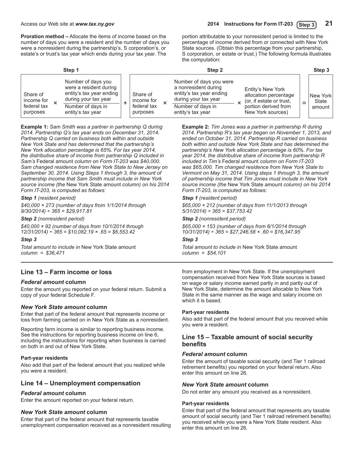**Proration method –** Allocate the items of income based on the number of days you were a resident and the number of days you were a nonresident during the partnership's, S corporation's, or estate's or trust's tax year which ends during your tax year. The

portion attributable to your nonresident period is limited to the percentage of income derived from or connected with New York State sources. (Obtain this percentage from your partnership, S corporation, or estate or trust.) The following formula illustrates the computation:

|                                                   | Step 1                                                                                                                                     | Step 2                                            |   |                                                                                                                                               |  |                                                                                                                     | Step 3                       |
|---------------------------------------------------|--------------------------------------------------------------------------------------------------------------------------------------------|---------------------------------------------------|---|-----------------------------------------------------------------------------------------------------------------------------------------------|--|---------------------------------------------------------------------------------------------------------------------|------------------------------|
| Share of<br>income for<br>federal tax<br>purposes | Number of days you<br>were a resident during<br>entity's tax year ending<br>during your tax year<br>Number of days in<br>entity's tax year | Share of<br>income for<br>federal tax<br>purposes | ᄌ | Number of days you were<br>a nonresident during<br>entity's tax year ending<br>during your tax year<br>Number of days in<br>entity's tax year |  | Entity's New York<br>allocation percentage<br>(or, if estate or trust,<br>portion derived from<br>New York sources) | New York <br>State<br>amount |

**Example 1:** *Sam Smith was a partner in partnership Q during 2014. Partnership Q's tax year ends on December 31, 2014. Partnership Q carried on business both within and outside New York State and has determined that the partnership's New York allocation percentage is 65%. For tax year 2014, the distributive share of income from partnership Q included in Sam's* Federal amount *column on Form IT-203 was \$40,000. Sam changed residence from New York State to New Jersey on September 30, 2014. Using Steps 1 through 3, the amount of partnership income that Sam Smith must include in New York source income (the* New York State amount *column) on his 2014 Form IT-203, is computed as follows:*

#### *Step 1 (resident period)*

*\$40,000 × 273 (number of days from 1/1/2014 through 9/30/2014) ÷ 365 = \$29,917.81*

#### *Step 2 (nonresident period)*

*\$40,000 × 92 (number of days from 10/1/2014 through 12/31/2014) ÷ 365 = \$10,082.19 × .65 = \$6,553.42*

#### *Step 3*

*Total amount to include in* New York State amount *column = \$36,471*

### **Line 13 – Farm income or loss**

### *Federal amount* **column**

Enter the amount you reported on your federal return. Submit a copy of your federal Schedule F.

### *New York State amount* **column**

Enter that part of the federal amount that represents income or loss from farming carried on in New York State as a nonresident.

Reporting farm income is similar to reporting business income. See the instructions for reporting business income on line 6, including the instructions for reporting when business is carried on both in and out of New York State.

### **Part-year residents**

Also add that part of the federal amount that you realized while you were a resident.

### **Line 14 – Unemployment compensation**

### *Federal amount* **column**

Enter the amount reported on your federal return.

### *New York State amount* **column**

Enter that part of the federal amount that represents taxable unemployment compensation received as a nonresident resulting **Example 2:** *Tim Jones was a partner in partnership R during 2014. Partnership R's tax year began on November 1, 2013, and ended on October 31, 2014. Partnership R carried on business both within and outside New York State and has determined the partnership's New York allocation percentage is 60%. For tax year 2014, the distributive share of income from partnership R included in Tim's* Federal amount *column on Form IT-203 was \$65,000. Tim changed residence from New York State to Vermont on May 31, 2014. Using steps 1 through 3, the amount of partnership income that Tim Jones must include in New York source income (the* New York State amount *column) on his 2014 Form IT-203, is computed as follows:*

### *Step 1 (resident period)*

*\$65,000 × 212 (number of days from 11/1/2013 through 5/31/2014) ÷ 365 = \$37,753.42*

#### *Step 2 (nonresident period)*

*\$65,000 × 153 (number of days from 6/1/2014 through 10/31/2014) ÷ 365 = \$27,246.58 × .60 = \$16,347.95* 

#### *Step 3*

*Total amount to include in* New York State amount *column = \$54,101*

from employment in New York State. If the unemployment compensation received from New York State sources is based on wage or salary income earned partly in and partly out of New York State, determine the amount allocable to New York State in the same manner as the wage and salary income on which it is based.

#### **Part-year residents**

Also add that part of the federal amount that you received while you were a resident.

### **Line 15 – Taxable amount of social security benefits**

### *Federal amount* **column**

Enter the amount of taxable social security (and Tier 1 railroad retirement benefits) you reported on your federal return. Also enter this amount on line 26.

### *New York State amount* **column**

Do not enter any amount you received as a nonresident.

#### **Part-year residents**

Enter that part of the federal amount that represents any taxable amount of social security (and Tier 1 railroad retirement benefits) you received while you were a New York State resident. Also enter this amount on line 26.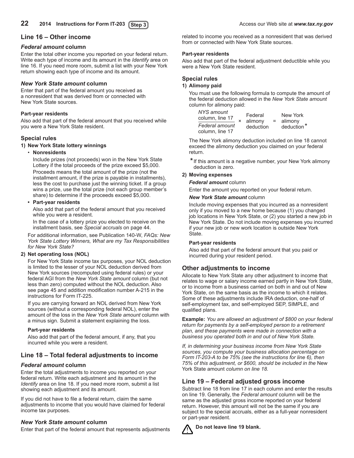### **Line 16 – Other income**

### *Federal amount* **column**

Enter the total other income you reported on your federal return. Write each type of income and its amount in the *Identify* area on line 16. If you need more room, submit a list with your New York return showing each type of income and its amount.

### *New York State amount* **column**

Enter that part of the federal amount you received as a nonresident that was derived from or connected with New York State sources.

### **Part-year residents**

Also add that part of the federal amount that you received while you were a New York State resident.

### **Special rules**

### **1) New York State lottery winnings**

### • **Nonresidents**

 Include prizes (not proceeds) won in the New York State Lottery if the total proceeds of the prize exceed \$5,000. Proceeds means the total amount of the prize (not the installment amount, if the prize is payable in installments), less the cost to purchase just the winning ticket. If a group wins a prize, use the total prize (not each group member's share) to determine if the proceeds exceed \$5,000.

### **• Part-year residents**

 Also add that part of the federal amount that you received while you were a resident.

 In the case of a lottery prize you elected to receive on the installment basis, see *Special accruals* on page 44.

 For additional information, see Publication 140-W, *FAQs: New York State Lottery Winners, What are my Tax Responsibilities for New York State?*

### **2) Net operating loss (NOL)**

For New York State income tax purposes, your NOL deduction is limited to the lesser of your NOL deduction derived from New York sources (recomputed using federal rules) or your federal AGI from the *New York State amount* column (but not less than zero) computed without the NOL deduction. Also see page 45 and addition modification number A-215 in the instructions for Form IT-225.

 If you are carrying forward an NOL derived from New York sources (without a corresponding federal NOL), enter the amount of the loss in the *New York State amount* column with a minus sign. Submit a statement explaining the loss.

### **Part-year residents**

Also add that part of the federal amount, if any, that you incurred while you were a resident.

### **Line 18 – Total federal adjustments to income**

### *Federal amount* **column**

Enter the total adjustments to income you reported on your federal return. Write each adjustment and its amount in the *Identify* area on line 18. If you need more room, submit a list showing each adjustment and its amount.

If you did not have to file a federal return, claim the same adjustments to income that you would have claimed for federal income tax purposes.

### *New York State amount* **column**

Enter that part of the federal amount that represents adjustments

related to income you received as a nonresident that was derived from or connected with New York State sources.

### **Part-year residents**

Also add that part of the federal adjustment deductible while you were a New York State resident.

### **Special rules**

### **1) Alimony paid**

 You must use the following formula to compute the amount of the federal deduction allowed in the *New York State amount*  column for alimony paid:

| NYS amount<br>column, line 17     | Federal<br>alimony | $=$ | New York<br>alimony    |
|-----------------------------------|--------------------|-----|------------------------|
| Federal amount<br>column. line 17 | deduction          |     | deduction <sup>*</sup> |

 The New York alimony deduction included on line 18 cannot exceed the alimony deduction you claimed on your federal return.

 **\***If this amount is a negative number, your New York alimony deduction is zero.

### **2) Moving expenses**

*Federal amount* column

 Enter the amount you reported on your federal return.

### *New York State amount* column

 Include moving expenses that you incurred as a nonresident only if you moved to a new home because (1) you changed job locations in New York State, or (2) you started a new job in New York State. Do not include moving expenses you incurred if your new job or new work location is outside New York State.

### **Part-year residents**

Also add that part of the federal amount that you paid or incurred during your resident period.

### **Other adjustments to income**

Allocate to New York State any other adjustment to income that relates to wage or salary income earned partly in New York State, or to income from a business carried on both in and out of New York State, on the same basis as the income to which it relates. Some of these adjustments include IRA deduction, one-half of self-employment tax, and self-employed SEP, SIMPLE, and qualified plans.

**Example:** *You are allowed an adjustment of \$800 on your federal return for payments by a self-employed person to a retirement plan, and these payments were made in connection with a business you operated both in and out of New York State.*

*If, in determining your business income from New York State sources, you compute your business allocation percentage on Form IT-203-A to be 75% (see the instructions for line 6), then 75% of this adjustment, or \$600, should be included in the* New York State amount *column on line 18.*

### **Line 19 – Federal adjusted gross income**

Subtract line 18 from line 17 in each column and enter the results on line 19. Generally, the *Federal amount* column will be the same as the adjusted gross income reported on your federal return. However, this amount will not be the same if you are subject to the special accruals, either as a full-year nonresident or part-year resident.



**Do not leave line 19 blank.**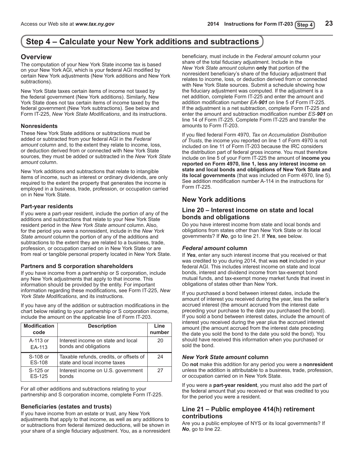## <span id="page-22-0"></span>**Step 4 – Calculate your New York additions and subtractions Step 4 – Calculate your New York additions and subtractions**

### **Overview**

The computation of your New York State income tax is based on your New York AGI, which is your federal AGI modified by certain New York adjustments (New York additions and New York subtractions).

New York State taxes certain items of income not taxed by the federal government (New York additions). Similarly, New York State does not tax certain items of income taxed by the federal government (New York subtractions). See below and Form IT-225, *New York State Modifications*, and its instructions.

### **Nonresidents**

These New York State additions or subtractions must be added or subtracted from your federal AGI in the *Federal amount* column and, to the extent they relate to income, loss, or deduction derived from or connected with New York State sources, they must be added or subtracted in the *New York State amount* column.

New York additions and subtractions that relate to intangible items of income, such as interest or ordinary dividends, are only required to the extent the property that generates the income is employed in a business, trade, profession, or occupation carried on in New York State.

### **Part-year residents**

If you were a part-year resident, include the portion of any of the additions and subtractions that relate to your New York State resident period in the *New York State amount* column. Also, for the period you were a nonresident, include in the *New York State amount* column the portion of any of the additions and subtractions to the extent they are related to a business, trade, profession, or occupation carried on in New York State or are from real or tangible personal property located in New York State.

### **Partners and S corporation shareholders**

If you have income from a partnership or S corporation, include any New York adjustments that apply to that income. This information should be provided by the entity. For important information regarding these modifications, see Form IT-225, *New York State Modifications*, and its instructions.

If you have any of the addition or subtraction modifications in the chart below relating to your partnership or S corporation income, include the amount on the applicable line of Form IT-203.

| <b>Modification</b><br>code | <b>Description</b>                                                      | Line<br>number |
|-----------------------------|-------------------------------------------------------------------------|----------------|
| A-113 or<br>EA-113          | Interest income on state and local<br>bonds and obligations             | 20             |
| S-108 or<br>ES-108          | Taxable refunds, credits, or offsets of<br>state and local income taxes | 24             |
| S-125 or<br>ES-125          | Interest income on U.S. government<br>bonds                             | 27             |

For all other additions and subtractions relating to your partnership and S corporation income, complete Form IT-225.

### **Beneficiaries (estates and trusts)**

If you have income from an estate or trust, any New York adjustments that apply to that income, as well as any additions to or subtractions from federal itemized deductions, will be shown in your share of a single fiduciary adjustment. You, as a nonresident beneficiary, must include in the *Federal amount* column your share of the total fiduciary adjustment. Include in the *New York State amount* column **only** that portion of the nonresident beneficiary's share of the fiduciary adjustment that relates to income, loss, or deduction derived from or connected with New York State sources. Submit a schedule showing how the fiduciary adjustment was computed. If the adjustment is a net addition, complete Form IT-225 and enter the amount and addition modification number *EA-901* on line 5 of Form IT-225. If the adjustment is a net subtraction, complete Form IT-225 and enter the amount and subtraction modification number *ES-901* on line 14 of Form IT-225. Complete Form IT-225 and transfer the amounts to Form IT-203.

If you filed federal Form 4970, *Tax on Accumulation Distribution of Trusts*, the income you reported on line 1 of Form 4970 is not included on line 11 of Form IT‑203 because the IRC considers the distribution part of federal gross income. You must therefore include on line 5 of your Form IT-225 the amount of **income you reported on Form 4970, line 1, less any interest income on state and local bonds and obligations of New York State and its local governments** (that was included on Form 4970, line 5). See addition modification number A-114 in the instructions for Form IT-225.

### **New York additions**

### **Line 20 – Interest income on state and local bonds and obligations**

Do you have interest income from state and local bonds and obligations from states other than New York State or its local governments? If *No*, go to line 21. If *Yes*, see below.

### *Federal amount* **column**

If *Yes*, enter any such interest income that you received or that was credited to you during 2014, that was **not** included in your federal AGI. This includes interest income on state and local bonds, interest and dividend income from tax-exempt bond mutual funds, and tax‑exempt money market funds that invest in obligations of states other than New York.

If you purchased a bond between interest dates, include the amount of interest you received during the year, less the seller's accrued interest (the amount accrued from the interest date preceding your purchase to the date you purchased the bond). If you sold a bond between interest dates, include the amount of interest you received during the year plus the accrued interest amount (the amount accrued from the interest date preceding the date you sold the bond to the date you sold the bond). You should have received this information when you purchased or sold the bond.

### *New York State amount* **column**

Do **not** make this addition for any period you were a **nonresident** unless the addition is attributable to a business, trade, profession, or occupation carried on in New York State.

If you were a **part-year resident**, you must also add the part of the federal amount that you received or that was credited to you for the period you were a resident.

### **Line 21 – Public employee 414(h) retirement contributions**

Are you a public employee of NYS or its local governments? If *No*, go to line 22.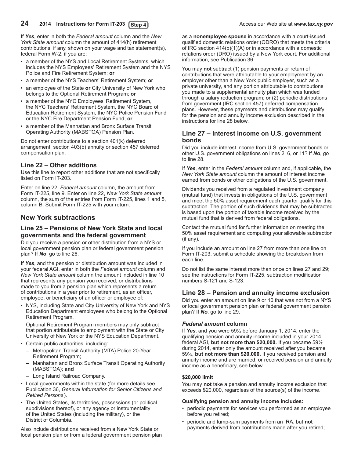If *Yes*, enter in both the *Federal amount* column and the *New York State amount* column the amount of 414(h) retirement contributions, if any, shown on your wage and tax statement(s), federal Form W-2, if you are:

- a member of the NYS and Local Retirement Systems, which includes the NYS Employees' Retirement System and the NYS Police and Fire Retirement System; **or**
- • a member of the NYS Teachers' Retirement System; **or**
- • an employee of the State **or** City University of New York who belongs to the Optional Retirement Program; **or**
- • a member of the NYC Employees' Retirement System, the NYC Teachers' Retirement System, the NYC Board of Education Retirement System, the NYC Police Pension Fund or the NYC Fire Department Pension Fund; **or**
- a member of the Manhattan and Bronx Surface Transit Operating Authority (MABSTOA) Pension Plan.

Do not enter contributions to a section 401(k) deferred arrangement, section 403(b) annuity or section 457 deferred compensation plan.

### **Line 22 – Other additions**

Use this line to report other additions that are not specifically listed on Form IT-203.

Enter on line 22, *Federal amount* column, the amount from Form IT-225, line 9. Enter on line 22, *New York State amount* column, the sum of the entries from Form IT-225, lines 1 and 5, column B. Submit Form IT-225 with your return.

## **New York subtractions**

### **Line 25 – Pensions of New York State and local governments and the federal government**

Did you receive a pension or other distribution from a NYS or local government pension plan or federal government pension plan? If *No*, go to line 26.

If *Yes*, and the pension or distribution amount was included in your federal AGI, enter in both the *Federal amount* column and *New York State amount* column the amount included in line 10 that represents any pension you received, or distributions made to you from a pension plan which represents a return of contributions in a year prior to retirement, as an officer, employee, or beneficiary of an officer or employee of:

NYS, including State and City University of New York and NYS Education Department employees who belong to the Optional Retirement Program.

 Optional Retirement Program members may only subtract that portion attributable to employment with the State or City University of New York or the NYS Education Department.

- • Certain public authorities, including:
	- – Metropolitan Transit Authority (MTA) Police 20‑Year Retirement Program;
	- Manhattan and Bronx Surface Transit Operating Authority (MABSTOA); **and**
	- Long Island Railroad Company.
- • Local governments within the state (for more details see Publication 36, *General Information for Senior Citizens and Retired Persons* ).
- The United States, its territories, possessions (or political subdivisions thereof), or any agency or instrumentality of the United States (including the military), or the District of Columbia.

Also include distributions received from a New York State or local pension plan or from a federal government pension plan as a **nonemployee spouse** in accordance with a court-issued qualified domestic relations order (QDRO) that meets the criteria of IRC section 414(p)(1)(A) or in accordance with a domestic relations order (DRO) issued by a New York court. For additional information, see Publication 36.

You may **not** subtract (1) pension payments or return of contributions that were attributable to your employment by an employer other than a New York public employer, such as a private university, and any portion attributable to contributions you made to a supplemental annuity plan which was funded through a salary reduction program; or (2) periodic distributions from government (IRC section 457) deferred compensation plans. However, these payments and distributions may qualify for the pension and annuity income exclusion described in the instructions for line 28 below.

### **Line 27 – Interest income on U.S. government bonds**

Did you include interest income from U.S. government bonds or other U.S. government obligations on lines 2, 6, or 11? If *No*, go to line 28.

If *Yes*, enter in the *Federal amount* column and, if applicable, the *New York State amount* column the amount of interest income earned from bonds or other obligations of the U.S. government.

Dividends you received from a regulated investment company (mutual fund) that invests in obligations of the U.S. government and meet the 50% asset requirement each quarter qualify for this subtraction. The portion of such dividends that may be subtracted is based upon the portion of taxable income received by the mutual fund that is derived from federal obligations.

Contact the mutual fund for further information on meeting the 50% asset requirement and computing your allowable subtraction (if any).

If you include an amount on line 27 from more than one line on Form IT-203, submit a schedule showing the breakdown from each line.

Do not list the same interest more than once on lines 27 and 29; see the instructions for Form IT-225, subtraction modification numbers S-121 and S-123.

### **Line 28 – Pension and annuity income exclusion**

Did you enter an amount on line 9 or 10 that was not from a NYS or local government pension plan or federal government pension plan? If *No*, go to line 29.

### *Federal amount* **column**

If *Yes*, and you were 59½ before January 1, 2014, enter the qualifying pension and annuity income included in your 2014 federal AGI, **but not more than \$20,000.** If you became 59½ during 2014, enter only the amount received after you became 59½, **but not more than \$20,000.** If you received pension and annuity income and are married, or received pension and annuity income as a beneficiary, see below.

### **\$20,000 limit**

You may **not** take a pension and annuity income exclusion that exceeds \$20,000, regardless of the source(s) of the income.

### **Qualifying pension and annuity income includes:**

- periodic payments for services you performed as an employee before you retired;
- periodic and lump-sum payments from an IRA, but not payments derived from contributions made after you retired;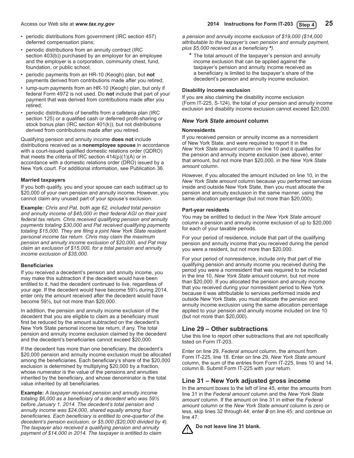- periodic distributions from government (IRC section 457) deferred compensation plans;
- periodic distributions from an annuity contract (IRC section 403(b)) purchased by an employer for an employee and the employer is a corporation, community chest, fund, foundation, or public school;
- • periodic payments from an HR-10 (Keogh) plan, but **not** payments derived from contributions made after you retired;
- lump-sum payments from an HR-10 (Keogh) plan, but only if federal Form 4972 is not used. Do **not** include that part of your payment that was derived from contributions made after you retired;
- periodic distributions of benefits from a cafeteria plan (IRC section 125) or a qualified cash or deferred profit-sharing or stock bonus plan (IRC section 401(k)), but not distributions derived from contributions made after you retired.

Qualifying pension and annuity income **does not** include distributions received as a **nonemployee spouse** in accordance with a court-issued qualified domestic relations order (QDRO) that meets the criteria of IRC section  $414(p)(1)(A)$  or in accordance with a domestic relations order (DRO) issued by a New York court. For additional information, see Publication 36.

### **Married taxpayers**

If you both qualify, you and your spouse can each subtract up to \$20,000 of your own pension and annuity income. However, you cannot claim any unused part of your spouse's exclusion.

**Example:** *Chris and Pat, both age 62, included total pension and annuity income of \$45,000 in their federal AGI on their joint federal tax return. Chris received qualifying pension and annuity payments totaling \$30,000 and Pat received qualifying payments totaling \$15,000. They are filing a joint New York State resident personal income tax return. Chris may claim the maximum pension and annuity income exclusion of \$20,000, and Pat may claim an exclusion of \$15,000, for a total pension and annuity income exclusion of \$35,000.*

### **Beneficiaries**

If you received a decedent's pension and annuity income, you may make this subtraction if the decedent would have been entitled to it, had the decedent continued to live, regardless of your age. If the decedent would have become 59½ during 2014, enter only the amount received after the decedent would have become 59½, but not more than \$20,000.

In addition, the pension and annuity income exclusion of the decedent that you are eligible to claim as a beneficiary must first be reduced by the amount subtracted on the decedent's New York State personal income tax return, if any. The total pension and annuity income exclusion claimed by the decedent and the decedent's beneficiaries cannot exceed \$20,000.

If the decedent has more than one beneficiary, the decedent's \$20,000 pension and annuity income exclusion must be allocated among the beneficiaries. Each beneficiary's share of the \$20,000 exclusion is determined by multiplying \$20,000 by a fraction, whose numerator is the value of the pensions and annuities inherited by the beneficiary, and whose denominator is the total value inherited by all beneficiaries.

**Example:** *A taxpayer received pension and annuity income totaling \$6,000 as a beneficiary of a decedent who was 59½ before January 1, 2014. The decedent's total pension and annuity income was \$24,000, shared equally among four beneficiaries. Each beneficiary is entitled to one‑quarter of the decedent's pension exclusion, or \$5,000 (\$20,000 divided by 4). The taxpayer also received a qualifying pension and annuity payment of \$14,000 in 2014. The taxpayer is entitled to claim* 

*a pension and annuity income exclusion of \$19,000 (\$14,000 attributable to the taxpayer's own pension and annuity payment, plus \$5,000 received as a beneficiary \*).*

\* The total amount of the taxpayer's pension and annuity income exclusion that can be applied against the taxpayer's pension and annuity income received as a beneficiary is limited to the taxpayer's share of the decedent's pension and annuity income exclusion.

### **Disability income exclusion**

If you are also claiming the disability income exclusion (Form IT-225, S-124), the total of your pension and annuity income exclusion and disability income exclusion cannot exceed \$20,000.

### *New York State amount* **column**

### **Nonresidents**

If you received pension or annuity income as a nonresident of New York State, and were required to report it in the *New York State amount* column on line 10 and it qualifies for the pension and annuity income exclusion (see above), enter that amount, but not more than \$20,000, in the *New York State amount* column.

However, if you allocated the amount included on line 10, in the *New York State amount* column because you performed services inside and outside New York State, then you must allocate the pension and annuity exclusion in the same manner, using the same allocation percentage (but not more than \$20,000).

### **Part-year residents**

You may be entitled to deduct in the *New York State amount* column a pension and annuity income exclusion of up to \$20,000 for each of your taxable periods.

For your period of residence, include that part of the qualifying pension and annuity income that you received during the period you were a resident, but not more than \$20,000.

For your period of nonresidence, include only that part of the qualifying pension and annuity income you received during the period you were a nonresident that was required to be included in the line 10, *New York State amount* column, but not more than \$20,000. If you allocated the pension and annuity income that you received during your nonresident period to New York because it was attributable to services performed inside and outside New York State, you must allocate the pension and annuity income exclusion using the same allocation percentage applied to your pension and annuity income included on line 10 (but not more than \$20,000).

### **Line 29 – Other subtractions**

Use this line to report other subtractions that are not specifically listed on Form IT-203.

Enter on line 29, *Federal amount* column, the amount from Form IT-225, line 18. Enter on line 29, *New York State amount* column, the sum of the entries from Form IT-225, lines 10 and 14, column B. Submit Form IT-225 with your return.

### **Line 31 – New York adjusted gross income**

In the amount boxes to the left of line 45, enter the amounts from line 31 in the *Federal amount* column and the *New York State amount* column. If the amount on line 31 in either the *Federal amount* column or the *New York State amount* column is zero or less, skip lines 32 through 44; enter *0* on line 45; and continue on line 47.

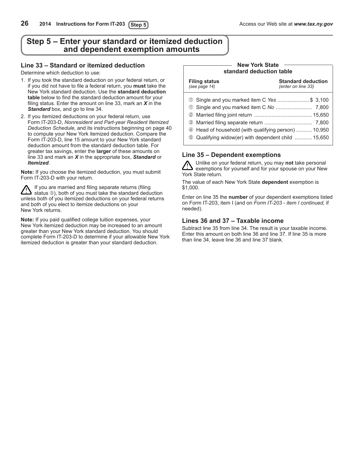## <span id="page-25-0"></span>**Step 5 – Enter your standard or itemized deduction and dependent exemption amounts**

### **Line 33 – Standard or itemized deduction**

Determine which deduction to use:

- 1. If you took the standard deduction on your federal return, or if you did not have to file a federal return, you **must** take the New York standard deduction. Use the **standard deduction table** below to find the standard deduction amount for your filing status. Enter the amount on line 33, mark an *X* in the *Standard* box, and go to line 34.
- 2. If you itemized deductions on your federal return, use Form IT-203-D, *Nonresident and Part-year Resident Itemized Deduction Schedule,* and its instructions beginning on page 40 to compute your New York itemized deduction. Compare the Form IT-203-D, line 15 amount to your New York standard deduction amount from the standard deduction table. For greater tax savings, enter the **larger** of these amounts on line 33 and mark an *X* in the appropriate box, *Standard* or *Itemized*.

**Note:** If you choose the itemized deduction, you must submit Form IT-203-D with your return.

If you are married and filing separate returns (filing status  $\mathcal{D}$ ), both of you must take the standard deduction unless both of you itemized deductions on your federal returns and both of you elect to itemize deductions on your New York returns.

**Note:** If you paid qualified college tuition expenses, your New York itemized deduction may be increased to an amount greater than your New York standard deduction. You should complete Form IT-203-D to determine if your allowable New York itemized deduction is greater than your standard deduction.

#### **New York State standard deduction table**

| Filing status<br>(see page 14)                                                                                                                               | <b>Standard deduction</b><br>(enter on line 33) |  |  |  |
|--------------------------------------------------------------------------------------------------------------------------------------------------------------|-------------------------------------------------|--|--|--|
| 100 Single and you marked item C Yes \$ 3,100<br>4 Head of household (with qualifying person)  10,950<br>© Qualifying widow(er) with dependent child  15,650 |                                                 |  |  |  |

### **Line 35 – Dependent exemptions**

Unlike on your federal return, you may **not** take personal exemptions for yourself and for your spouse on your New York State return.

The value of each New York State **dependent** exemption is \$1,000.

Enter on line 35 the **number** of your dependent exemptions listed on Form IT-203, item I (and on *Form IT-203 - item I continued,* if needed).

### **Lines 36 and 37 – Taxable income**

Subtract line 35 from line 34. The result is your taxable income. Enter this amount on both line 36 and line 37. If line 35 is more than line 34, leave line 36 and line 37 blank.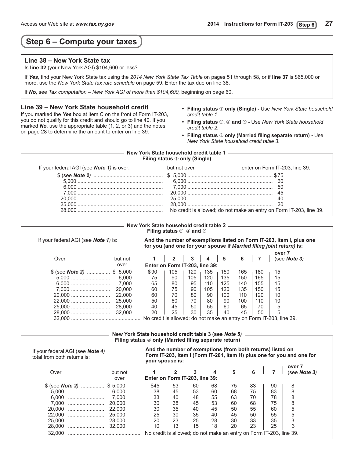## <span id="page-26-0"></span>**Step 6 – Compute your taxes**

### **Line 38 – New York State tax**

Is **line 32** (your New York AGI) \$104,600 or less?

If *Yes*, find your New York State tax using the *2014 New York State Tax Table* on pages 51 through 58, or if **line 37** is \$65,000 or more, use the *New York State tax rate schedule* on page 59. Enter the tax due on line 38.

If *No*, see *Tax computation – New York AGI of more than \$104,600,* beginning on page 60.

### **Line 39 – New York State household credit**

If you marked the *Yes* box at item C on the front of Form IT-203, you do not qualify for this credit and should go to line 40. If you marked *No*, use the appropriate table (1, 2, or 3) and the notes on page 28 to determine the amount to enter on line 39.

- **• Filing status only (Single)** Use *New York State household credit table 1*.
- Filing status 2, 4 and 5 Use New York State household *credit table 2*.
- **• Filing status only (Married filing separate return)** Use *New York State household credit table 3*.

### **Filing status only (Single) New York State household credit table 1**

| If your federal AGI (see <b>Note 1</b> ) is over: | but not over | enter on Form IT-203, line 39: |
|---------------------------------------------------|--------------|--------------------------------|
|                                                   |              |                                |
|                                                   |              |                                |
|                                                   |              |                                |
|                                                   |              |                                |
|                                                   |              |                                |
|                                                   |              |                                |
|                                                   |              |                                |

#### **Filing status 2. 4 and 5 New York State household credit table 2**

| If your federal AGI (see <b>Note 1)</b> is: |      |                                |              |                         |           |                                               |     | And the number of exemptions listed on Form IT-203, item I, plus one<br>for you (and one for your spouse if Married filing joint return) is: |
|---------------------------------------------|------|--------------------------------|--------------|-------------------------|-----------|-----------------------------------------------|-----|----------------------------------------------------------------------------------------------------------------------------------------------|
| but not                                     |      |                                | $\mathbf{3}$ | $\overline{\mathbf{4}}$ | $\vert$ 5 | $\begin{array}{c c c c c} \hline \end{array}$ |     | over 7<br>(see <b>Note</b> 3)                                                                                                                |
| over                                        |      | Enter on Form IT-203, line 39: |              |                         |           |                                               |     |                                                                                                                                              |
| $$$ (see Note 2)  \$ 5,000                  | \$90 | 105                            | 120          | 135                     | 150       | 165                                           | 180 | 15                                                                                                                                           |
| 6.000                                       | 75   | 90                             | 105          | 120                     | 135       | 150                                           | 165 | 15                                                                                                                                           |
| 7.000                                       | 65   | 80                             | 95           | 110                     | 125       | 140                                           | 155 | 15                                                                                                                                           |
| 20,000<br>7.000                             | 60   | 75                             | 90           | 105                     | 120       | 135                                           | 150 | 15                                                                                                                                           |
| 22,000                                      | 60   | 70                             | 80           | 90                      | 100       | 110                                           | 120 | 10                                                                                                                                           |
| 25,000                                      | 50   | 60                             | 70           | 80                      | 90        | 100                                           | 110 | 10                                                                                                                                           |
| 28,000<br>25.000                            | 40   | 45                             | 50           | 55                      | 60        | 65                                            | 70  | 5                                                                                                                                            |
| 32,000                                      | 20   | 25                             | 30           | 35                      | 40        | 45                                            | 50  | 5                                                                                                                                            |

### **New York State household credit table 3 (see** *Note 5)* **Filing status**  $\circledcirc$  **only (Married filing separate return)**

| If your federal AGI (see <b>Note 4)</b><br>total from both returns is: | And the number of exemptions (from both returns) listed on<br>your spouse is: |                                                                                 |                |                |                                 |                                                                                     |                | Form IT-203, item I (Form IT-201, item H) plus one for you and one for |                               |
|------------------------------------------------------------------------|-------------------------------------------------------------------------------|---------------------------------------------------------------------------------|----------------|----------------|---------------------------------|-------------------------------------------------------------------------------------|----------------|------------------------------------------------------------------------|-------------------------------|
| Over                                                                   | but not<br>over                                                               | Enter on Form IT-203, line 39:                                                  | $\mathbf{z}$   | $\mathbf{3}$   | $\begin{array}{cc} \end{array}$ | $\begin{array}{ c c c c c } \hline \quad & \quad 5 & \quad 6 \\ \hline \end{array}$ |                |                                                                        | over 7<br>(see <b>Note</b> 3) |
| $$$ (see Note 2)  \$ 5,000<br>5.000<br>6.000<br>                       | 6.000<br>7.000                                                                | \$45<br>38<br>33                                                                | 53<br>45<br>40 | 60<br>53<br>48 | 68<br>60<br>55                  | 75<br>68<br>63                                                                      | 83<br>75<br>70 | 90<br>83<br>78                                                         | 8<br>8<br>8                   |
| 7.000<br>20,000<br>22,000<br>                                          | 20.000<br>22.000<br>25.000                                                    | 30<br>30<br>25                                                                  | 38<br>35<br>30 | 45<br>40<br>35 | 53<br>45<br>40                  | 60<br>50<br>45                                                                      | 68<br>55<br>50 | 75<br>60<br>55                                                         | 8<br>5<br>5                   |
| 25,000<br>28,000<br>32,000                                             | 28.000<br>32.000                                                              | 20<br>10<br>No credit is allowed; do not make an entry on Form IT-203, line 39. | 23<br>13       | 25<br>15       | 28<br>18                        | 30<br>20                                                                            | 33<br>23       | 35<br>25                                                               | 3<br>3                        |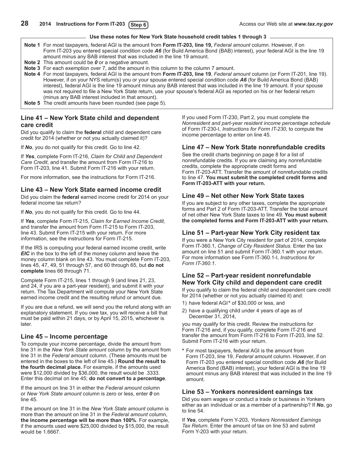### **Use these notes for New York State household credit tables 1 through 3**

- <span id="page-27-0"></span>**Note 1** For most taxpayers, federal AGI is the amount from **Form IT-203, line 19,** *Federal amount* column. However, if on Form IT-203 you entered special condition code *A6* (for Build America Bond (BAB) interest), your federal AGI is the line 19 amount minus any BAB interest that was included in the line 19 amount.
- **Note 2** This amount could be **0** or a negative amount.
- **Note 3** For each exemption over 7, add the amount in this column to the column 7 amount.

**Note 4** For most taxpayers, federal AGI is the amount from **Form IT-203, line 19**, *Federal amount* column (or Form IT-201, line 19). However, if on your NYS return(s) you or your spouse entered special condition code A6 (for Build America Bond (BAB) interest), federal AGI is the line 19 amount minus any BAB interest that was included in the line 19 amount. If your spouse was not required to file a New York State return, use your spouse's federal AGI as reported on his or her federal return (minus any BAB interest included in that amount).

**Note 5** The credit amounts have been rounded (see page 5).

### **Line 41 – New York State child and dependent care credit**

Did you qualify to claim the **federal** child and dependent care credit for 2014 (whether or not you actually claimed it)?

If *No*, you do not qualify for this credit. Go to line 42.

If *Yes*, complete Form IT-216, *Claim for Child and Dependent Care Credit*, and transfer the amount from Form IT‑216 to Form IT‑203, line 41. Submit Form IT‑216 with your return.

For more information, see the instructions for Form IT-216.

### **Line 43 – New York State earned income credit**

Did you claim the **federal** earned income credit for 2014 on your federal income tax return?

If *No*, you do not qualify for this credit. Go to line 44.

If *Yes*, complete Form IT-215, *Claim for Earned Income Credit,* and transfer the amount from Form IT-215 to Form IT-203, line 43. Submit Form IT‑215 with your return. For more information, see the instructions for Form IT-215.

If the IRS is computing your federal earned income credit, write *EIC* in the box to the left of the money column and leave the money column blank on line 43. You must complete Form IT-203, lines 45, 47, 49, 51 through 57, and 60 through 65, but **do not complete** lines 66 through 71.

Complete Form IT-215, lines 1 through 9 (and lines 21, 23, and 24, if you are a part-year resident), and submit it with your return. The Tax Department will compute your New York State earned income credit and the resulting refund or amount due.

If you are due a refund, we will send you the refund along with an explanatory statement. If you owe tax, you will receive a bill that must be paid within 21 days, or by April 15, 2015, whichever is later.

### **Line 45 – Income percentage**

To compute your income percentage, divide the amount from line 31 in the *New York State amount* column by the amount from line 31 in the *Federal amount* column. (These amounts must be entered in the boxes to the left of line 45.) **Round the result to the fourth decimal place.** For example, if the amounts used were \$12,000 divided by \$36,000, the result would be .3333. Enter this decimal on line 45; **do not convert to a percentage**.

If the amount on line 31 in either the *Federal amount* column or *New York State amount* column is zero or less, enter *0* on line 45.

If the amount on line 31 in the *New York State amount* column is more than the amount on line 31 in the *Federal amount* column, **the income percentage will be more than 100%**. For example, if the amounts used were \$25,000 divided by \$15,000, the result would be 1.6667.

If you used Form IT‑230, Part 2, you must complete the *Nonresident and part-year resident income percentage schedule* of Form IT‑230‑I, *Instructions for Form IT-230*, to compute the income percentage to enter on line 45.

### **Line 47 – New York State nonrefundable credits**

See the credit charts beginning on page 8 for a list of nonrefundable credits. If you are claiming any nonrefundable credits, complete the appropriate credit forms and Form IT‑203‑ATT. Transfer the amount of nonrefundable credits to line 47. **You must submit the completed credit forms and Form IT-203-ATT with your return.**

### **Line 49 – Net other New York State taxes**

If you are subject to any other taxes, complete the appropriate forms and Part 2 of Form IT‑203‑ATT. Transfer the total amount of net other New York State taxes to line 49. **You must submit the completed forms and Form IT-203-ATT with your return.**

### **Line 51 – Part-year New York City resident tax**

If you were a New York City resident for part of 2014, complete Form IT-360.1, *Change of City Resident Status.* Enter the tax amount on line 51 and submit Form IT-360.1 with your return. For more information see Form IT‑360.1-I, *Instructions for Form IT-360.1*.

### **Line 52 – Part-year resident nonrefundable New York City child and dependent care credit**

If you qualify to claim the federal child and dependent care credit for 2014 (whether or not you actually claimed it) and:

- 1) have federal AGI**\*** of \$30,000 or less, and
- 2) have a qualifying child under 4 years of age as of December 31, 2014,

you may qualify for this credit. Review the instructions for Form IT-216 and, if you qualify, complete Form IT-216 and transfer the amount from Form IT-216 to Form IT-203, line 52. Submit Form IT-216 with your return.

**\*** For most taxpayers, federal AGI is the amount from Form IT-203, line 19, *Federal amount* column. However, if on Form IT-203 you entered special condition code *A6* (for Build America Bond (BAB) interest), your federal AGI is the line 19 amount minus any BAB interest that was included in the line 19 amount.

### **Line 53 – Yonkers nonresident earnings tax**

Did you earn wages or conduct a trade or business in Yonkers either as an individual or as a member of a partnership? If *No*, go to line 54.

If *Yes*, complete Form Y‑203, *Yonkers Nonresident Earnings Tax Return*. Enter the amount of tax on line 53 and submit Form Y‑203 with your return.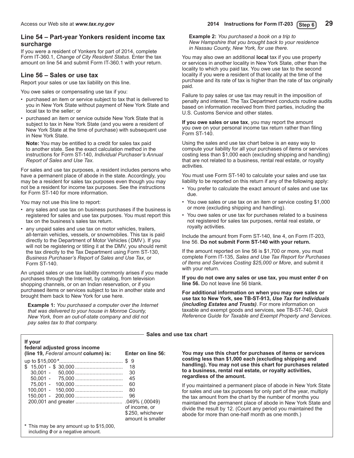### **Line 54 – Part-year Yonkers resident income tax surcharge**

If you were a resident of Yonkers for part of 2014, complete Form IT‑360.1, *Change of City Resident Status*. Enter the tax amount on line 54 and submit Form IT-360.1 with your return.

### **Line 56 – Sales or use tax**

Report your sales or use tax liability on this line.

You owe sales or compensating use tax if you:

- purchased an item or service subject to tax that is delivered to you in New York State without payment of New York State and local tax to the seller; or
- purchased an item or service outside New York State that is subject to tax in New York State (and you were a resident of New York State at the time of purchase) with subsequent use in New York State.

**Note:** You may be entitled to a credit for sales tax paid to another state. See the exact calculation method in the instructions for Form ST-140, *Individual Purchaser's Annual Report of Sales and Use Tax.*

For sales and use tax purposes, a resident includes persons who have a permanent place of abode in the state. Accordingly, you may be a resident for sales tax purposes even though you may not be a resident for income tax purposes. See the instructions for Form ST-140 for more information.

You may not use this line to report:

- any sales and use tax on business purchases if the business is registered for sales and use tax purposes. You must report this tax on the business's sales tax return.
- any unpaid sales and use tax on motor vehicles, trailers, all-terrain vehicles, vessels, or snowmobiles. This tax is paid directly to the Department of Motor Vehicles (DMV). If you will not be registering or titling it at the DMV, you should remit the tax directly to the Tax Department using Form ST-130, *Business Purchaser's Report of Sales and Use Tax*, or Form ST-140.

An unpaid sales or use tax liability commonly arises if you made purchases through the Internet, by catalog, from television shopping channels, or on an Indian reservation, or if you purchased items or services subject to tax in another state and brought them back to New York for use here.

**Example 1:** *You purchased a computer over the Internet that was delivered to your house in Monroe County, New York, from an out-of-state company and did not pay sales tax to that company.* 

**Example 2:** *You purchased a book on a trip to New Hampshire that you brought back to your residence in Nassau County, New York, for use there.*

You may also owe an additional **local** tax if you use property or services in another locality in New York State, other than the locality to which you paid tax. You owe use tax to the second locality if you were a resident of that locality at the time of the purchase and its rate of tax is higher than the rate of tax originally paid.

Failure to pay sales or use tax may result in the imposition of penalty and interest. The Tax Department conducts routine audits based on information received from third parties, including the U.S. Customs Service and other states.

**If you owe sales or use tax**, you may report the amount you owe on your personal income tax return rather than filing Form ST-140.

Using the sales and use tax chart below is an easy way to compute your liability for all your purchases of items or services costing less than \$1,000 each (excluding shipping and handling) that are not related to a business, rental real estate, or royalty activities.

You must use Form ST-140 to calculate your sales and use tax liability to be reported on this return if any of the following apply:

- You prefer to calculate the exact amount of sales and use tax due.
- You owe sales or use tax on an item or service costing \$1,000 or more (excluding shipping and handling).
- You owe sales or use tax for purchases related to a business not registered for sales tax purposes, rental real estate, or royalty activities.

Include the amount from Form ST-140, line 4, on Form IT-203, line 56. **Do not submit Form ST-140 with your return.**

If the amount reported on line 56 is \$1,700 or more, you must complete Form IT-135, *Sales and Use Tax Report for Purchases of Items and Services Costing \$25,000 or More*, and submit it with your return.

**If you do not owe any sales or use tax, you must enter** *0* **on line 56.** Do not leave line 56 blank.

**For additional information on when you may owe sales or use tax to New York, see TB-ST-913,** *Use Tax for Individuals (including Estates and Trusts)*. For more information on taxable and exempt goods and services, see TB-ST-740, *Quick Reference Guide for Taxable and Exempt Property and Services.*

**Sales and use tax chart**

| If your<br>federal adjusted gross income |                                                                          |
|------------------------------------------|--------------------------------------------------------------------------|
| (line 19, Federal amount column) is:     | Enter on line 56:                                                        |
|                                          | -9<br>S<br>18<br>30<br>45<br>60<br>80<br>96                              |
| * This may be any amount up to \$15,000, | .049% (.00049)<br>of income, or<br>\$250, whichever<br>amount is smaller |

including *0* or a negative amount.

**You may use this chart for purchases of items or services costing less than \$1,000 each (excluding shipping and handling). You may not use this chart for purchases related to a business, rental real estate, or royalty activities, regardless of the amount.**

If you maintained a permanent place of abode in New York State for sales and use tax purposes for only part of the year, multiply the tax amount from the chart by the number of months you maintained the permanent place of abode in New York State and divide the result by 12. (Count any period you maintained the abode for more than one-half month as one month.)

<span id="page-28-0"></span>Access our Web site at *www.tax.ny.gov* **2014 Instructions for Form IT-203 29 Step 6**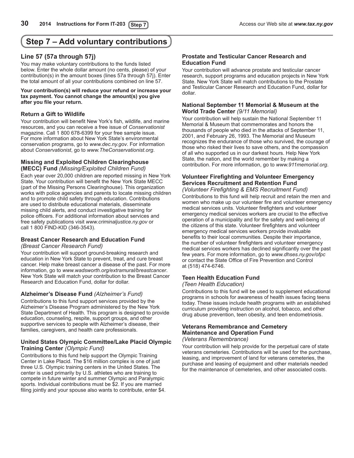## <span id="page-29-0"></span>**Step 7 – Add voluntary contributions**

### **Line 57 (57a through 57j)**

You may make voluntary contributions to the funds listed below. Enter the whole dollar amount (no cents, please) of your contribution(s) in the amount boxes (lines 57a through 57j). Enter the total amount of all your contributions combined on line 57.

#### **Your contribution(s) will reduce your refund or increase your tax payment. You cannot change the amount(s) you give after you file your return.**

### **Return a Gift to Wildlife**

Your contribution will benefit New York's fish, wildlife, and marine resources, and you can receive a free issue of *Conservationist* magazine. Call 1 800 678-6399 for your free sample issue. For more information about New York State's environmental conservation programs, go to *www.dec.ny.gov*. For information about *Conservationist*, go to *www.TheConservationist.org*.

### **Missing and Exploited Children Clearinghouse (MECC) Fund** *(Missing/Exploited Children Fund)*

Each year over 20,000 children are reported missing in New York State. Your contribution will benefit the New York State MECC (part of the Missing Persons Clearinghouse). This organization works with police agencies and parents to locate missing children and to promote child safety through education. Contributions are used to distribute educational materials, disseminate missing child alerts, and conduct investigative training for police officers. For additional information about services and free safety publications visit *www.criminaljustice.ny.gov* or call 1 800 FIND-KID (346-3543).

#### **Breast Cancer Research and Education Fund** *(Breast Cancer Research Fund)*

Your contribution will support ground-breaking research and education in New York State to prevent, treat, and cure breast cancer. Help make breast cancer a disease of the past. For more information, go to *www.wadsworth.org/extramural/breastcancer*. New York State will match your contribution to the Breast Cancer Research and Education Fund, dollar for dollar.

### **Alzheimer's Disease Fund** *(Alzheimer's Fund)*

Contributions to this fund support services provided by the Alzheimer's Disease Program administered by the New York State Department of Health. This program is designed to provide education, counseling, respite, support groups, and other supportive services to people with Alzheimer's disease, their families, caregivers, and health care professionals.

### **United States Olympic Committee/Lake Placid Olympic Training Center** *(Olympic Fund)*

Contributions to this fund help support the Olympic Training Center in Lake Placid. The \$16 million complex is one of just three U.S. Olympic training centers in the United States. The center is used primarily by U.S. athletes who are training to compete in future winter and summer Olympic and Paralympic sports. Individual contributions must be \$2. If you are married filing jointly and your spouse also wants to contribute, enter \$4.

### **Prostate and Testicular Cancer Research and Education Fund**

Your contribution will advance prostate and testicular cancer research, support programs and education projects in New York State. New York State will match contributions to the Prostate and Testicular Cancer Research and Education Fund, dollar for dollar.

#### **National September 11 Memorial & Museum at the World Trade Center** *(9/11 Memorial)*

Your contribution will help sustain the National September 11 Memorial & Museum that commemorates and honors the thousands of people who died in the attacks of September 11, 2001, and February 26, 1993. The Memorial and Museum recognizes the endurance of those who survived, the courage of those who risked their lives to save others, and the compassion of all who supported us in our darkest hours. Help New York State, the nation, and the world remember by making a contribution. For more information, go to *www.911memorial.org*.

### **Volunteer Firefighting and Volunteer Emergency Services Recruitment and Retention Fund**  *(Volunteer Firefighting & EMS Recruitment Fund)*

Contributions to this fund will help recruit and retain the men and women who make up our volunteer fire and volunteer emergency medical services units. Volunteer firefighters and volunteer emergency medical services workers are crucial to the effective operation of a municipality and for the safety and well-being of the citizens of this state. Volunteer firefighters and volunteer emergency medical services workers provide invaluable benefits to their local communities. Despite their importance, the number of volunteer firefighters and volunteer emergency medical services workers has declined significantly over the past few years. For more information, go to *www.dhses.ny.gov/ofpc* or contact the State Office of Fire Prevention and Control at (518) 474-6746.

### **Teen Health Education Fund**

### *(Teen Health Education)*

Contributions to this fund will be used to supplement educational programs in schools for awareness of health issues facing teens today. These issues include health programs with an established curriculum providing instruction on alcohol, tobacco, and other drug abuse prevention, teen obesity, and teen endometriosis.

#### **Veterans Remembrance and Cemetery Maintenance and Operation Fund**  *(Veterans Remembrance)*

Your contribution will help provide for the perpetual care of state veterans cemeteries. Contributions will be used for the purchase, leasing, and improvement of land for veterans cemeteries, the purchase and leasing of equipment and other materials needed for the maintenance of cemeteries, and other associated costs.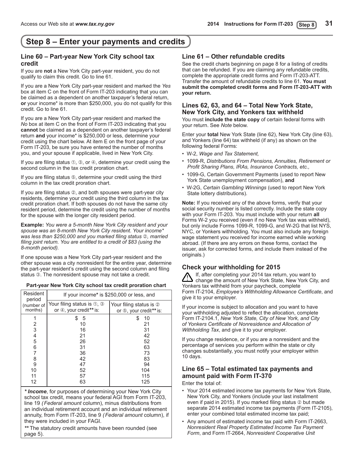## <span id="page-30-0"></span>**Step 8 – Enter your payments and credits**

### **Line 60 – Part-year New York City school tax credit**

If you are **not** a New York City part-year resident, you do not qualify to claim this credit. Go to line 61.

If you are a New York City part-year resident and marked the *Yes* box at item C on the front of Form IT-203 indicating that you can be claimed as a dependent on another taxpayer's federal return, **or** your income\* is more than \$250,000, you do not qualify for this credit. Go to line 61.

If you are a New York City part-year resident and marked the *No* box at item C on the front of Form IT-203 indicating that you **cannot** be claimed as a dependent on another taxpayer's federal return **and** your income\* is \$250,000 or less, determine your credit using the chart below. At item E on the front page of your Form IT-203, be sure you have entered the number of months you, and your spouse if applicable, lived in New York City.

If you are filing status  $\mathbb{O}, \mathbb{O},$  or  $\mathbb{O},$  determine your credit using the second column in the tax credit proration chart.

If you are filing status  $\circledS$ , determine your credit using the third column in the tax credit proration chart.

If you are filing status  $\oslash$ , and both spouses were part-year city residents, determine your credit using the third column in the tax credit proration chart. If both spouses do not have the same city resident period, determine the credit using the number of months for the spouse with the longer city resident period.

**Example:** *You were a 5-month New York City resident and your spouse was an 8-month New York City resident*. *Your income\* was less than \$250,000 and you marked filing status 2, married filing joint return. You are entitled to a credit of \$83 (using the 8-month period).*

If one spouse was a New York City part-year resident and the other spouse was a city nonresident for the entire year, determine the part-year resident's credit using the second column and filing status **3**. The nonresident spouse may not take a credit.

### **Part-year New York City school tax credit proration chart**

| Resident<br>period    | If your income* is \$250,000 or less, and             |                                                    |  |  |  |  |
|-----------------------|-------------------------------------------------------|----------------------------------------------------|--|--|--|--|
| (number of<br>months) | Your filing status is 1, 3<br>or 4, your credit** is: | Your filing status is 2<br>or 5, your credit** is: |  |  |  |  |
|                       | 5                                                     | 10<br>S                                            |  |  |  |  |
|                       | 10                                                    | 21                                                 |  |  |  |  |
| $\frac{2}{3}$         | 16                                                    | 31                                                 |  |  |  |  |
| 4                     | 21                                                    | 42                                                 |  |  |  |  |
| 5                     | 26                                                    | 52                                                 |  |  |  |  |
| 6                     | 31                                                    | 63                                                 |  |  |  |  |
| 7                     | 36                                                    | 73                                                 |  |  |  |  |
| 8                     | 42                                                    | 83                                                 |  |  |  |  |
| 9                     | 47                                                    | 94                                                 |  |  |  |  |
| 10                    | 52                                                    | 104                                                |  |  |  |  |
| 11                    | 57                                                    | 115                                                |  |  |  |  |
| 12                    | 63                                                    | 125                                                |  |  |  |  |

*\* Income*, for purposes of determining your New York City school tax credit, means your federal AGI from Form IT-203, line 19 *(Federal amount* column), minus distributions from an individual retirement account and an individual retirement annuity, from Form IT-203, line 9 *(Federal amount* column), if they were included in your FAGI.

*\*\** The statutory credit amounts have been rounded (see page 5).

### **Line 61 – Other refundable credits**

See the credit charts beginning on page 8 for a listing of credits that can be refunded. If you are claiming any refundable credits, complete the appropriate credit forms and Form IT‑203‑ATT. Transfer the amount of refundable credits to line 61. **You must submit the completed credit forms and Form IT-203-ATT with your return.**

### **Lines 62, 63, and 64 – Total New York State, New York City, and Yonkers tax withheld**

You must **include the state copy** of certain federal forms with your return. See *Note* below.

Enter your **total** New York State (line 62), New York City (line 63), and Yonkers (line 64) tax withheld (if any) as shown on the following federal Forms:

- W-2, *Wage and Tax Statement,*
- 1099-R, *Distributions From Pensions, Annuities, Retirement or Profit Sharing Plans, IRAs, Insurance Contracts, etc.,*
- 1099-G, Certain Government Payments (used to report New York State unemployment compensation), **and**
- W-2G, *Certain Gambling Winnings* (used to report New York State lottery distributions).

**Note:** If you received any of the above forms, verify that your social security number is listed correctly. Include the state copy with your Form IT-203. You must include with your return **all** Forms W-2 you received (even if no New York tax was withheld), but only include Forms 1099-R, 1099-G, and W-2G that list NYS, NYC, or Yonkers withholding. You must also include any foreign wage statement you received for income earned while working abroad. (If there are any errors on these forms, contact the issuer, ask for corrected forms, and include them instead of the originals.)

### **Check your withholding for 2015**

If, after completing your 2014 tax return, you want to change the amount of New York State, New York City, and Yonkers tax withheld from your paycheck, complete Form IT-2104, *Employee's Withholding Allowance Certificate*, and give it to your employer.

If your income is subject to allocation and you want to have your withholding adjusted to reflect the allocation, complete Form IT-2104.1, *New York State, City of New York, and City of Yonkers Certificate of Nonresidence and Allocation of Withholding Tax*, and give it to your employer.

If you change residence, or if you are a nonresident and the percentage of services you perform within the state or city changes substantially, you must notify your employer within 10 days.

### **Line 65 – Total estimated tax payments and amount paid with Form IT-370**

Enter the total of:

- Your 2014 estimated income tax payments for New York State, New York City, and Yonkers (include your last installment even if paid in 2015). If you marked filing status  $\oslash$  but made separate 2014 estimated income tax payments (Form IT-2105), enter your combined total estimated income tax paid;
- Any amount of estimated income tax paid with Form IT‑2663, *Nonresident Real Property Estimated Income Tax Payment Form*, and Form IT‑2664, *Nonresident Cooperative Unit*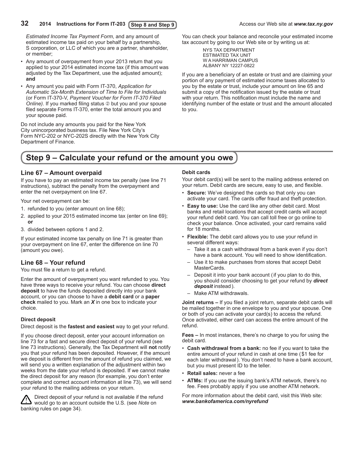### <span id="page-31-0"></span>**32 2014** Instructions for Form IT-203 (Step 8 and Step 9) **Access** our Web site at *www.tax.ny.gov*

*Estimated Income Tax Payment Form*, and any amount of estimated income tax paid on your behalf by a partnership, S corporation, or LLC of which you are a partner, shareholder, or member;

- Any amount of overpayment from your 2013 return that you applied to your 2014 estimated income tax (if this amount was adjusted by the Tax Department, use the adjusted amount); **and**
- • Any amount you paid with Form IT-370, *Application for Automatic Six-Month Extension of Time to File for Individuals*  (or Form IT-370-V, *Payment Voucher for Form IT-370 Filed Online*). If you marked filing status  $\oslash$  but you and your spouse filed separate Forms IT-370, enter the total amount you and your spouse paid.

Do not include any amounts you paid for the New York City unincorporated business tax. File New York City's Form NYC-202 or NYC-202S directly with the New York City Department of Finance.

You can check your balance and reconcile your estimated income tax account by going to our Web site or by writing us at:

> NYS TAX DEPARTMENT ESTIMATED TAX UNIT W A HARRIMAN CAMPUS ALBANY NY 12227-0822

If you are a beneficiary of an estate or trust and are claiming your portion of any payment of estimated income taxes allocated to you by the estate or trust, include your amount on line 65 and submit a copy of the notification issued by the estate or trust with your return. This notification must include the name and identifying number of the estate or trust and the amount allocated to you.

## **Step 9 – Calculate your refund or the amount you owe**

### **Line 67 – Amount overpaid**

If you have to pay an estimated income tax penalty (see line 71 instructions), subtract the penalty from the overpayment and enter the net overpayment on line 67.

Your net overpayment can be:

- 1. refunded to you (enter amount on line 68);
- 2. applied to your 2015 estimated income tax (enter on line 69); **or**
- 3. divided between options 1 and 2.

If your estimated income tax penalty on line 71 is greater than your overpayment on line 67, enter the difference on line 70 (amount you owe).

### **Line 68 – Your refund**

You must file a return to get a refund.

Enter the amount of overpayment you want refunded to you. You have three ways to receive your refund. You can choose **direct deposit** to have the funds deposited directly into your bank account, or you can choose to have a **debit card** or a **paper check** mailed to you. Mark an *X* in one box to indicate your choice.

### **Direct deposit**

Direct deposit is the **fastest and easiest** way to get your refund.

If you choose direct deposit, enter your account information on line 73 for a fast and secure direct deposit of your refund (see line 73 instructions). Generally, the Tax Department will **not** notify you that your refund has been deposited. However, if the amount we deposit is different from the amount of refund you claimed, we will send you a written explanation of the adjustment within two weeks from the date your refund is deposited. If we cannot make the direct deposit for any reason (for example, you don't enter complete and correct account information at line 73), we will send your refund to the mailing address on your return.

Direct deposit of your refund is not available if the refund would go to an account outside the U.S. (see *Note* on banking rules on page 34).

#### **Debit cards**

Your debit card(s) will be sent to the mailing address entered on your return. Debit cards are secure, easy to use, and flexible.

- **Secure:** We've designed the cards so that only you can activate your card. The cards offer fraud and theft protection.
- • **Easy to use:** Use the card like any other debit card. Most banks and retail locations that accept credit cards will accept your refund debit card. You can call toll free or go online to check your balance. Once activated, your card remains valid for 18 months.
- • **Flexible:** The debit card allows you to use your refund in several different ways:
	- Take it as a cash withdrawal from a bank even if you don't have a bank account. You will need to show identification.
	- Use it to make purchases from stores that accept Debit MasterCards.
	- Deposit it into your bank account (if you plan to do this, you should consider choosing to get your refund by *direct deposit* instead).
	- Make ATM withdrawals.

**Joint returns –** If you filed a joint return, separate debit cards will be mailed together in one envelope to you and your spouse. One or both of you can activate your card(s) to access the refund. Once activated, either card can access the entire amount of the refund.

**Fees –** In most instances, there's no charge to you for using the debit card.

- **Cash withdrawal from a bank:** no fee if you want to take the entire amount of your refund in cash at one time (\$1 fee for each later withdrawal). You don't need to have a bank account, but you must present ID to the teller.
- • **Retail sales:** never a fee
- ATMs: If you use the issuing bank's ATM network, there's no fee. Fees probably apply if you use another ATM network.

For more information about the debit card, visit this Web site: *www.bankofamerica.com/nyrefund*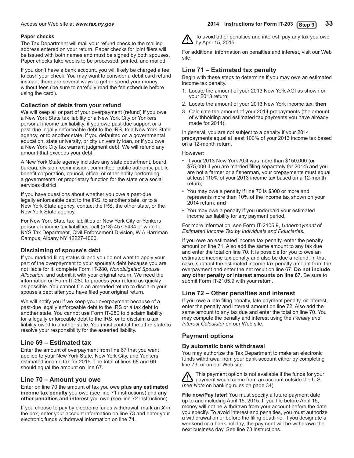### <span id="page-32-0"></span>**Paper checks**

The Tax Department will mail your refund check to the mailing address entered on your return. Paper checks for joint filers will be issued with both names and must be signed by both spouses. Paper checks take weeks to be processed, printed, and mailed.

If you don't have a bank account, you will likely be charged a fee to cash your check. You may want to consider a debit card refund instead; there are several ways to get or spend your money without fees (be sure to carefully read the fee schedule before using the card).

### **Collection of debts from your refund**

We will keep all or part of your overpayment (refund) if you owe a New York State tax liability or a New York City or Yonkers personal income tax liability, if you owe past-due support or a past-due legally enforceable debt to the IRS, to a New York State agency, or to another state, if you defaulted on a governmental education, state university, or city university loan, or if you owe a New York City tax warrant judgment debt. We will refund any amount that exceeds your debt.

A New York State agency includes any state department, board, bureau, division, commission, committee, public authority, public benefit corporation, council, office, or other entity performing a governmental or proprietary function for the state or a social services district.

If you have questions about whether you owe a past-due legally enforceable debt to the IRS, to another state, or to a New York State agency, contact the IRS, the other state, or the New York State agency.

For New York State tax liabilities or New York City or Yonkers personal income tax liabilities, call (518) 457-5434 or write to: NYS Tax Department, Civil Enforcement Division, W A Harriman Campus, Albany NY 12227-4000.

### **Disclaiming of spouse's debt**

If you marked filing status 2 and you do not want to apply your part of the overpayment to your spouse's debt because you are not liable for it, complete Form IT‑280, *Nonobligated Spouse Allocation*, and submit it with your original return. We need the information on Form IT-280 to process your refund as quickly as possible. You cannot file an amended return to disclaim your spouse's debt after you have filed your original return.

We will notify you if we keep your overpayment because of a past-due legally enforceable debt to the IRS or a tax debt to another state. You cannot use Form IT-280 to disclaim liability for a legally enforceable debt to the IRS, or to disclaim a tax liability owed to another state. You must contact the other state to resolve your responsibility for the asserted liability.

### **Line 69 – Estimated tax**

Enter the amount of overpayment from line 67 that you want applied to your New York State, New York City, and Yonkers estimated income tax for 2015. The total of lines 68 and 69 should equal the amount on line 67.

### **Line 70 – Amount you owe**

Enter on line 70 the amount of tax you owe **plus any estimated income tax penalty** you owe (see line 71 instructions) and **any other penalties and interest** you owe (see line 72 instructions).

If you choose to pay by electronic funds withdrawal, mark an *X* in the box, enter your account information on line 73 and enter your electronic funds withdrawal information on line 74.

To avoid other penalties and interest, pay any tax you owe by April 15, 2015.

For additional information on penalties and interest, visit our Web site.

### **Line 71 – Estimated tax penalty**

Begin with these steps to determine if you may owe an estimated income tax penalty.

- 1. Locate the amount of your 2013 New York AGI as shown on your 2013 return;
- 2. Locate the amount of your 2013 New York income tax; **then**
- 3. Calculate the amount of your 2014 prepayments (the amount of withholding and estimated tax payments you have already made for 2014).

In general, you are not subject to a penalty if your 2014 prepayments equal at least 100% of your 2013 income tax based on a 12-month return.

However:

- If your 2013 New York AGI was more than \$150,000 (or \$75,000 if you are married filing separately for 2014) and you are not a farmer or a fisherman, your prepayments must equal at least 110% of your 2013 income tax based on a 12-month return;
- • You may owe a penalty if line 70 is \$300 or more and represents more than 10% of the income tax shown on your 2014 return; **and**
- You may owe a penalty if you underpaid your estimated income tax liability for any payment period.

For more information, see Form IT-2105.9, *Underpayment of Estimated Income Tax by Individuals and Fiduciaries.*

If you owe an estimated income tax penalty, enter the penalty amount on line 71. Also add the same amount to any tax due and enter the total on line 70. It is possible for you to owe an estimated income tax penalty and also be due a refund. In that case, subtract the estimated income tax penalty amount from the overpayment and enter the net result on line 67. **Do not include any other penalty or interest amounts on line 67.** Be sure to submit Form IT-2105.9 with your return.

### **Line 72 – Other penalties and interest**

If you owe a late filing penalty, late payment penalty, or interest, enter the penalty and interest amount on line 72. Also add the same amount to any tax due and enter the total on line 70. You may compute the penalty and interest using the *Penalty and Interest Calculator* on our Web site.

### **Payment options**

### **By automatic bank withdrawal**

You may authorize the Tax Department to make an electronic funds withdrawal from your bank account either by completing line 73, or on our Web site.

This payment option is not available if the funds for your payment would come from an account outside the U.S. (see *Note* on banking rules on page 34).

**File now/Pay later!** You must specify a future payment date up to and including April 15, 2015. If you file before April 15, money will not be withdrawn from your account before the date you specify. To avoid interest and penalties, you must authorize a withdrawal on or before the filing deadline. If you designate a weekend or a bank holiday, the payment will be withdrawn the next business day. See line 73 instructions.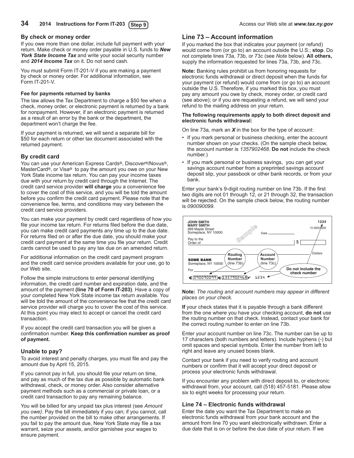### <span id="page-33-0"></span>**By check or money order**

If you owe more than one dollar, include full payment with your return. Make check or money order payable in U.S. funds to *New York State Income Tax* and write your social security number and *2014 Income Tax* on it. Do not send cash.

You must submit Form IT-201-V if you are making a payment by check or money order. For additional information, see Form IT-201-V.

### **Fee for payments returned by banks**

The law allows the Tax Department to charge a \$50 fee when a check, money order, or electronic payment is returned by a bank for nonpayment. However, if an electronic payment is returned as a result of an error by the bank or the department, the department won't charge the fee.

If your payment is returned, we will send a separate bill for \$50 for each return or other tax document associated with the returned payment.

### **By credit card**

You can use your American Express Cards<sup>®</sup>, Discover<sup>®</sup>/Novus<sup>®</sup>, MasterCard®, or Visa® to pay the amount you owe on your New York State income tax return. You can pay your income taxes due with your return by credit card through the Internet. The credit card service provider **will charge** you a convenience fee to cover the cost of this service, and you will be told the amount before you confirm the credit card payment. Please note that the convenience fee, terms, and conditions may vary between the credit card service providers.

You can make your payment by credit card regardless of how you file your income tax return. For returns filed before the due date, you can make credit card payments any time up to the due date. For returns filed on or after the due date, you should make your credit card payment at the same time you file your return. Credit cards cannot be used to pay any tax due on an amended return.

For additional information on the credit card payment program and the credit card service providers available for your use, go to our Web site.

Follow the simple instructions to enter personal identifying information, the credit card number and expiration date, and the amount of the payment **(line 70 of Form IT-203)**. Have a copy of your completed New York State income tax return available. You will be told the amount of the convenience fee that the credit card service provider will charge you to cover the cost of this service. At this point you may elect to accept or cancel the credit card transaction.

If you accept the credit card transaction you will be given a confirmation number. **Keep this confirmation number as proof of payment.**

### **Unable to pay?**

To avoid interest and penalty charges, you must file and pay the amount due by April 15, 2015.

If you cannot pay in full, you should file your return on time, and pay as much of the tax due as possible by automatic bank withdrawal, check, or money order. Also consider alternative payment methods such as a commercial or private loan, or a credit card transaction to pay any remaining balance.

You will be billed for any unpaid tax plus interest (see *Amount you owe)*. Pay the bill immediately if you can; if you cannot, call the number provided on the bill to make other arrangements. If you fail to pay the amount due, New York State may file a tax warrant, seize your assets, and/or garnishee your wages to ensure payment.

### **Line 73 – Account information**

If you marked the box that indicates your payment (or refund) would come from (or go to) an account outside the U.S.; **stop**. Do not complete lines 73a, 73b, or 73c (see *Note* below). **All others,**  supply the information requested for lines 73a, 73b, and 73c.

**Note:** Banking rules prohibit us from honoring requests for electronic funds withdrawal or direct deposit when the funds for your payment (or refund) would come from (or go to) an account outside the U.S. Therefore, if you marked this box, you must pay any amount you owe by check, money order, or credit card (see above); or if you are requesting a refund, we will send your refund to the mailing address on your return.

#### **The following requirements apply to both direct deposit and electronic funds withdrawal:**

On line 73a, mark an *X* in the box for the type of account:

- If you mark personal or business checking, enter the account number shown on your checks. (On the sample check below, the account number is *1357902468*. **Do not** include the check number.)
- If you mark personal or business savings, you can get your savings account number from a preprinted savings account deposit slip, your passbook or other bank records, or from your bank.

Enter your bank's 9‑digit routing number on line 73b. If the first two digits are not 01 through 12, or 21 through 32, the transaction will be rejected. On the sample check below, the routing number is *090090099*.



#### **Note:** *The routing and account numbers may appear in different places on your check.*

**If** your check states that it is payable through a bank different from the one where you have your checking account, **do not** use the routing number on that check. Instead, contact your bank for the correct routing number to enter on line 73b.

Enter your account number on line 73c. The number can be up to 17 characters (both numbers and letters). Include hyphens (-) but omit spaces and special symbols. Enter the number from left to right and leave any unused boxes blank.

Contact your bank if you need to verify routing and account numbers or confirm that it will accept your direct deposit or process your electronic funds withdrawal.

If you encounter any problem with direct deposit to, or electronic withdrawal from, your account, call (518) 457-5181. Please allow six to eight weeks for processing your return.

### **Line 74 – Electronic funds withdrawal**

Enter the date you want the Tax Department to make an electronic funds withdrawal from your bank account and the amount from line 70 you want electronically withdrawn. Enter a due date that is on or before the due date of your return. If we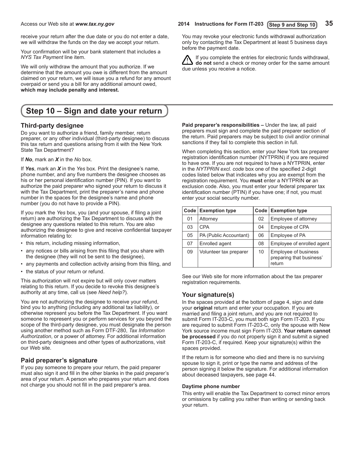receive your return after the due date or you do not enter a date, we will withdraw the funds on the day we accept your return.

Your confirmation will be your bank statement that includes a *NYS Tax Payment* line item.

We will only withdraw the amount that you authorize. If we determine that the amount you owe is different from the amount claimed on your return, we will issue you a refund for any amount overpaid or send you a bill for any additional amount owed, **which may include penalty and interest.**

## **Step 10 – Sign and date your return**

### **Third-party designee**

Do you want to authorize a friend, family member, return preparer, or any other individual (third-party designee) to discuss this tax return and questions arising from it with the New York State Tax Department?

If *No*, mark an *X* in the *No* box.

If *Yes*, mark an *X* in the *Yes* box. Print the designee's name, phone number, and any five numbers the designee chooses as his or her personal identification number (PIN). If you want to authorize the paid preparer who signed your return to discuss it with the Tax Department, print the preparer's name and phone number in the spaces for the designee's name and phone number (you do not have to provide a PIN).

If you mark the *Yes* box, you (and your spouse, if filing a joint return) are authorizing the Tax Department to discuss with the designee any questions related to this return. You are also authorizing the designee to give and receive confidential taxpayer information relating to:

- this return, including missing information,
- any notices or bills arising from this filing that you share with the designee (they will not be sent to the designee),
- any payments and collection activity arising from this filing, and
- the status of your return or refund.

This authorization will not expire but will only cover matters relating to this return. If you decide to revoke this designee's authority at any time, call us (see *Need help?*).

You are not authorizing the designee to receive your refund, bind you to anything (including any additional tax liability), or otherwise represent you before the Tax Department. If you want someone to represent you or perform services for you beyond the scope of the third-party designee, you must designate the person using another method such as Form DTF-280, *Tax Information Authorization*, or a power of attorney. For additional information on third-party designees and other types of authorizations, visit our Web site.

### **Paid preparer's signature**

If you pay someone to prepare your return, the paid preparer must also sign it and fill in the other blanks in the paid preparer's area of your return. A person who prepares your return and does not charge you should not fill in the paid preparer's area.

Access our Web site at *www.tax.ny.gov* **2014 Instructions for Form IT-203 35 Step 9 and Step 10**

You may revoke your electronic funds withdrawal authorization only by contacting the Tax Department at least 5 business days before the payment date.

If you complete the entries for electronic funds withdrawal, **do not** send a check or money order for the same amount due unless you receive a notice.

**Paid preparer's responsibilities –** Under the law, all paid preparers must sign and complete the paid preparer section of the return. Paid preparers may be subject to civil and/or criminal sanctions if they fail to complete this section in full.

When completing this section, enter your New York tax preparer registration identification number (NYTPRIN) if you are required to have one. If you are not required to have a NYTPRIN, enter in the *NYTPRIN excl. code* box one of the specified 2-digit codes listed below that indicates why you are exempt from the registration requirement. You **must** enter a NYTPRIN **or** an exclusion code. Also, you must enter your federal preparer tax identification number (PTIN) if you have one; if not, you must enter your social security number.

| Code <sub>1</sub> | <b>Exemption type</b>  | Code <sub>1</sub> | <b>Exemption type</b>                                      |
|-------------------|------------------------|-------------------|------------------------------------------------------------|
| 01                | Attorney               | 02                | Employee of attorney                                       |
| 03                | <b>CPA</b>             | 04                | Employee of CPA                                            |
| 05                | PA (Public Accountant) | 06                | Employee of PA                                             |
| 07                | Enrolled agent         | 08                | Employee of enrolled agent                                 |
| 09                | Volunteer tax preparer | 10                | Employee of business<br>preparing that business'<br>return |

See our Web site for more information about the tax preparer registration requirements.

### **Your signature(s)**

In the spaces provided at the bottom of page 4, sign and date your **original** return and enter your occupation. If you are married and filing a joint return, and you are not required to submit Form IT-203-C, you must both sign Form IT-203. If you are required to submit Form IT-203-C, only the spouse with New York source income must sign Form IT-203. **Your return cannot be processed** if you do not properly sign it and submit a signed Form IT-203-C, if required. Keep your signature(s) within the spaces provided.

If the return is for someone who died and there is no surviving spouse to sign it, print or type the name and address of the person signing it below the signature. For additional information about deceased taxpayers, see page 44.

### **Daytime phone number**

This entry will enable the Tax Department to correct minor errors or omissions by calling you rather than writing or sending back your return.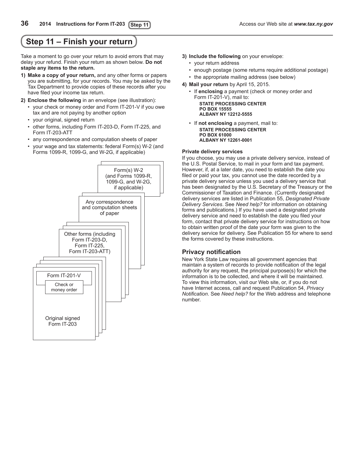## <span id="page-35-0"></span>**Step 11 – Finish your return**

Take a moment to go over your return to avoid errors that may delay your refund. Finish your return as shown below. **Do not staple any items to the return.**

- **1) Make a copy of your return,** and any other forms or papers you are submitting, for your records. You may be asked by the Tax Department to provide copies of these records after you have filed your income tax return.
- **2) Enclose the following** in an envelope (see illustration):
	- • your check or money order and Form IT-201-V if you owe tax and are not paying by another option
	- your original, signed return
	- other forms, including Form IT-203-D, Form IT-225, and Form IT-203-ATT
	- • any correspondence and computation sheets of paper
	- your wage and tax statements: federal Form(s) W-2 (and Forms 1099-R, 1099-G, and W-2G, if applicable)



- **3) Include the following** on your envelope:
	- • your return address
	- enough postage (some returns require additional postage) • the appropriate mailing address (see below)
- **4) Mail your return** by April 15, 2015.
	- • If **enclosing** a payment (check or money order and Form IT-201-V), mail to: **STATE PROCESSING CENTER PO BOX 15555 ALBANY NY 12212-5555**
	- • If **not enclosing** a payment, mail to: **STATE PROCESSING CENTER PO BOX 61000 ALBANY NY 12261-0001**

#### **Private delivery services**

If you choose, you may use a private delivery service, instead of the U.S. Postal Service, to mail in your form and tax payment. However, if, at a later date, you need to establish the date you filed or paid your tax, you cannot use the date recorded by a private delivery service unless you used a delivery service that has been designated by the U.S. Secretary of the Treasury or the Commissioner of Taxation and Finance. (Currently designated delivery services are listed in Publication 55, *Designated Private Delivery Services*. See *Need help?* for information on obtaining forms and publications.) If you have used a designated private delivery service and need to establish the date you filed your form, contact that private delivery service for instructions on how to obtain written proof of the date your form was given to the delivery service for delivery. See Publication 55 for where to send the forms covered by these instructions.

### **Privacy notification**

New York State Law requires all government agencies that maintain a system of records to provide notification of the legal authority for any request, the principal purpose(s) for which the information is to be collected, and where it will be maintained. To view this information, visit our Web site, or, if you do not have Internet access, call and request Publication 54, *Privacy Notification*. See *Need help?* for the Web address and telephone number.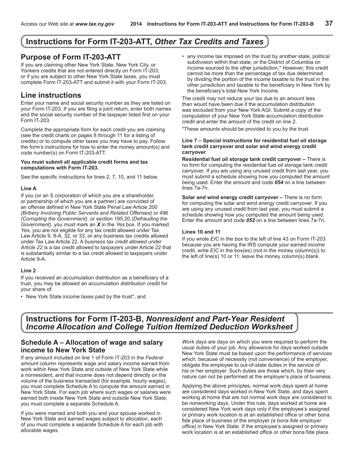## <span id="page-36-0"></span>**Instructions for Form IT-203-ATT,** *Other Tax Credits and Taxes*

## **Purpose of Form IT-203-ATT**

If you are claiming other New York State, New York City, or Yonkers credits that are not entered directly on Form IT‑203, or if you are subject to other New York State taxes, you must complete Form IT-203-ATT and submit it with your Form IT-203.

## **Line instructions**

Enter your name and social security number as they are listed on your Form IT-203. If you are filing a joint return, enter both names and the social security number of the taxpayer listed first on your Form IT‑203.

Complete the appropriate form for each credit you are claiming (see the credit charts on pages 8 through 11 for a listing of credits) or to compute other taxes you may have to pay. Follow the form's instructions for how to enter the money amount(s) and code number(s) on Form IT-203-ATT.

#### **You must submit all applicable credit forms and tax computations with Form IT-203.**

See the specific instructions for lines 2, 7, 10, and 11 below.

### **Line A**

If you (or an S corporation of which you are a shareholder, or partnership of which you are a partner) are convicted of an offense defined in New York State Penal Law Article 200 *(Bribery Involving Public Servants and Related Offenses)* or 496 *(Corrupting the Government)*, or section 195.20 *(Defrauding the Government)*, you must mark an *X* in the *Yes* box. If you marked *Yes*, you are not eligible for any tax credit allowed under Tax Law Article 9, 9-A, 32, or 33, or any business tax credits allowed under Tax Law Article 22. A *business tax credit allowed under Article 22* is a tax credit allowed to taxpayers under Article 22 that is substantially similar to a tax credit allowed to taxpayers under Article 9-A.

### **Line 2**

If you received an accumulation distribution as a beneficiary of a trust, you may be allowed an accumulation distribution credit for your share of:

• New York State income taxes paid by the trust\*, and

• any income tax imposed on the trust by another state, political subdivision within that state, or the District of Columbia on income sourced to the other jurisdiction.\* However, this credit cannot be more than the percentage of tax due determined by dividing the portion of the income taxable to the trust in the other jurisdiction and taxable to the beneficiary in New York by the beneficiary's total New York Income.

The credit may not reduce your tax due to an amount less than would have been due if the accumulation distribution was excluded from your New York AGI. Submit a copy of the computation of your New York State accumulation distribution credit and enter the amount of the credit on line 2.

\*These amounts should be provided to you by the trust.

#### **Line 7 – Special instructions for residential fuel oil storage tank credit carryover and solar and wind energy credit carryover**

**Residential fuel oil storage tank credit carryover –** There is no form for computing the residential fuel oil storage tank credit carryover. If you are using any unused credit from last year, you must submit a schedule showing how you computed the amount being used. Enter the amount and code *054* on a line between lines 7a-7n.

**Solar and wind energy credit carryover –** There is no form for computing the solar and wind energy credit carryover. If you are using any unused credit from last year, you must submit a schedule showing how you computed the amount being used. Enter the amount and code *052* on a line between lines 7a-7n.

### **Lines 10 and 11**

If you wrote *EIC* in the box to the left of line 43 on Form IT-203 because you are having the IRS compute your earned income credit, write *EIC* in the box(es) (not in the money column(s)) to the left of line(s) 10 or 11; leave the money column(s) blank.

## **Instructions for Form IT-203-B,** *Nonresident and Part-Year Resident Income Allocation and College Tuition Itemized Deduction Worksheet*

### **Schedule A – Allocation of wage and salary income to New York State**

If any amount included on line 1 of Form IT-203 in the *Federal amount* column represents wage and salary income earned from work within New York State and outside of New York State while a nonresident, and that income does not depend directly on the volume of the business transacted (for example, hourly wages), you must complete Schedule A to compute the amount earned in New York State. For each job where such wages or salaries were earned both inside New York State and outside New York State, you must complete a separate Schedule A.

If you were married and both you and your spouse worked in New York State and earned wages subject to allocation, each of you must complete a separate Schedule A for each job with allocable wages.

*Work days* are days on which you were required to perform the usual duties of your job. Any allowance for days worked outside New York State must be based upon the performance of services which, because of necessity (not convenience) of the employer, obligate the employee to out-of-state duties in the service of his or her employer. Such duties are those which, by their very nature can not be performed at the employer's place of business.

Applying the above principles, normal work days spent at home are considered days worked in New York State, and days spent working at home that are not normal work days are considered to be nonworking days. Under this rule, days worked at home are considered New York work days only if the employee's assigned or primary work location is at an established office or other bona fide place of business of the employer *(a bona fide employer office)* in New York State. If the employee's assigned or primary work location is at an established office or other bona fide place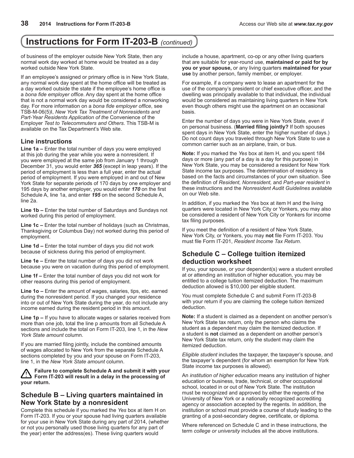## **Instructions for Form IT-203-B** *(continued)*

of business of the employer outside New York State, then any normal work day worked at home would be treated as a day worked outside New York State.

If an employee's assigned or primary office is in New York State, any normal work day spent at the home office will be treated as a day worked outside the state if the employee's home office is a *bona fide employer office*. Any day spent at the home office that is not a normal work day would be considered a nonworking day. For more information on a *bona fide employer office*, see TSB-M-06(5)I, *New York Tax Treatment of Nonresidents and Part-Year Residents Application of the* Convenience of the Employer *Test to Telecommuters and Others*. This TSB-M is available on the Tax Department's Web site.

### **Line instructions**

**Line 1a –** Enter the total number of days you were employed at this job during the year while you were a nonresident. If you were employed at the same job from January 1 through December 31, you would enter *365* (except in leap years). If the period of employment is less than a full year, enter the actual period of employment. If you were employed in and out of New York State for separate periods of 170 days by one employer and 195 days by another employer, you would enter *170* on the first Schedule A, line 1a, and enter *195* on the second Schedule A, line 2a.

**Line 1b –** Enter the total number of Saturdays and Sundays not worked during this period of employment.

**Line 1c –** Enter the total number of holidays (such as Christmas, Thanksgiving or Columbus Day) not worked during this period of employment.

**Line 1d –** Enter the total number of days you did not work because of sickness during this period of employment.

**Line 1e –** Enter the total number of days you did not work because you were on vacation during this period of employment.

**Line 1f –** Enter the total number of days you did not work for other reasons during this period of employment.

**Line 1o –** Enter the amount of wages, salaries, tips, etc. earned during the nonresident period. If you changed your residence into or out of New York State during the year, do not include any income earned during the resident period in this amount.

**Line 1p –** If you have to allocate wages or salaries received from more than one job, total the line p amounts from all Schedule A sections and include the total on Form IT-203, line 1, in the *New York State amount* column.

If you are married filing jointly, include the combined amounts of wages allocated to New York from the separate Schedule A sections completed by you and your spouse on Form IT-203, line 1, in the *New York State amount* column.

**Failure to complete Schedule A and submit it with your Form IT-203 will result in a delay in the processing of your return.**

### **Schedule B – Living quarters maintained in New York State by a nonresident**

Complete this schedule if you marked the *Yes* box at item H on Form IT-203. If you or your spouse had living quarters available for your use in New York State during any part of 2014, (whether or not you personally used those living quarters for any part of the year) enter the address(es). These living quarters would

include a house, apartment, co‑op or any other living quarters that are suitable for year-round use, **maintained or paid for by you or your spouse,** or any living quarters **maintained for your use** by another person, family member, or employer.

For example, if a company were to lease an apartment for the use of the company's president or chief executive officer, and the dwelling was principally available to that individual, the individual would be considered as maintaining living quarters in New York even though others might use the apartment on an occasional basis.

Enter the number of days you were in New York State, even if on personal business. (**Married filing jointly?** If both spouses spent days in New York State, enter the higher number of days.) Do not count days you traveled through New York State to use a common carrier such as an airplane, train, or bus.

**Note:** If you marked the *Yes* box at item H, and you spent 184 days or more (any part of a day is a day for this purpose) in New York State, you may be considered a resident for New York State income tax purposes. The determination of residency is based on the facts and circumstances of your own situation. See the definition of *Resident, Nonresident,* and *Part-year resident* in these instructions and the *Nonresident Audit Guidelines* available on our Web site.

In addition, if you marked the *Yes* box at item H and the living quarters were located in New York City or Yonkers, you may also be considered a resident of New York City or Yonkers for income tax filing purposes.

If you meet the definition of a resident of New York State, New York City, or Yonkers, you may **not** file Form IT‑203. You must file Form IT‑201, *Resident Income Tax Return*.

### **Schedule C – College tuition itemized deduction worksheet**

If you, your spouse, or your dependent(s) were a student enrolled at or attending an institution of higher education, you may be entitled to a college tuition itemized deduction. The maximum deduction allowed is \$10,000 per eligible student.

You must complete Schedule C and submit Form IT-203-B with your return if you are claiming the college tuition itemized deduction.

**Note:** If a student is claimed as a dependent on another person's New York State tax return, only the person who claims the student as a dependent may claim the itemized deduction. If a student is **not** claimed as a dependent on another person's New York State tax return, only the student may claim the itemized deduction.

*Eligible student* includes the taxpayer, the taxpayer's spouse, and the taxpayer's dependent (for whom an exemption for New York State income tax purposes is allowed).

An *institution of higher education* means any institution of higher education or business, trade, technical, or other occupational school, located in or out of New York State. The institution must be recognized and approved by either the regents of the University of New York or a nationally recognized accrediting agency or association accepted by the regents. In addition, the institution or school must provide a course of study leading to the granting of a post-secondary degree, certificate, or diploma.

Where referenced on Schedule C and in these instructions, the term *college or university* includes all the above institutions.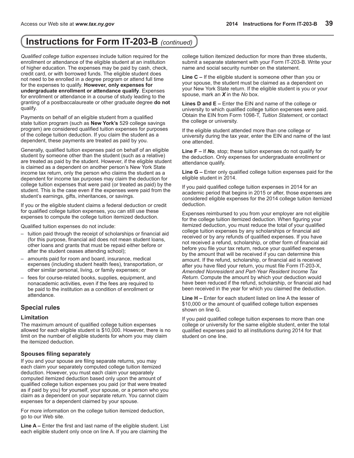## **Instructions for Form IT-203-B** *(continued)*

*Qualified college tuition expenses* include tuition required for the enrollment or attendance of the eligible student at an institution of higher education. The expenses may be paid by cash, check, credit card, or with borrowed funds. The eligible student does not need to be enrolled in a degree program or attend full time for the expenses to qualify. **However, only expenses for undergraduate enrollment or attendance qualify**. Expenses for enrollment or attendance in a course of study leading to the granting of a postbaccalaureate or other graduate degree **do not** qualify.

Payments on behalf of an eligible student from a qualified state tuition program (such as **New York's** 529 college savings program) are considered qualified tuition expenses for purposes of the college tuition deduction. If you claim the student as a dependent, these payments are treated as paid by you.

Generally, qualified tuition expenses paid on behalf of an eligible student by someone other than the student (such as a relative) are treated as paid by the student. However, if the eligible student is claimed as a dependent on another person's New York State income tax return, only the person who claims the student as a dependent for income tax purposes may claim the deduction for college tuition expenses that were paid (or treated as paid) by the student. This is the case even if the expenses were paid from the student's earnings, gifts, inheritances, or savings.

If you or the eligible student claims a federal deduction or credit for qualified college tuition expenses, you can still use these expenses to compute the college tuition itemized deduction.

Qualified tuition expenses do not include:

- tuition paid through the receipt of scholarships or financial aid (for this purpose, financial aid does not mean student loans, other loans and grants that must be repaid either before or after the student ceases attending school);
- amounts paid for room and board, insurance, medical expenses (including student health fees), transportation, or other similar personal, living, or family expenses; or
- fees for course-related books, supplies, equipment, and nonacademic activities, even if the fees are required to be paid to the institution as a condition of enrollment or attendance.

### **Special rules**

### **Limitation**

The maximum amount of qualified college tuition expenses allowed for each eligible student is \$10,000. However, there is no limit on the number of eligible students for whom you may claim the itemized deduction.

### **Spouses filing separately**

If you and your spouse are filing separate returns, you may each claim your separately computed college tuition itemized deduction. However, you must each claim your separately computed itemized deduction based only upon the amount of qualified college tuition expenses you paid (or that were treated as if paid by you) for yourself, your spouse, or a person who you claim as a dependent on your separate return. You cannot claim expenses for a dependent claimed by your spouse.

For more information on the college tuition itemized deduction, go to our Web site.

**Line A –** Enter the first and last name of the eligible student. List each eligible student only once on line A. If you are claiming the

college tuition itemized deduction for more than three students, submit a separate statement with your Form IT-203-B. Write your name and social security number on the statement.

**Line C –** If the eligible student is someone other than you or your spouse, the student must be claimed as a dependent on your New York State return. If the eligible student is you or your spouse, mark an *X* in the *No* box.

**Lines D and E –** Enter the EIN and name of the college or university to which qualified college tuition expenses were paid. Obtain the EIN from Form 1098-T, *Tuition Statement*, or contact the college or university.

If the eligible student attended more than one college or university during the tax year, enter the EIN and name of the last one attended.

**Line F –** If *No,* stop; these tuition expenses do not qualify for the deduction. Only expenses for undergraduate enrollment or attendance qualify.

**Line G –** Enter only qualified college tuition expenses paid for the eligible student in 2014.

If you paid qualified college tuition expenses in 2014 for an academic period that begins in 2015 or after, those expenses are considered eligible expenses for the 2014 college tuition itemized deduction.

Expenses reimbursed to you from your employer are not eligible for the college tuition itemized deduction. When figuring your itemized deduction, you must reduce the total of your qualified college tuition expenses by any scholarships or financial aid received or by any refunds of qualified expenses. If you have not received a refund, scholarship, or other form of financial aid before you file your tax return, reduce your qualified expenses by the amount that will be received if you can determine this amount. If the refund, scholarship, or financial aid is received after you have filed your return, you must file Form IT‑203‑X, *Amended Nonresident and Part-Year Resident Income Tax Return*. Compute the amount by which your deduction would have been reduced if the refund, scholarship, or financial aid had been received in the year for which you claimed the deduction.

**Line H –** Enter for each student listed on line A the lesser of \$10,000 or the amount of qualified college tuition expenses shown on line G.

If you paid qualified college tuition expenses to more than one college or university for the same eligible student, enter the total qualified expenses paid to all institutions during 2014 for that student on one line.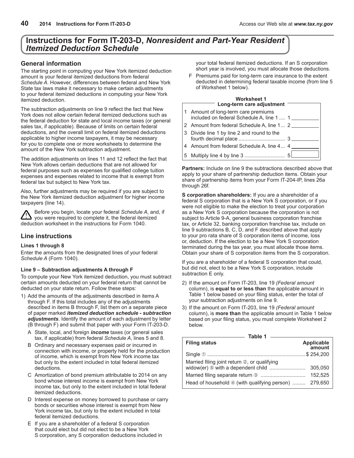## <span id="page-39-0"></span>**Instructions for Form IT-203-D,** *Nonresident and Part-Year Resident Itemized Deduction Schedule*

### **General information**

The starting point in computing your New York itemized deduction amount is your federal itemized deductions from federal *Schedule A*. However, differences between federal and New York State tax laws make it necessary to make certain adjustments to your federal itemized deductions in computing your New York itemized deduction.

The subtraction adjustments on line 9 reflect the fact that New York does not allow certain federal itemized deductions such as the federal deduction for state and local income taxes (or general sales tax, if applicable). Because of limits on certain federal deductions, and the overall limit on federal itemized deductions applicable to higher income taxpayers, it may be necessary for you to complete one or more worksheets to determine the amount of the New York subtraction adjustment.

The addition adjustments on lines 11 and 12 reflect the fact that New York allows certain deductions that are not allowed for federal purposes such as expenses for qualified college tuition expenses and expenses related to income that is exempt from federal tax but subject to New York tax.

Also, further adjustments may be required if you are subject to the New York itemized deduction adjustment for higher income taxpayers (line 14).

Before you begin, locate your federal *Schedule A*, and, if you were required to complete it, the federal itemized deduction worksheet in the instructions for Form 1040.

### **Line instructions**

### **Lines 1 through 8**

Enter the amounts from the designated lines of your federal *Schedule A* (Form 1040).

### **Line 9 – Subtraction adjustments A through F**

To compute your New York itemized deduction, you must subtract certain amounts deducted on your federal return that cannot be deducted on your state return. Follow these steps:

- 1) Add the amounts of the adjustments described in items A through F. If this total includes any of the adjustments described in items B through F, list them on a separate piece of paper marked *itemized deduction schedule - subtraction adjustments*. Identify the amount of each adjustment by letter (B through F) and submit that paper with your Form IT-203-D.
	- A State, local, and foreign *income* taxes (or general sales tax, if applicable) from federal *Schedule A*, lines 5 and 8.
	- B Ordinary and necessary expenses paid or incurred in connection with income, or property held for the production of income, which is exempt from New York income tax but only to the extent included in total federal itemized deductions.
	- C Amortization of bond premium attributable to 2014 on any bond whose interest income is exempt from New York income tax, but only to the extent included in total federal itemized deductions.
	- D Interest expense on money borrowed to purchase or carry bonds or securities whose interest is exempt from New York income tax, but only to the extent included in total federal itemized deductions.
	- E If you are a shareholder of a federal S corporation that could elect but did not elect to be a New York S corporation, any S corporation deductions included in

your total federal itemized deductions. If an S corporation short year is involved, you must allocate those deductions.

F Premiums paid for long-term care insurance to the extent deducted in determining federal taxable income (from line 5 of Worksheet 1 below).

#### **Worksheet 1 Long-term care adjustment**

| 1 Amount of long-term care premiums<br>included on federal Schedule A, line 1  1 |  |
|----------------------------------------------------------------------------------|--|
| 2 Amount from federal Schedule A, line 1 2                                       |  |
| 3 Divide line 1 by line 2 and round to the                                       |  |
| 4 Amount from federal Schedule A, line 4 4                                       |  |
|                                                                                  |  |

**Partners:** Include on line 9 the subtractions described above that apply to your share of partnership deduction items. Obtain your share of partnership items from your Form IT-204-IP, lines 26a through 26f*.*

**S corporation shareholders:** If you are a shareholder of a federal S corporation that is a New York S corporation, or if you were not eligible to make the election to treat your corporation as a New York S corporation because the corporation is not subject to Article 9-A, general business corporation franchise tax, or Article 32, banking corporation franchise tax, include on line 9 subtractions B, C, D, and F described above that apply to your pro rata share of S corporation items of income, loss or, deduction. If the election to be a New York S corporation terminated during the tax year, you must allocate those items. Obtain your share of S corporation items from the S corporation.

If you are a shareholder of a federal S corporation that could, but did not, elect to be a New York S corporation, include subtraction E only.

- 2) If the amount on Form IT-203, line 19 *(Federal amount* column), is **equal to or less than** the applicable amount in Table 1 below based on your filing status, enter the total of your subtraction adjustments on line 9.
- 3) If the amount on Form IT-203, line 19 *(Federal amount* column), is **more than** the applicable amount in Table 1 below based on your filing status, you must complete Worksheet 2 below.

| <b>Filing status</b>                                  | Applicable<br>amount |
|-------------------------------------------------------|----------------------|
|                                                       |                      |
| Married filing joint return 2, or qualifying          |                      |
|                                                       | 305.050              |
|                                                       | 152.525              |
| Head of household 4 (with qualifying person)  279,650 |                      |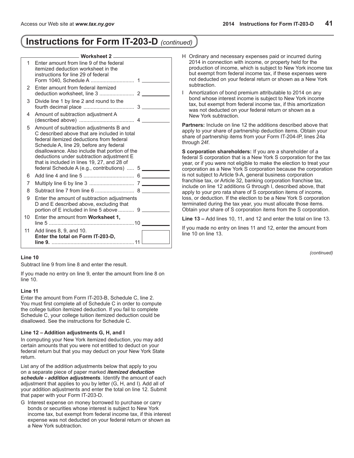## **Instructions for Form IT-203-D** *(continued)*

|    | —— Worksheet 2 ——                                                                                                                                                                                                                                                                                                                                                           |  |
|----|-----------------------------------------------------------------------------------------------------------------------------------------------------------------------------------------------------------------------------------------------------------------------------------------------------------------------------------------------------------------------------|--|
| 1  | Enter amount from line 9 of the federal<br>itemized deduction worksheet in the<br>instructions for line 29 of federal                                                                                                                                                                                                                                                       |  |
| 2  | Enter amount from federal itemized                                                                                                                                                                                                                                                                                                                                          |  |
| 3  | Divide line 1 by line 2 and round to the                                                                                                                                                                                                                                                                                                                                    |  |
| 4  | Amount of subtraction adjustment A                                                                                                                                                                                                                                                                                                                                          |  |
| 5  | Amount of subtraction adjustments B and<br>C described above that are included in total<br>federal itemized deductions from federal<br>Schedule A, line 29, before any federal<br>disallowance. Also include that portion of the<br>deductions under subtraction adjustment E<br>that is included in lines 19, 27, and 28 of<br>federal Schedule A (e.g., contributions)  5 |  |
| 6  |                                                                                                                                                                                                                                                                                                                                                                             |  |
| 7  |                                                                                                                                                                                                                                                                                                                                                                             |  |
| 8  |                                                                                                                                                                                                                                                                                                                                                                             |  |
| 9  | Enter the amount of subtraction adjustments<br>D and E described above, excluding that<br>portion of E included in line 5 above  9                                                                                                                                                                                                                                          |  |
| 10 | Enter the amount from Worksheet 1,                                                                                                                                                                                                                                                                                                                                          |  |
| 11 | Add lines 8, 9, and 10.<br>Enter the total on Form IT-203-D,                                                                                                                                                                                                                                                                                                                |  |

### **Line 10**

Subtract line 9 from line 8 and enter the result.

If you made no entry on line 9, enter the amount from line 8 on line 10.

### **Line 11**

Enter the amount from Form IT-203-B, Schedule C, line 2. You must first complete all of Schedule C in order to compute the college tuition itemized deduction. If you fail to complete Schedule C, your college tuition itemized deduction could be disallowed. See the instructions for Schedule C.

### **Line 12 – Addition adjustments G, H, and I**

In computing your New York itemized deduction, you may add certain amounts that you were not entitled to deduct on your federal return but that you may deduct on your New York State return.

List any of the addition adjustments below that apply to you on a separate piece of paper marked *itemized deduction schedule - addition adjustments*. Identify the amount of each adjustment that applies to you by letter (G, H, and I). Add all of your addition adjustments and enter the total on line 12. Submit that paper with your Form IT-203-D.

G Interest expense on money borrowed to purchase or carry bonds or securities whose interest is subject to New York income tax, but exempt from federal income tax, if this interest expense was not deducted on your federal return or shown as a New York subtraction.

- H Ordinary and necessary expenses paid or incurred during 2014 in connection with income, or property held for the production of income, which is subject to New York income tax but exempt from federal income tax, if these expenses were not deducted on your federal return or shown as a New York subtraction.
- I Amortization of bond premium attributable to 2014 on any bond whose interest income is subject to New York income tax, but exempt from federal income tax, if this amortization was not deducted on your federal return or shown as a New York subtraction.

**Partners:** Include on line 12 the additions described above that apply to your share of partnership deduction items. Obtain your share of partnership items from your Form IT-204-IP, lines 24a through 24f.

**S corporation shareholders:** If you are a shareholder of a federal S corporation that is a New York S corporation for the tax year, or if you were not eligible to make the election to treat your corporation as a New York S corporation because the corporation is not subject to Article 9-A, general business corporation franchise tax, or Article 32, banking corporation franchise tax, include on line 12 additions G through I, described above, that apply to your pro rata share of S corporation items of income, loss, or deduction. If the election to be a New York S corporation terminated during the tax year, you must allocate those items. Obtain your share of S corporation items from the S corporation.

**Line 13 –** Add lines 10, 11, and 12 and enter the total on line 13.

If you made no entry on lines 11 and 12, enter the amount from line 10 on line 13.

*(continued)*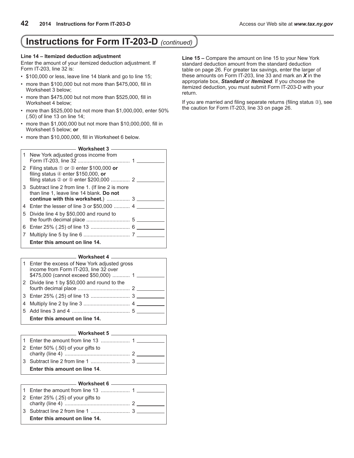## **Instructions for Form IT-203-D** *(continued)*

#### **Line 14 – Itemized deduction adjustment**

Enter the amount of your itemized deduction adjustment. If Form IT-203, line 32 is:

- \$100,000 or less, leave line 14 blank and go to line 15;
- more than \$100,000 but not more than \$475,000, fill in Worksheet 3 below;
- more than \$475,000 but not more than \$525,000, fill in Worksheet 4 below;
- more than \$525,000 but not more than \$1,000,000, enter 50% (.50) of line 13 on line 14;
- more than \$1,000,000 but not more than \$10,000,000, fill in Worksheet 5 below; **or**
- more than \$10,000,000, fill in Worksheet 6 below.

**Worksheet 3**

| 1 New York adjusted gross income from                                                                                              |  |
|------------------------------------------------------------------------------------------------------------------------------------|--|
| 2 Filing status 10 or 3 enter \$100,000 or<br>filing status $\Phi$ enter \$150,000, or                                             |  |
| 3 Subtract line 2 from line 1. (If line 2 is more<br>than line 1, leave line 14 blank. Do not<br>continue with this worksheet.)  3 |  |
| 4 Enter the lesser of line 3 or \$50,000  4                                                                                        |  |
| 5 Divide line 4 by \$50,000 and round to                                                                                           |  |
|                                                                                                                                    |  |
|                                                                                                                                    |  |
|                                                                                                                                    |  |
| Enter this amount on line 14.                                                                                                      |  |

#### **Worksheet 4**

| 1 Enter the excess of New York adjusted gross<br>income from Form IT-203, line 32 over<br>\$475,000 (cannot exceed \$50,000)  1 |  |
|---------------------------------------------------------------------------------------------------------------------------------|--|
| 2 Divide line 1 by \$50,000 and round to the                                                                                    |  |
|                                                                                                                                 |  |
|                                                                                                                                 |  |
|                                                                                                                                 |  |
| Enter this amount on line 14.                                                                                                   |  |
|                                                                                                                                 |  |

#### **Worksheet 5**

| 2 Enter 50% $(.50)$ of your gifts to |  |
|--------------------------------------|--|
|                                      |  |
|                                      |  |
| Enter this amount on line 14.        |  |

#### **Worksheet 6**

| 2 Enter 25% (.25) of your gifts to |  |
|------------------------------------|--|
|                                    |  |
|                                    |  |
| Enter this amount on line 14.      |  |

**Line 15 –** Compare the amount on line 15 to your New York standard deduction amount from the standard deduction table on page 26. For greater tax savings, enter the larger of these amounts on Form IT-203, line 33 and mark an *X* in the appropriate box, *Standard* or *Itemized*. If you choose the itemized deduction, you must submit Form IT-203-D with your return.

If you are married and filing separate returns (filing status 3), see the caution for Form IT-203, line 33 on page 26.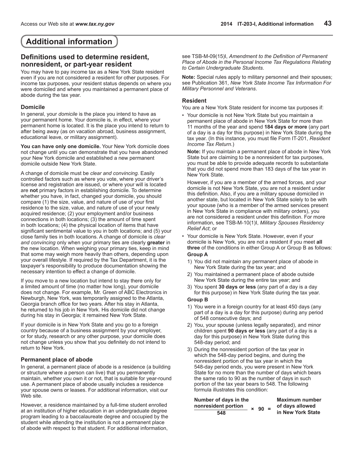## <span id="page-42-0"></span>**Additional information**

### **Definitions used to determine resident, nonresident, or part-year resident**

You may have to pay income tax as a New York State resident even if you are not considered a resident for other purposes. For income tax purposes, your resident status depends on where you were domiciled and where you maintained a permanent place of abode during the tax year.

### **Domicile**

In general, your *domicile* is the place you intend to have as your permanent home. Your domicile is, in effect, where your permanent home is located. It is the place you intend to return to after being away (as on vacation abroad, business assignment, educational leave, or military assignment).

**You can have only one domicile.** Your New York domicile does not change until you can demonstrate that you have abandoned your New York domicile and established a new permanent domicile outside New York State.

A change of domicile must be *clear and convincing.* Easily controlled factors such as where you vote, where your driver's license and registration are issued, or where your will is located are **not** primary factors in establishing domicile. To determine whether you have, in fact, changed your domicile, you should compare (1) the size, value, and nature of use of your first residence to the size, value, and nature of use of your newly acquired residence; (2) your employment and/or business connections in both locations; (3) the amount of time spent in both locations; (4) the physical location of items that have significant sentimental value to you in both locations; and (5) your close family ties in both locations. A change of domicile is *clear and convincing* only when your primary ties are clearly **greater** in the new location. When weighing your primary ties, keep in mind that some may weigh more heavily than others, depending upon your overall lifestyle. If required by the Tax Department, it is the taxpayer's responsibility to produce documentation showing the necessary intention to effect a change of domicile.

If you move to a new location but intend to stay there only for a limited amount of time (no matter how long), your domicile does not change. For example, Mr. Green of ABC Electronics in Newburgh, New York, was temporarily assigned to the Atlanta, Georgia branch office for two years. After his stay in Atlanta, he returned to his job in New York. His domicile did not change during his stay in Georgia; it remained New York State.

If your domicile is in New York State and you go to a foreign country because of a business assignment by your employer, or for study, research or any other purpose, your domicile does not change unless you show that you definitely do not intend to return to New York.

### **Permanent place of abode**

In general, a permanent place of abode is a residence (a building or structure where a person can live) that you permanently maintain, whether you own it or not, that is suitable for year-round use. A permanent place of abode usually includes a residence your spouse owns or leases. For additional information, visit our Web site.

However, a residence maintained by a full-time student enrolled at an institution of higher education in an undergraduate degree program leading to a baccalaureate degree and occupied by the student while attending the institution is not a permanent place of abode with respect to that student. For additional information,

see TSB-M-09(15)I, *Amendment to the Definition of Permanent Place of Abode in the Personal Income Tax Regulations Relating to Certain Undergraduate Students*.

**Note:** Special rules apply to military personnel and their spouses; see Publication 361, *New York State Income Tax Information For Military Personnel and Veterans*.

### **Resident**

You are a New York State resident for income tax purposes if:

• Your domicile is not New York State but you maintain a permanent place of abode in New York State for more than 11 months of the year and spend **184 days or more** (any part of a day is a day for this purpose) in New York State during the tax year. (In this instance, you must file Form IT-201, *Resident Income Tax Return*.)

**Note:** If you maintain a permanent place of abode in New York State but are claiming to be a nonresident for tax purposes, you must be able to provide adequate records to substantiate that you did not spend more than 183 days of the tax year in New York State.

However, if you are a member of the armed forces, and your domicile is not New York State, you are not a resident under this definition. Also, if you are a military spouse domiciled in another state, but located in New York State solely to be with your spouse (who is a member of the armed services present in New York State in compliance with military orders), you are not considered a resident under this definition. For more information, see TSB-M-10(1)I, *Military Spouses Residency Relief Act*; or

• Your domicile is New York State. However, even if your domicile is New York, you are not a resident if you meet **all three** of the conditions in either Group A or Group B as follows: **Group A**

### 1) You did not maintain any permanent place of abode in New York State during the tax year; and

- 2) You maintained a permanent place of abode outside New York State during the entire tax year; and
- 3) You spent **30 days or less** (any part of a day is a day for this purpose) in New York State during the tax year.

### **Group B**

- 1) You were in a foreign country for at least 450 days (any part of a day is a day for this purpose) during any period of 548 consecutive days; and
- 2) You, your spouse (unless legally separated), and minor children spent **90 days or less** (any part of a day is a day for this purpose) in New York State during this 548-day period; and
- 3) During the nonresident portion of the tax year in which the 548‑day period begins, and during the nonresident portion of the tax year in which the 548‑day period ends, you were present in New York State for no more than the number of days which bears the same ratio to 90 as the number of days in such portion of the tax year bears to 548. The following formula illustrates this condition:

| Number of days in the               |        | <b>Maximum number</b> |
|-------------------------------------|--------|-----------------------|
| nonresident portion<br>$\mathbf{x}$ | $90 =$ | of days allowed       |
| 548                                 |        | in New York State     |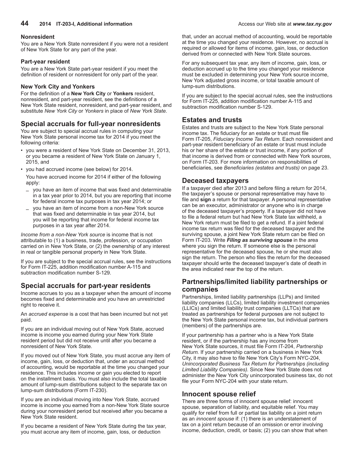### **Nonresident**

You are a New York State nonresident if you were not a resident of New York State for any part of the year.

### **Part-year resident**

You are a New York State part-year resident if you meet the definition of resident or nonresident for only part of the year.

### **New York City and Yonkers**

For the definition of a **New York City** or **Yonkers** resident, nonresident, and part-year resident, see the definitions of a New York State resident, nonresident, and part-year resident, and substitute *New York City* or *Yonkers* in place of *New York State.*

## **Special accruals for full-year nonresidents**

You are subject to special accrual rules in computing your New York State personal income tax for 2014 if you meet the following criteria:

- you were a resident of New York State on December 31, 2013, or you became a resident of New York State on January 1, 2015, and
- you had accrued income (see below) for 2014.

You have accrued income for 2014 if either of the following apply:

- you have an item of income that was fixed and determinable in a tax year prior to 2014, but you are reporting that income for federal income tax purposes in tax year 2014; or
- you have an item of income from a non-New York source that was fixed and determinable in tax year 2014, but you will be reporting that income for federal income tax purposes in a tax year after 2014.

*Income from a non-New York source* is income that is not attributable to (1) a business, trade, profession, or occupation carried on in New York State, or (2) the ownership of any interest in real or tangible personal property in New York State.

If you are subject to the special accrual rules, see the instructions for Form IT-225, addition modification number A-115 and subtraction modification number S-129.

### **Special accruals for part-year residents**

Income accrues to you as a taxpayer when the amount of income becomes fixed and determinable and you have an unrestricted right to receive it.

An *accrued expense* is a cost that has been incurred but not yet paid.

If you are an individual moving out of New York State, accrued income is income you earned during your New York State resident period but did not receive until after you became a nonresident of New York State.

If you moved out of New York State, you must accrue any item of income, gain, loss, or deduction that, under an accrual method of accounting, would be reportable at the time you changed your residence. This includes income or gain you elected to report on the installment basis. You must also include the total taxable amount of lump-sum distributions subject to the separate tax on lump-sum distributions (Form IT-230).

If you are an individual moving into New York State, accrued income is income you earned from a non-New York State source during your nonresident period but received after you became a New York State resident.

If you became a resident of New York State during the tax year, you must accrue any item of income, gain, loss, or deduction

that, under an accrual method of accounting, would be reportable at the time you changed your residence. However, no accrual is required or allowed for items of income, gain, loss, or deduction derived from or connected with New York State sources.

For any subsequent tax year, any item of income, gain, loss, or deduction accrued up to the time you changed your residence must be excluded in determining your New York source income, New York adjusted gross income, or total taxable amount of lump-sum distributions.

If you are subject to the special accrual rules, see the instructions for Form IT-225, addition modification number A-115 and subtraction modification number S-129.

### **Estates and trusts**

Estates and trusts are subject to the New York State personal income tax. The fiduciary for an estate or trust must file Form IT-205, *Fiduciary Income Tax Return.* Each nonresident and part-year resident beneficiary of an estate or trust must include his or her share of the estate or trust income, if any portion of that income is derived from or connected with New York sources, on Form IT-203. For more information on responsibilities of beneficiaries, see *Beneficiaries (estates and trusts)* on page 23.

### **Deceased taxpayers**

If a taxpayer died after 2013 and before filing a return for 2014, the taxpayer's spouse or personal representative may have to file and **sign** a return for that taxpayer. A personal representative can be an executor, administrator or anyone who is in charge of the deceased taxpayer's property. If a taxpayer did not have to file a federal return but had New York State tax withheld, a New York return must be filed to get a refund. If a joint federal income tax return was filed for the deceased taxpayer and the surviving spouse, a joint New York State return can be filed on Form IT-203. Write *Filing as surviving spouse* in the area where you sign the return. If someone else is the personal representative for the deceased spouse, he or she must also sign the return. The person who files the return for the deceased taxpayer should write the deceased taxpayer's date of death in the area indicated near the top of the return.

### **Partnerships/limited liability partnerships or companies**

Partnerships, limited liability partnerships (LLPs) and limited liability companies (LLCs), limited liability investment companies (LLICs) and limited liability trust companies (LLTCs) that are treated as partnerships for federal purposes are not subject to the New York State personal income tax, but individual partners (members) of the partnerships are.

If your partnership has a partner who is a New York State resident, or if the partnership has any income from New York State sources, it must file Form IT-204, *Partnership Return.* If your partnership carried on a business in New York City, it may also have to file New York City's Form NYC-204, *Unincorporated Business Tax Return for Partnerships (including Limited Liability Companies).* Since New York State does not administer the New York City unincorporated business tax, do not file your Form NYC-204 with your state return.

### **Innocent spouse relief**

There are three forms of innocent spouse relief: innocent spouse, separation of liability, and equitable relief. You may qualify for relief from full or partial tax liability on a joint return as an *innocent spouse* if: (1) there is an understatement of tax on a joint return because of an omission or error involving income, deduction, credit, or basis; (2) you can show that when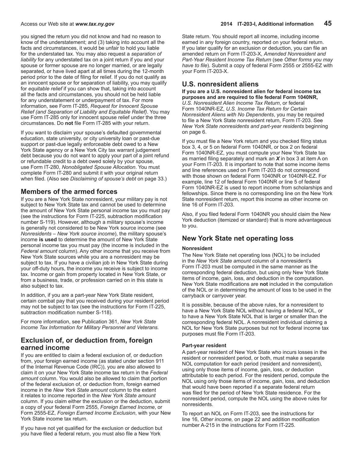you signed the return you did not know and had no reason to know of the understatement; and (3) taking into account all the facts and circumstances, it would be unfair to hold you liable for the understated tax. You may also request a *separation of liability* for any understated tax on a joint return if you and your spouse or former spouse are no longer married, or are legally separated, or have lived apart at all times during the 12-month period prior to the date of filing for relief. If you do not qualify as an innocent spouse or for separation of liability, you may qualify for *equitable relief* if you can show that, taking into account all the facts and circumstances, you should not be held liable for any understatement or underpayment of tax. For more information, see Form IT‑285, *Request for Innocent Spouse Relief (and Separation of Liability and Equitable Relief)*. You may use Form IT-285 only for innocent spouse relief under the three circumstances. Do **not** file Form IT-285 with your return.

If you want to disclaim your spouse's defaulted governmental education, state university, or city university loan or past-due support or past-due legally enforceable debt owed to a New York State agency or a New York City tax warrant judgement debt because you do not want to apply your part of a joint refund or refundable credit to a debt owed solely by your spouse, use Form IT-280, *Nonobligated Spouse Allocation*. You must complete Form IT-280 and submit it with your original return when filed. (Also see *Disclaiming of spouse's debt* on page 33.)

### **Members of the armed forces**

If you are a New York State nonresident, your military pay is not subject to New York State tax and cannot be used to determine the amount of New York State personal income tax you must pay (see the instructions for Form IT-225, subtraction modification number S-119). However, although a military spouse's income is generally not considered to be New York source income (see *Nonresidents – New York source income*), the military spouse's income **is used** to determine the amount of New York State personal income tax you must pay (the income is included in the *Federal amount* column). Any other income that you receive from New York State sources while you are a nonresident may be subject to tax. If you have a civilian job in New York State during your off-duty hours, the income you receive is subject to income tax. Income or gain from property located in New York State, or from a business, trade, or profession carried on in this state is also subject to tax.

In addition, if you are a part-year New York State resident, certain combat pay that you received during your resident period may not be subject to tax (see the instructions for Form IT-225, subtraction modification number S-118).

For more information, see Publication 361, *New York State Income Tax Information for Military Personnel and Veterans.*

### **Exclusion of, or deduction from, foreign earned income**

If you are entitled to claim a federal exclusion of, or deduction from, your foreign earned income (as stated under section 911 of the Internal Revenue Code (IRC)), you are also allowed to claim it on your New York State income tax return in the *Federal amount* column. You would also be allowed to claim that portion of the federal exclusion of, or deduction from, foreign earned income in the *New York State amount* column to the extent it relates to income reported in the *New York State amount* column. If you claim either the exclusion or the deduction, submit a copy of your federal Form 2555, *Foreign Earned Income*, or Form 2555‑EZ, *Foreign Earned Income Exclusion*, with your New York State income tax return.

If you have not yet qualified for the exclusion or deduction but you have filed a federal return, you must also file a New York

State return. You should report all income, including income earned in any foreign country, reported on your federal return. If you later qualify for an exclusion or deduction, you can file an amended return on Form IT‑203‑X, *Amended Nonresident and Part-Year Resident Income Tax Return* (see *Other forms you may have to file*). Submit a copy of federal Form 2555 or 2555‑EZ with your Form IT‑203‑X.

### **U.S. nonresident aliens**

**If you are a U.S. nonresident alien for federal income tax purposes and are required to file federal Form 1040NR,** *U.S. Nonresident Alien Income Tax Return*, or federal Form 1040NR-EZ, *U.S. Income Tax Return for Certain Nonresident Aliens with No Dependents*, you may be required to file a New York State nonresident return, Form IT‑203. See *New York State nonresidents and part-year residents* beginning on page 6.

If you must file a New York return and you checked filing status box 3, 4, or 5 on federal Form 1040NR, or box 2 on federal Form 1040NR-EZ, you must compute your New York State tax as married filing separately and mark an *X* in box 3 at item A on your Form IT‑203. It is important to note that some income items and line references used on Form IT‑203 do not correspond with those shown on federal Form 1040NR or 1040NR-EZ. For example, line 12 of federal Form 1040NR or line 5 of federal Form 1040NR-EZ is used to report income from scholarships and fellowships. Since there is no corresponding line on the New York State nonresident return, report this income as other income on line 16 of Form IT‑203.

Also, if you filed federal Form 1040NR you should claim the New York deduction (itemized or standard) that is more advantageous to you.

### **New York State net operating loss**

### **Nonresident**

The New York State net operating loss (NOL) to be included in the *New York State amount* column of a nonresident's Form IT‑203 must be computed in the same manner as the corresponding federal deduction, but using only New York State items of income, gain, loss, and deduction in the computation. New York State modifications are **not** included in the computation of the NOL or in determining the amount of loss to be used in the carryback or carryover year.

It is possible, because of the above rules, for a nonresident to have a New York State NOL without having a federal NOL, or to have a New York State NOL that is larger or smaller than the corresponding federal NOL. A nonresident individual claiming a NOL for New York State purposes but not for federal income tax purposes must file Form IT-203.

#### **Part-year resident**

A part‑year resident of New York State who incurs losses in the resident or nonresident period, or both, must make a separate NOL computation for each period (resident and nonresident), using only those items of income, gain, loss, or deduction attributable to each period. For the resident period, compute the NOL using only those items of income, gain, loss, and deduction that would have been reported if a separate federal return was filed for the period of New York State residence. For the nonresident period, compute the NOL using the above rules for nonresidents.

To report an NOL on Form IT‑203, see the instructions for line 16, *Other income,* on page 22 and addition modification number A-215 in the instructions for Form IT-225.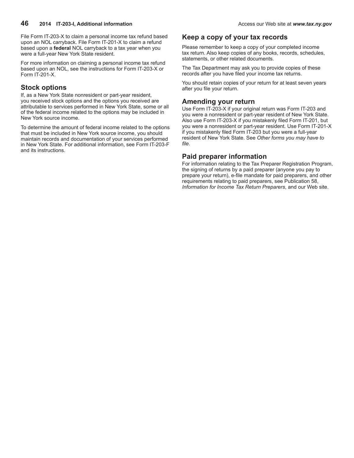File Form IT‑203‑X to claim a personal income tax refund based upon an NOL carryback. File Form IT-201-X to claim a refund based upon a **federal** NOL carryback to a tax year when you were a full-year New York State resident.

For more information on claiming a personal income tax refund based upon an NOL, see the instructions for Form IT-203-X or Form IT-201-X.

## **Stock options**

If, as a New York State nonresident or part-year resident, you received stock options and the options you received are attributable to services performed in New York State, some or all of the federal income related to the options may be included in New York source income.

To determine the amount of federal income related to the options that must be included in New York source income, you should maintain records and documentation of your services performed in New York State. For additional information, see Form IT-203-F and its instructions.

### **Keep a copy of your tax records**

Please remember to keep a copy of your completed income tax return. Also keep copies of any books, records, schedules, statements, or other related documents.

The Tax Department may ask you to provide copies of these records after you have filed your income tax returns.

You should retain copies of your return for at least seven years after you file your return.

### **Amending your return**

Use Form IT-203-X if your original return was Form IT-203 and you were a nonresident or part-year resident of New York State. Also use Form IT-203-X if you mistakenly filed Form IT-201, but you were a nonresident or part-year resident. Use Form IT-201-X if you mistakenly filed Form IT-203 but you were a full-year resident of New York State. See *Other forms you may have to file*.

### **Paid preparer information**

For information relating to the Tax Preparer Registration Program, the signing of returns by a paid preparer (anyone you pay to prepare your return), e‑file mandate for paid preparers, and other requirements relating to paid preparers, see Publication 58, *Information for Income Tax Return Preparers*, and our Web site.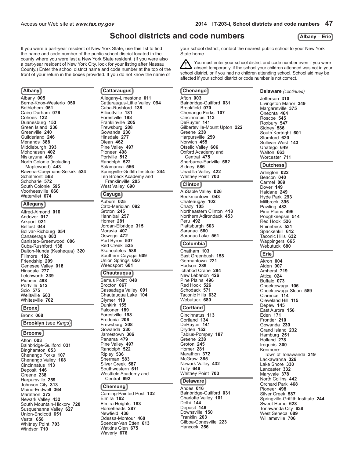You must enter your school district and code number even if you were absent temporarily, if the school your children attended was not in your school district, or if you had no children attending school. School aid may be

your school district, contact the nearest public school to your New York

affected if your school district or code number is not correct.

## **School districts and code numbers**

State home.

**Albany – Erie**

<span id="page-46-0"></span>If you were a part-year resident of New York State, use this list to find the name and code number of the public school district located in the county where you were last a New York State resident. (If you were also a part-year resident of New York City, look for your listing after Nassau County.) Enter the school district name and code number at the top of the front of your return in the boxes provided. If you do not know the name of

### **Albany**

Albany **005** Berne-Knox-Westerlo **050** Bethlehem **051** Cairo-Durham **076** Cohoes **122** Duanesburg **153** Green Island **236** Greenville **240** Guilderland **246** Menands **388** Middleburgh **393** Mohonasen **402** Niskayuna **439** North Colonie (including Maplewood) **443** Ravena-Coeymans-Selkirk **524** Schalmont **568** Schoharie **572** South Colonie **595** Voorheesville **660** Watervliet **674**

#### **Allegany**

Alfred-Almond **010** Andover **017** Arkport **021** Belfast **044** Bolivar-Richburg **054** Canaseraga **083** Canisteo-Greenwood **086** Cuba-Rushford **138** Dalton-Nunda (Keshequa) **320** Fillmore **192** Friendship **209** Genesee Valley **018** Hinsdale **277** Letchworth **339** Pioneer **498** Portville **512** Scio **575** Wellsville **683** Whitesville **702**

#### **Bronx**

Bronx **068**

**Brooklyn** (see *Kings*)

**Broome**

Afton **003** Bainbridge-Guilford **031** Binghamton **053** Chenango Forks **107** Chenango Valley **108** Cincinnatus **113** Deposit **146** Greene **238** Harpursville **259** Johnson City **313** Maine-Endwell **364** Marathon **372** Newark Valley **432** South Mountain-Hickory **720** Susquehanna Valley **627** Union-Endicott **651** Vestal **658** Whitney Point **703** Windsor **710**

### **Cattaraugus**

Allegany-Limestone **011** Cattaraugus-Little Valley **094** Cuba-Rushford **138** Ellicottville **181** Forestville **198** Franklinville **205** Frewsburg **208** Gowanda **230** Hinsdale **277** Olean **462** Pine Valley **497** Pioneer **498** Portville **512** Randolph **522** Salamanca **556** Springville-Griffith Institute **244** Ten Broeck Academy and Franklinville **205** West Valley **690**

#### **Cayuga**

Auburn **025** Cato-Meridian **092** Groton **245** Hannibal **257** Homer **281** Jordan-Elbridge **315** Moravia **407** Oswego **472** Port Byron **507** Red Creek **525** Skaneateles **588** Southern Cayuga **609** Union Springs **650** Weedsport **681**

#### **Chautauqua**

Bemus Point **048** Brocton **067** Cassadaga Valley **091** Chautauqua Lake **104** Clymer **119** Dunkirk **155** Falconer **189** Forestville **198** Fredonia **206** Frewsburg **208** Gowanda **230** Jamestown **306** Panama **479** Pine Valley **497** Randolph **522** Ripley **536** Sherman **583** Silver Creek **587** Southwestern **611** Westfield Academy and Central **692**

### **Chemung**

Corning-Painted Post **132** Elmira **182** Elmira Heights **183** Horseheads **287** Newfield **436** Odessa-Montour **460** Spencer-Van Etten **613** Watkins Glen **675** Waverly **676**

**Chenango** Afton **003** Bainbridge-Guilford **031** Brookfield **070** Chenango Forks **107** Cincinnatus **113** DeRuyter **141** Gilbertsville-Mount Upton **222** Greene **238** Harpursville **259** Norwich **455** Otselic Valley **606** Oxford Academy and Central **475** Sherburne-Earlville **582** Sidney **586** Unadilla Valley **422** Whitney Point **703**

#### **Clinton**

AuSable Valley **026** Beekmantown **043** Chateaugay **102** Chazy **105** Northeastern Clinton **418** Northern Adirondack **453** Peru **492** Plattsburgh **503** Saranac **560** Saranac Lake **561**

#### **Columbia**

Chatham **103** East Greenbush **158** Germantown **221** Hudson **289** Ichabod Crane **294** New Lebanon **426** Pine Plains **496** Red Hook **526** Schodack **571** Taconic Hills **632** Webutuck **680**

#### **Cortland**

Cincinnatus **113** Cortland **134** DeRuyter **141** Dryden **152** Fabius-Pompey **187** Greene **238** Groton **245** Homer **281** Marathon **372** McGraw **385** Newark Valley **432** Tully **646** Whitney Point **703**

#### **Delaware** Andes **016**

Bainbridge-Guilford **031** Charlotte Valley **101** Delhi **144** Deposit **146** Downsville **150** Franklin **203** Gilboa-Conesville **223** Hancock **256**

**Delaware** *(continued)*

Jefferson **310** Livingston Manor **349** Margaretville **375** Oneonta **464** Roscoe **545** Roxbury **547** Sidney **586** South Kortright **601** Stamford **620** Sullivan West **143** Unatego **649** Walton **663** Worcester **711**

#### **Dutchess**

Arlington **022** Beacon **040** Carmel **089** Dover **149** Haldane **249** Hyde Park **293** Millbrook **396** Pawling **483** Pine Plains **496** Poughkeepsie **514** Red Hook **526** Rhinebeck **531** Spackenkill **612** Taconic Hills **632** Wappingers **665** Webutuck **680**

### **Erie**

Akron **004** Alden **007** Amherst **719** Attica **024** Buffalo **073** Cheektowaga **106** Cheektowaga-Sloan **589** Clarence **114** Cleveland Hill **115** Depew **145** East Aurora **156** Eden **171** Frontier **210** Gowanda **230** Grand Island **232** Hamburg **251** Holland **278** Iroquois **300** Kenmore-Town of Tonawanda **319** Lackawanna **326** Lake Shore **330** Lancaster **332** Maryvale **378** North Collins **442** Orchard Park **468** Pioneer **498** Silver Creek **587** Springville-Griffith Institute **244** Sweet Home **628** Tonawanda City **638** West Seneca **689** Williamsville **706**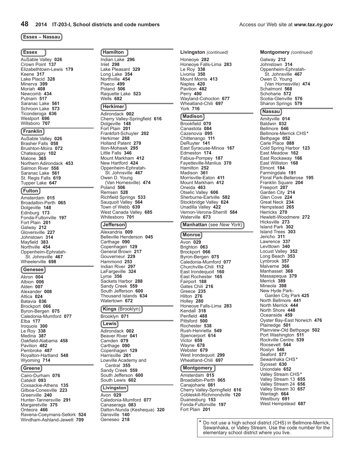#### **Essex – Nassau**

#### **Essex**

AuSable Valley **026** Crown Point **137** Elizabethtown-Lewis **179** Keene **317** Lake Placid **328** Minerva **399** Moriah **408** Newcomb **434** Putnam **517** Saranac Lake **561** Schroon Lake **573** Ticonderoga **636** Westport **696** Willsboro **707**

### **Franklin**

AuSable Valley **026** Brasher Falls **058** Brushton-Moira **072** Chateaugay **102** Malone **365** Northern Adirondack **453** Salmon River **558** Saranac Lake **561** St. Regis Falls **619** Tupper Lake **647**

### **Fulton**

Amsterdam **015** Broadalbin-Perth **065** Dolgeville **148** Edinburg **173** Fonda-Fultonville **197** Fort Plain **201** Galway **212** Gloversville **227** Johnstown **314** Mayfield **383** Northville **454** Oppenheim-Ephratah- St. Johnsville **467** Wheelerville **698**

#### **Genesee**

Akron **004** Albion **006** Alden **007** Alexander **008** Attica **024** Batavia **036** Brockport **066** Byron-Bergen **075** Caledonia-Mumford **077** Elba **177** Iroquois **300** Le Roy **338** Medina **387** Oakfield-Alabama **458** Pavilion **482** Pembroke **487** Royalton-Hartland **548** Wyoming **714**

#### **Greene**

Cairo-Durham **076** Catskill **093** Coxsackie-Athens **135** Gilboa-Conesville **223** Greenville **240** Hunter-Tannersville **291** Margaretville **375** Onteora **466** Ravena-Coeymans-Selkirk **524** Windham-Ashland-Jewett **709**

**Hamilton** Indian Lake **296** Inlet **298** Lake Pleasant **329** Long Lake **354** Northville **454** Piseco **499** Poland **506** Raquette Lake **523** Wells **682**

### **Herkimer**

Adirondack **002** Cherry Valley-Springfield **616** Dolgeville **148** Fort Plain **201** Frankfort-Schuyler **202** Herkimer **268** Holland Patent **279** Ilion-Mohawk **295** Little Falls **346** Mount Markham **412** New Hartford **424** Oppenheim-Ephratah- St. Johnsville **467** Owen D. Young (Van Hornesville) **474** Poland **506** Remsen **528** Richfield Springs **533** Sauquoit Valley **564** Town of Webb **639** West Canada Valley **685** Whitesboro **701**

### **Jefferson**

Alexandria **009** Belleville Henderson **045** Carthage **090** Copenhagen **129** General Brown **217** Gouverneur **229** Hammond **253** Indian River **297** LaFargeville **324** Lyme **356** Sackets Harbor **288** Sandy Creek **559** South Jefferson **600** Thousand Islands **634** Watertown **672**

#### **Kings** (Brooklyn) Brooklyn **071**

**Lewis** Adirondack **002** Beaver River **041** Camden **079** Carthage **090** Copenhagen **129** Harrisville **261** Lowville Academy and Central **355** Sandy Creek **559** South Jefferson **600** South Lewis **602**

### **Livingston**

Avon **029** Caledonia-Mumford **077** Canaseraga **083** Dalton-Nunda (Keshequa) **320** Dansville **140** Geneseo **218**

**Livingston** *(continued)* Honeoye **282** Honeoye Falls-Lima **283** Le Roy **338** Livonia **350** Mount Morris **413** Naples **420** Pavilion **482** Perry **490** Wayland-Cohocton **677** Wheatland-Chili **697** York **716**

#### **Madison**

Brookfield **070** Canastota **084** Cazenovia **095** Chittenango **111** DeRuyter **141** East Syracuse-Minoa **167** Edmeston **174** Fabius-Pompey **187** Fayetteville-Manlius **370** Hamilton **252** Madison **361** Morrisville-Eaton **411** Mount Markham **412** Oneida **463** Otselic Valley **606** Sherburne-Earlville **582** Stockbridge Valley **624** Unadilla Valley **422** Vernon-Verona-Sherrill **584** Waterville **673**

#### **Manhattan** (see *New York*)

**Monroe** Avon **029** Brighton **063** Brockport **066** Byron-Bergen **075** Caledonia-Mumford **077** Churchville-Chili **112** East Irondequoit **160** East Rochester **165** Fairport **188** Gates Chili **216** Greece **235** Hilton **276** Holley **280** Honeoye Falls-Lima **283** Kendall **318** Penfield **488** Pittsford **500** Rochester **538** Rush-Henrietta **549** Spencerport **614** Victor **659** Wayne **678** Webster **679** West Irondequoit **299** Wheatland-Chili **697**

#### **Montgomery**

Amsterdam **015** Broadalbin-Perth **065** Canajoharie **081** Cherry Valley-Springfield **616** Cobleskill-Richmondville **120** Duanesburg **153** Fonda-Fultonville **197** Fort Plain **201**

**Montgomery** *(continued)*

Galway **212** Johnstown **314** Oppenheim-Ephratah- St. Johnsville **467** Owen D. Young (Van Hornesville) **474** Schalmont **568** Schoharie **572** Scotia-Glenville **576** Sharon Springs **579**

#### **Nassau**

Amityville **014** Baldwin **032** Bellmore **046** Bellmore-Merrick CHS**\*** Bethpage **052** Carle Place **088** Cold Spring Harbor **123** East Meadow **162** East Rockaway **166** East Williston **168** Elmont **184** Farmingdale **191** Floral Park-Bellerose **195** Franklin Square **204** Freeport **207** Garden City **214** Glen Cove **224** Great Neck **234** Hempstead **265** Herricks **270** Hewlett-Woodmere **272** Hicksville **273** Island Park **302** Island Trees **303** Jericho **311** Lawrence **337** Levittown **340** Locust Valley **352** Long Beach **353** Lynbrook **357** Malverne **366** Manhasset **368** Massapequa **379** Merrick **389** Mineola **398** New Hyde Park-Garden City Park **425** North Bellmore **441** North Merrick **444** North Shore **448** Oceanside **459** Oyster Bay-East Norwich **476** Plainedge **501** Plainview-Old Bethpage **502** Port Washington **511** Rockville Centre **539** Roosevelt **544** Roslyn **546** Seaford **577** Sewanhaka CHS**\*** Syosset **630** Uniondale **652** Valley Stream CHS**\*** Valley Stream 13 **655** Valley Stream 24 **656** Valley Stream 30 **657** Wantagh **664** Westbury **691** West Hempstead **687**

**\*** Do not use a high school district (CHS) in Bellmore-Merrick, Sewanhaka, or Valley Stream. Use the code number for the elementary school district where you live.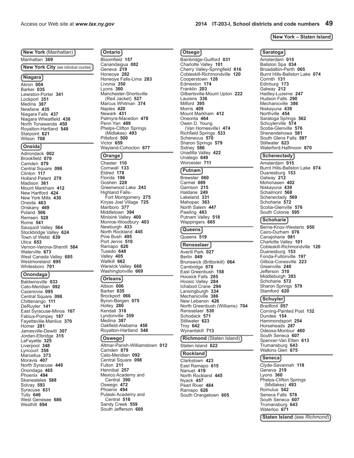**New York** (Manhattan) Manhattan **369 New York City** (see individual counties)

### **Niagara**

Akron **004** Barker **035** Lewiston-Porter **341** Lockport **351** Medina **387** Newfane **435** Niagara Falls **437** Niagara Wheatfield **438** North Tonawanda **450** Royalton-Hartland **548** Starpoint **621** Wilson **708**

### **Oneida**

Adirondack **002** Brookfield **070** Camden **079** Central Square **098** Clinton **117** Holland Patent **279** Madison **361** Mount Markham **412** New Hartford **424** New York Mills **430** Oneida **463** Oriskany **469** Poland **506** Remsen **528** Rome **541** Sauquoit Valley **564** Stockbridge Valley **624** Town of Webb **639** Utica **653** Vernon-Verona-Sherrill **584** Waterville **673** West Canada Valley **685** Westmoreland **695** Whitesboro **701**

#### **Onondaga**

Baldwinsville **033** Cato-Meridian **092** Cazenovia **095** Central Square **098** Chittenango **111** DeRuyter **141** East Syracuse-Minoa **167** Fabius-Pompey **187** Fayetteville-Manlius **370** Homer **281** Jamesville-Dewitt **307** Jordan-Elbridge **315** LaFayette **325** Liverpool **348** Lyncourt **358** Marcellus **373** Moravia **407** North Syracuse **449** Onondaga **465** Phoenix **494** Skaneateles **588** Solvay **593** Syracuse **631** Tully **646** West Genesee **686** Westhill **694**

**Ontario** Bloomfield **157** Canandaigua **082** Geneva **219** Honeoye **282** Honeoye Falls-Lima **283** Livonia **350** Lyons **360** Manchester-Shortsville (Red Jacket) **527** Marcus Whitman **374** Naples **420** Newark **431** Palmyra-Macedon **478** Penn Yan **489** Phelps-Clifton Springs (Midlakes) **493** Pittsford **500** Victor **659** Wayland-Cohocton **677**

**Otsego**

Bainbridge-Guilford **031** Charlotte Valley **101** Cherry Valley-Springfield **616** Cobleskill-Richmondville **120**

Gilbertsville-Mount Upton **222**

 (Van Hornesville) **474** Richfield Springs **533** Schenevus **570** Sharon Springs **579** Sidney **586** Unadilla Valley **422** Unatego **649** Worcester **711 Putnam** Brewster **060** Carmel **089** Garrison **215** Haldane **249** Lakeland **331** Mahopac **363** North Salem **447** Pawling **483** Putnam Valley **518** Wappingers **665 Queens** Queens **519 Rensselaer** Averill Park **027** Berlin **049**

Brunswick (Brittonkill) **064**

North Greenbush (Williams) **704**

**Richmond** (Staten Island)

Cambridge **078** East Greenbush **158** Hoosick Falls **285** Hoosic Valley **284** Ichabod Crane **294** Lansingburgh **334** Mechanicville **386** New Lebanon **426**

Rensselaer **530** Schodack **571** Stillwater **623** Troy **642** Wynantskill **713**

Staten Island **622 Rockland** Clarkstown **423** East Ramapo **615** Nanuet **419** North Rockland **445** Nyack **457** Pearl River **484** Ramapo **626** South Orangetown **605**

Cooperstown **128** Edmeston **174** Franklin **203**

Laurens **336** Milford **395** Morris **409** Mount Markham **412** Oneonta **464** Owen D. Young

#### **Orange**

Chester **110** Cornwall **133** Eldred **178** Florida **196** Goshen **228** Greenwood Lake **243** Highland Falls-Fort Montgomery **275** Kiryas Joel Village **725** Marlboro **377** Middletown **394** Minisink Valley **400** Monroe-Woodbury **403** Newburgh **433** North Rockland **445** Pine Bush **495** Port Jervis **510** Ramapo **626** Tuxedo **648** Valley **405** Wallkill **662** Warwick Valley **668** Washingtonville **669**

#### **Orleans**

Albion **006** Barker **035** Brockport **066** Byron-Bergen **075** Holley **280** Kendall **318** Lyndonville **359** Medina **387** Oakfield-Alabama **458** Royalton-Hartland **548**

#### **Oswego**

Altmar-Parish-Williamstown **012** Camden **079** Cato-Meridian **092** Central Square **098** Fulton **211** Hannibal **257** Mexico Academy and Central **390** Oswego **472** Phoenix **494** Pulaski Academy and Central **516** Sandy Creek **559** South Jefferson **600**

Access our Web site at *www.tax.ny.gov* **2014 IT-203-I, School districts and code numbers 49**

#### **New York – Staten Island**

#### **Saratoga**

Amsterdam **015** Ballston Spa **034** Broadalbin-Perth **065** Burnt Hills-Ballston Lake **074** Corinth **131** Edinburg **173** Galway **212** Hadley-Luzerne **247** Hudson Falls **290** Mechanicville **386** Niskayuna **439** Northville **454** Saratoga Springs **562** Schuylerville **574** Scotia-Glenville **576** Shenendehowa **581** South Glens Falls **597** Stillwater **623** Waterford-Halfmoon **670**

#### **Schenectady**

Amsterdam **015** Burnt Hills-Ballston Lake **074** Duanesburg **153** Galway **212** Mohonasen **402** Niskayuna **439** Schalmont **568** Schenectady **569** Schoharie **572** Scotia-Glenville **576** South Colonie **595**

### **Schoharie**

Berne-Knox-Westerlo **050** Cairo-Durham **076** Canajoharie **081** Charlotte Valley **101** Cobleskill-Richmondville **120** Duanesburg **153** Fonda-Fultonville **197** Gilboa-Conesville **223** Greenville **240** Jefferson **310** Middleburgh **393** Schoharie **572** Sharon Springs **579** Stamford **620**

#### **Schuyler**

Bradford **057** Corning-Painted Post **132** Dundee **154** Hammondsport **254** Horseheads **287** Odessa-Montour **460** South Seneca **607** Spencer-Van Etten **613** Trumansburg **643** Watkins Glen **675**

#### **Seneca**

Clyde-Savannah **118** Geneva **219** Lyons **360** Phelps-Clifton Springs (Midlakes) **493** Romulus **542** Seneca Falls **578** South Seneca **607** Trumansburg **643** Waterloo **671**

**Staten Island** *(*see *Richmond*)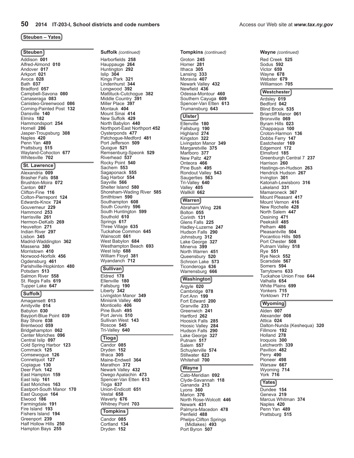#### **Steuben – Yates**

#### **Steuben**

Addison **001** Alfred-Almond **010** Andover **017** Arkport **021** Avoca **028** Bath **037** Bradford **057** Campbell-Savona **080** Canaseraga **083** Canisteo-Greenwood **086** Corning-Painted Post **132** Dansville **140** Elmira **182** Hammondsport **254** Hornell **286** Jasper-Troupsburg **308** Naples **420** Penn Yan **489** Prattsburg **515** Wayland-Cohocton **677** Whitesville **702**

#### **St. Lawrence**

Alexandria **009** Brasher Falls **058** Brushton-Moira **072** Canton **087** Clifton-Fine **116** Colton-Pierrepont **124** Edwards-Knox **724** Gouverneur **229** Hammond **253** Harrisville **261** Hermon-DeKalb **269** Heuvelton **271** Indian River **297** Lisbon **345** Madrid-Waddington **362** Massena **380** Morristown **410** Norwood-Norfolk **456** Ogdensburg **461** Parishville-Hopkinton **480** Potsdam **513** Salmon River **558** St. Regis Falls **619** Tupper Lake **647**

#### **Suffolk**

Amagansett **013** Amityville **014** Babylon **030** Bayport-Blue Point **039** Bay Shore **038** Brentwood **059** Bridgehampton **062** Center Moriches **096** Central Islip **097** Cold Spring Harbor **123** Commack **125** Comsewogue **126** Connetquot **127** Copiague **130** Deer Park **142** East Hampton **159** East Islip **161** East Moriches **163** Eastport-South Manor **170** East Quogue **164** Elwood **186** Farmingdale **191** Fire Island **193** Fishers Island **194** Greenport **239** Half Hollow Hills **250** Hampton Bays **255**

**Suffolk** *(continued)* Harborfields **258** Hauppauge **264** Huntington **292** Islip **304** Kings Park **321** Lindenhurst **344** Longwood **392** Mattituck-Cutchogue **382** Middle Country **391** Miller Place **397** Montauk **404** Mount Sinai **414** New Suffolk **429** North Babylon **440** Northport-East Northport **452** Oysterponds **477** Patchogue-Medford **481** Port Jefferson **509** Quogue **521** Remsenburg-Speonk **529** Riverhead **537** Rocky Point **540** Sachem **553** Sagaponack **555** Sag Harbor **554** Sayville **566** Shelter Island **580** Shoreham-Wading River **585** Smithtown **590** Southampton **608** South Country **596** South Huntington **599** Southold **610** Springs **617** Three Village **635** Tuckahoe Common **645** Wainscott **661** West Babylon **684** Westhampton Beach **693** West Islip<sup>'</sup> 688 William Floyd **381** Wyandanch **712**

#### **Sullivan**

Eldred **178** Ellenville **180** Fallsburg **190** Liberty **342** Livingston Manor **349** Minisink Valley **400** Monticello **406** Pine Bush **495** Port Jervis **510** Sullivan West **143** Roscoe **545** Tri-Valley **640**

#### **Tioga**

Candor **085** Dryden **152** Ithaca **305** Maine-Endwell **364** Marathon **372** Newark Valley **432** Owego Apalachin **473** Spencer-Van Etten **613** Tioga **637** Union-Endicott **651** Vestal **658** Waverly **676** Whitney Point **703 Tompkins** Candor **085**

Cortland **134** Dryden **152**

**Tompkins** *(continued)* Groton **245** Homer **281** Ithaca **305** Lansing **333** Moravia **407** Newark Valley **432** Newfield **436** Odessa-Montour **460** Southern Cayuga **609** Spencer-Van Etten **613** Trumansburg **643**

#### **Ulster**

Ellenville **180** Fallsburg **190** Highland **274** Kingston **322** Livingston Manor **349** Margaretville **375** Marlboro **377** New Paltz **427** Onteora **466** Pine Bush **495** Rondout Valley **543** Saugerties **563** Tri-Valley **640** Valley **405** Wallkill **662**

#### **Warren**

Abraham Wing **226** Bolton **055** Corinth **131** Glens Falls **225** Hadley-Luzerne **247** Hudson Falls **290** Johnsburg **312** Lake George **327** Minerva **399** North Warren **451** Queensbury **520** Schroon Lake **573** Ticonderoga **636** Warrensburg **666**

### **Washington**

Argyle **020** Cambridge **078** Fort Ann **199** Fort Edward **200** Granville **233** Greenwich **241** Hartford **262** Hoosick Falls **285** Hoosic Valley **284** Hudson Falls **290** Lake George **327** Putnam **517** Salem **557** Schuylerville **574** Stillwater **623** Whitehall **700**

#### **Wayne**

Cato-Meridian **092** Clyde-Savannah **118** Gananda **213** Lyons **360** Marion **376** North Rose-Wolcott **446** Newark **431** Palmyra-Macedon **478** Penfield **488** Phelps-Clifton Springs (Midlakes) **493** Port Byron **507**

**Wayne** *(continued)*

Red Creek **525** Sodus **592** Victor **659** Wayne **678** Webster **679** Williamson **705 Westchester** Ardsley **019** Bedford **042** Blind Brook **535** Briarcliff Manor **061** Bronxville **069** Byram Hills **023** Chappaqua **100** Croton-Harmon **136** Dobbs Ferry **147** Eastchester **169** Edgemont **172** Elmsford **185** Greenburgh Central 7 **237** Harrison **260** Hastings-on-Hudson **263** Hendrick Hudson **267** Irvington **301** Katonah-Lewisboro **316** Lakeland **331** Mamaroneck **367** Mount Pleasant **417** Mount Vernon **416** New Rochelle **428** North Salem **447** Ossining **471** Peekskill **485** Pelham **486** Pleasantville **504** Pocantico Hills **505** Port Chester **508** Putnam Valley **518** Rye **551** Rye Neck **552** Scarsdale **567** Somers **594** Tarrytowns **633** Tuckahoe Union Free **644** Valhalla **654** White Plains **699** Yonkers **715** Yorktown **717**

#### **Wyoming**

Alden **007** Alexander **008** Attica **024** Dalton-Nunda (Keshequa) **320** Fillmore **192** Holland **278** Iroquois **300** Letchworth **339** Pavilion **482** Perry **490** Pioneer **498** Warsaw **667** Wyoming **714** York **716**

#### **Yates**

Dundee **154** Geneva **219** Marcus Whitman **374** Naples **420** Penn Yan **489** Prattsburg **515**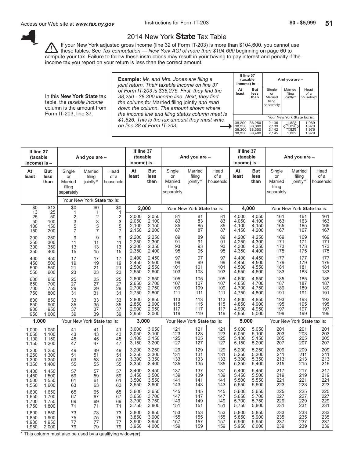**And you are –** 

Your New York **State** tax is:

than | Married | jointly<sup>\*</sup> | household

**At But** Single Married Head<br>**least less** or filing of a

filing eparately

 $\begin{array}{c|c|c|c|c} 38,200 & 38,250 & 2,136 & 1,823 & 1,969 \\ 38,250 & 38,300 & 2,139 & 1,973 & 1,973 \\ 38,300 & 38,350 & 2,142 & 1,829 & 1,976 \\ 38,350 & 38,400 & 2,145 & 1,832 & 1,979 \end{array}$ 38,250 38,300 2,139 1,826 1,973 38,300 38,350 2,142 1,829 1,976 38,350 38,400 2,145 1,832 1,979

 **If line 37**

 **income) is –**

<span id="page-50-0"></span>

### 2014 New York **State** Tax Table

If your New York adjusted gross income (line 32 of Form IT-203) is more than \$104,600, you cannot use these tables. See *Tax computation — New York AGI of more than \$104,600* beginning on page 60 to compute your tax. Failure to follow these instructions may result in your having to pay interest and penalty if the income tax you report on your return is less than the correct amount.

In this **New York State** tax table, the *taxable income* column is the amount from Form IT-203, line 37.

**Example:** *Mr. and Mrs. Jones are filing a joint return. Their taxable income on line 37 of Form IT-203 is \$38,275. First, they find the 38,250 - 38,300 income line. Next, they find the column for* Married filing jointly *and read down the column. The amount shown where the income line and filing status column meet is \$1,826. This is the tax amount they must write on line 38 of Form IT‑203.*

| If line 37<br>(taxable<br>income) is $-$ |                                                              |                                                 | And you are -                            |                                                        | If line 37<br>(taxable<br>income) is - |                                  |                                                 | And you are -                 |                           | If line 37<br>(taxable<br>income) is $-$ |                                  |                                                 | And you are -                 |                           |
|------------------------------------------|--------------------------------------------------------------|-------------------------------------------------|------------------------------------------|--------------------------------------------------------|----------------------------------------|----------------------------------|-------------------------------------------------|-------------------------------|---------------------------|------------------------------------------|----------------------------------|-------------------------------------------------|-------------------------------|---------------------------|
| At<br>least                              | <b>But</b><br>less<br>than                                   | Single<br>or<br>Married<br>filing<br>separately | Married<br>filing<br>jointly*            | Head<br>of a<br>household                              | At<br>least                            | <b>But</b><br>less<br>than       | Single<br>or<br>Married<br>filing<br>separately | Married<br>filing<br>jointly* | Head<br>of a<br>household | At<br>least                              | <b>But</b><br>less<br>than       | Single<br>or<br>Married<br>filina<br>separately | Married<br>filing<br>jointly* | Head<br>of a<br>household |
|                                          |                                                              |                                                 | Your New York State tax is:              |                                                        |                                        |                                  |                                                 |                               |                           |                                          |                                  |                                                 |                               |                           |
| \$0<br>13                                | \$13                                                         | \$0                                             | \$0<br>1                                 | \$0<br>1                                               |                                        | 2,000                            |                                                 | Your New York State tax is:   |                           |                                          | 4,000                            |                                                 | Your New York State tax is:   |                           |
| 25<br>50<br>100<br>150                   | $\begin{array}{c} 25 \\ 50 \end{array}$<br>100<br>150<br>200 | 12357                                           | $23$<br>$57$                             | $\frac{1}{2}$<br>$\overline{3}$<br>$\overline{5}$<br>7 | 2,000<br>2,050<br>2,100<br>2,150       | 2,050<br>2,100<br>2,150<br>2,200 | 81<br>83<br>85<br>$\overline{87}$               | 81<br>83<br>85<br>87          | 81<br>83<br>85<br>87      | 4,000<br>4.050<br>4,100<br>4,150         | 4,050<br>4.100<br>4,150<br>4,200 | 161<br>163<br>165<br>167                        | 161<br>163<br>165<br>167      | 161<br>163<br>165<br>167  |
| 200                                      | 250                                                          | 9                                               | $\boldsymbol{9}$                         | 9                                                      | 2,200                                  | 2,250                            | 89                                              | 89                            | 89                        | 4,200                                    | 4,250                            | 169                                             | 169                           | 169                       |
| 250                                      | 300                                                          | 11                                              | 11                                       | 11                                                     | 2,250                                  | 2,300                            | 91                                              | 91                            | 91                        | 4,250                                    | 4,300                            | 171                                             | 171                           | 171                       |
| 300                                      | 350                                                          | 13                                              | 13                                       | 13                                                     | 2,300                                  | 2,350                            | 93                                              | 93                            | 93                        | 4,300                                    | 4,350                            | 173                                             | 173                           | 173                       |
| 350                                      | 400                                                          | 15                                              | 15                                       | 15                                                     | 2,350                                  | 2,400                            | 95                                              | 95                            | 95                        | 4,350                                    | 4,400                            | 175                                             | 175                           | 175                       |
| 400                                      | 450                                                          | 17                                              | 17                                       | 17                                                     | 2,400                                  | 2,450                            | 97                                              | 97                            | 97                        | 4,400                                    | 4,450                            | 177                                             | 177                           | 177                       |
| 450                                      | 500                                                          | 19                                              | 19                                       | 19                                                     | 2,450                                  | 2,500                            | 99                                              | 99                            | 99                        | 4,450                                    | 4,500                            | 179                                             | 179                           | 179                       |
| 500                                      | 550                                                          | 21                                              | 21                                       | 21                                                     | 2,500                                  | 2,550                            | 101                                             | 101                           | 101                       | 4,500                                    | 4,550                            | 181                                             | 181                           | 181                       |
| 550                                      | 600                                                          | 23                                              | 23                                       | 23                                                     | 2,550                                  | 2,600                            | 103                                             | 103                           | 103                       | 4,550                                    | 4,600                            | 183                                             | 183                           | 183                       |
| 600<br>650<br>700<br>750                 | 650<br>700<br>750<br>800                                     | 25<br>27<br>29<br>$\overline{31}$               | $\frac{25}{27}$<br>29<br>$\overline{31}$ | 25<br>27<br>29<br>31                                   | 2,600<br>2,650<br>2,700<br>2,750       | 2,650<br>2,700<br>2.750<br>2,800 | 105<br>107<br>109<br>111                        | 105<br>107<br>109<br>111      | 105<br>107<br>109<br>111  | 4,600<br>4,650<br>4.700<br>4,750         | 4,650<br>4,700<br>4.750<br>4,800 | 185<br>187<br>189<br>191                        | 185<br>187<br>189<br>191      | 185<br>187<br>189<br>191  |
| 800                                      | 850                                                          | 33                                              | 33                                       | 33                                                     | 2.800                                  | 2.850                            | 113                                             | 113                           | 113                       | 4.800                                    | 4.850                            | 193                                             | 193                           | 193                       |
| 850                                      | 900                                                          | $\overline{35}$                                 | $\overline{35}$                          | 35                                                     | 2,850                                  | 2,900                            | 115                                             | 115                           | 115                       | 4,850                                    | 4,900                            | 195                                             | 195                           | 195                       |
| 900                                      | 950                                                          | 37                                              | 37                                       | 37                                                     | 2.900                                  | 2.950                            | 117                                             | 117                           | 117                       | 4.900                                    | 4.950                            | 197                                             | 197                           | 197                       |
| 950                                      | 1,000                                                        | 39                                              | 39                                       | 39                                                     | 2,950                                  | 3,000                            | 119                                             | 119                           | 119                       | 4,950                                    | 5,000                            | 199                                             | 199                           | 199                       |
| 1,000                                    |                                                              |                                                 | Your New York State tax is:              |                                                        | 3,000                                  |                                  |                                                 | Your New York State tax is:   |                           | 5,000                                    |                                  |                                                 | Your New York State tax is:   |                           |
| 1,000                                    | 1,050                                                        | 41                                              | 41                                       | 41                                                     | 3,000                                  | 3,050                            | 121                                             | 121                           | 121                       | 5,000                                    | 5,050                            | 201                                             | 201                           | 201                       |
| 1.050                                    | 1,100                                                        | 43                                              | 43                                       | 43                                                     | 3.050                                  | 3.100                            | 123                                             | 123                           | 123                       | 5.050                                    | 5.100                            | 203                                             | 203                           | 203                       |
| 1.100                                    | 1,150                                                        | 45                                              | 45                                       | 45                                                     | 3,100                                  | 3,150                            | 125                                             | 125                           | 125                       | 5,100                                    | 5,150                            | 205                                             | 205                           | 205                       |
| 1,150                                    | 1,200                                                        | 47                                              | 47                                       | 47                                                     | 3,150                                  | 3,200                            | 127                                             | 127                           | 127                       | 5,150                                    | 5,200                            | 207                                             | 207                           | 207                       |
| 1,200                                    | 1,250                                                        | 49                                              | 49                                       | 49                                                     | 3,200                                  | 3,250                            | 129                                             | 129                           | 129                       | 5,200                                    | 5,250                            | 209                                             | 209                           | 209                       |
| 1.250                                    | 1,300                                                        | 51                                              | 51                                       | 51                                                     | 3,250                                  | 3,300                            | 131                                             | 131                           | 131                       | 5,250                                    | 5,300                            | 211                                             | 211                           | 211                       |
| 1,300                                    | 1,350                                                        | 53                                              | 53                                       | 53                                                     | 3,300                                  | 3,350                            | 133                                             | 133                           | 133                       | 5,300                                    | 5,350                            | 213                                             | 213                           | 213                       |
| 1,350                                    | 1,400                                                        | 55                                              | 55                                       | 55                                                     | 3,350                                  | 3,400                            | 135                                             | 135                           | 135                       | 5,350                                    | 5,400                            | 215                                             | 215                           | 215                       |
| 1,400                                    | 1,450                                                        | 57                                              | 57                                       | 57                                                     | 3,400                                  | 3,450                            | 137                                             | 137                           | 137                       | 5,400                                    | 5,450                            | 217                                             | 217                           | 217                       |
| 1.450                                    | 1,500                                                        | 59                                              | 59                                       | 59                                                     | 3,450                                  | 3,500                            | 139                                             | 139                           | 139                       | 5,450                                    | 5,500                            | 219                                             | 219                           | 219                       |
| 1,500                                    | 1,550                                                        | 61                                              | 61                                       | 61                                                     | 3.500                                  | 3,550                            | 141                                             | 141                           | 141                       | 5,500                                    | 5,550                            | 221                                             | 221                           | 221                       |
| 1,550                                    | 1,600                                                        | 63                                              | 63                                       | 63                                                     | 3,550                                  | 3,600                            | 143                                             | 143                           | 143                       | 5,550                                    | 5,600                            | 223                                             | 223                           | 223                       |
| 1,600                                    | 1,650                                                        | 65                                              | 65                                       | 65                                                     | 3.600                                  | 3,650                            | 145                                             | 145                           | 145                       | 5.600                                    | 5.650                            | 225                                             | 225                           | 225                       |
| 1,650                                    | 1,700                                                        | 67                                              | 67                                       | 67                                                     | 3,650                                  | 3,700                            | 147                                             | 147                           | 147                       | 5,650                                    | 5,700                            | 227                                             | 227                           | 227                       |
| 1,700                                    | 1,750                                                        | 69                                              | 69                                       | 69                                                     | 3,700                                  | 3,750                            | 149                                             | 149                           | 149                       | 5,700                                    | 5,750                            | 229                                             | 229                           | 229                       |
| 1,750                                    | 1,800                                                        | 71                                              | 71                                       | 71                                                     | 3,750                                  | 3,800                            | 151                                             | 151                           | 151                       | 5,750                                    | 5,800                            | 231                                             | 231                           | 231                       |
| 1,800                                    | 1,850                                                        | 73                                              | 73                                       | 73                                                     | 3.800                                  | 3.850                            | 153                                             | 153                           | 153                       | 5.800                                    | 5,850                            | 233                                             | 233                           | 233                       |
| 1,850                                    | 1,900                                                        | 75                                              | 75                                       | 75                                                     | 3,850                                  | 3,900                            | 155                                             | 155                           | 155                       | 5,850                                    | 5,900                            | 235                                             | 235                           | 235                       |
| 1,900                                    | 1,950                                                        | 77                                              | 77                                       | 77                                                     | 3.900                                  | 3.950                            | 157                                             | 157                           | 157                       | 5.900                                    | 5.950                            | 237                                             | 237                           | 237                       |
| 1,950                                    | 2,000                                                        | 79                                              | 79                                       | 79                                                     | 3,950                                  | 4,000                            | 159                                             | 159                           | 159                       | 5,950                                    | 6,000                            | 239                                             | 239                           | 239                       |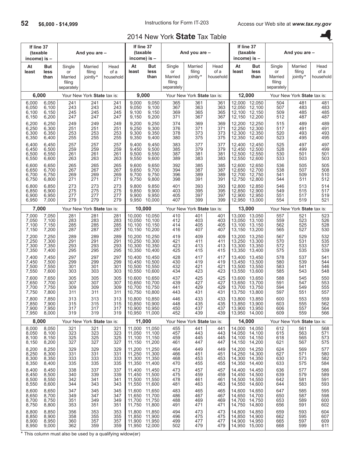## 2014 New York **State** Tax Table

| If line 37<br>(taxable<br>income) is - |                                  |                                                 | And you are -                 |                           | If line 37<br>(taxable<br>income) is - |                                                                  |                                                 | And you are -                 |                           | (taxable<br>income) is $-$           | If line 37                                  |                                                 | And you are -                 |                           |
|----------------------------------------|----------------------------------|-------------------------------------------------|-------------------------------|---------------------------|----------------------------------------|------------------------------------------------------------------|-------------------------------------------------|-------------------------------|---------------------------|--------------------------------------|---------------------------------------------|-------------------------------------------------|-------------------------------|---------------------------|
| At<br>least                            | But<br>less<br>than              | Single<br>or<br>Married<br>filing<br>separately | Married<br>filing<br>jointly* | Head<br>of a<br>household | At<br>least                            | But<br>less<br>than                                              | Single<br>or<br>Married<br>filing<br>separately | Married<br>filing<br>jointly* | Head<br>of a<br>household | At<br>least                          | <b>But</b><br>less<br>than                  | Single<br>or<br>Married<br>filing<br>separately | Married<br>filing<br>jointly* | Head<br>of a<br>household |
| 6,000                                  |                                  |                                                 | Your New York State tax is:   |                           | 9,000                                  |                                                                  |                                                 | Your New York State tax is:   |                           | 12,000                               |                                             |                                                 | Your New York State tax is:   |                           |
| 6,000<br>6,050<br>6,100<br>6,150       | 6,050<br>6,100<br>6,150<br>6,200 | 241<br>243<br>245<br>247                        | 241<br>243<br>245<br>247      | 241<br>243<br>245<br>247  | 9,000<br>9,050<br>9,100<br>9,150       | 9,050<br>9,100<br>9,150<br>9,200                                 | 365<br>367<br>369<br>371                        | 361<br>363<br>365<br>367      | 361<br>363<br>365<br>367  | 12,000<br>12,050<br>12,100<br>12,150 | 12,050<br>12,100<br>12,150<br>12,200        | 504<br>507<br>509<br>512                        | 481<br>483<br>485<br>487      | 481<br>483<br>485<br>487  |
| 6,200<br>6,250<br>6,300<br>6,350       | 6,250<br>6,300<br>6,350<br>6,400 | 249<br>251<br>253<br>255                        | 249<br>251<br>253<br>255      | 249<br>251<br>253<br>255  | 9,200<br>9,250<br>9,300<br>9,350       | 9,250<br>9,300<br>9,350<br>9,400                                 | 374<br>376<br>378<br>380                        | 369<br>371<br>373<br>375      | 369<br>371<br>373<br>375  | 12,200<br>12,250<br>12,300<br>12,350 | 12,250<br>12,300<br>12,350<br>12,400        | 515<br>517<br>520<br>523                        | 489<br>491<br>493<br>495      | 489<br>491<br>493<br>495  |
| 6,400<br>6,450<br>6,500<br>6,550       | 6,450<br>6,500<br>6,550<br>6,600 | 257<br>259<br>261<br>263                        | 257<br>259<br>261<br>263      | 257<br>259<br>261<br>263  | 9,400<br>9,450<br>9,500<br>9,550       | 9,450<br>9,500<br>9,550<br>9,600                                 | 383<br>385<br>387<br>389                        | 377<br>379<br>381<br>383      | 377<br>379<br>381<br>383  | 12,400<br>12,450<br>12,500<br>12,550 | 12,450<br>12,500<br>12,550<br>12,600        | 525<br>528<br>530<br>533                        | 497<br>499<br>501<br>503      | 497<br>499<br>501<br>503  |
| 6,600<br>6,650<br>6,700<br>6,750       | 6,650<br>6,700<br>6,750<br>6,800 | 265<br>267<br>269<br>271                        | 265<br>267<br>269<br>271      | 265<br>267<br>269<br>271  | 9,600<br>9,650<br>9,700<br>9,750       | 9,650<br>9,700<br>9,750<br>9,800                                 | 392<br>394<br>396<br>398                        | 385<br>387<br>389<br>391      | 385<br>387<br>389<br>391  | 12.600<br>12,650<br>12.700<br>12,750 | 12,650<br>12,700<br>12,750<br>12,800        | 536<br>538<br>541<br>544                        | 505<br>507<br>509<br>511      | 505<br>508<br>510<br>512  |
| 6,800<br>6,850<br>6,900<br>6,950       | 6,850<br>6,900<br>6,950<br>7,000 | 273<br>275<br>277<br>279                        | 273<br>275<br>277<br>279      | 273<br>275<br>277<br>279  | 9,800<br>9,850<br>9,900<br>9,950       | 9,850<br>9,900<br>9,950<br>10,000                                | 401<br>403<br>405<br>407                        | 393<br>395<br>397<br>399      | 393<br>395<br>397<br>399  | 12.800<br>12,850<br>12,900<br>12,950 | 12,850<br>12,900<br>12,950<br>13,000        | 546<br>549<br>551<br>554                        | 513<br>515<br>517<br>519      | 514<br>517<br>519<br>521  |
| 7,000                                  |                                  |                                                 | Your New York State tax is:   |                           |                                        | 10,000                                                           |                                                 | Your New York State tax is:   |                           | 13,000                               |                                             |                                                 | Your New York State tax is:   |                           |
| 7,000<br>7,050<br>7,100<br>7,150       | 7,050<br>7,100<br>7,150<br>7,200 | 281<br>283<br>285<br>287                        | 281<br>283<br>285<br>287      | 281<br>283<br>285<br>287  | 10,000<br>10,050<br>10,100<br>10,150   | 10,050<br>10,100<br>10,150<br>10,200                             | 410<br>412<br>414<br>416                        | 401<br>403<br>405<br>407      | 401<br>403<br>405<br>407  | 13,000<br>13,050<br>13,100<br>13,150 | 13,050<br>13,100<br>13,150<br>13,200        | 557<br>559<br>562<br>565                        | 521<br>523<br>525<br>527      | 523<br>526<br>528<br>530  |
| 7,200<br>7,250<br>7,300<br>7,350       | 7,250<br>7,300<br>7,350<br>7,400 | 289<br>291<br>293<br>295                        | 289<br>291<br>293<br>295      | 289<br>291<br>293<br>295  | 10,200<br>10,250<br>10,300<br>10,350   | 10,250<br>10,300<br>10,350<br>10,400                             | 419<br>421<br>423<br>425                        | 409<br>411<br>413<br>415      | 409<br>411<br>413<br>415  | 13,200<br>13,250<br>13,300<br>13,350 | 13,250<br>13,300<br>13,350<br>13,400        | 567<br>570<br>572<br>575                        | 529<br>531<br>533<br>535      | 532<br>535<br>537<br>539  |
| 7,400<br>7,450<br>7,500<br>7,550       | 7,450<br>7,500<br>7,550<br>7,600 | 297<br>299<br>301<br>303                        | 297<br>299<br>301<br>303      | 297<br>299<br>301<br>303  | 10,400<br>10.450<br>10,500<br>10,550   | 10,450<br>10,500<br>10,550<br>10,600                             | 428<br>430<br>432<br>434                        | 417<br>419<br>421<br>423      | 417<br>419<br>421<br>423  | 13,400<br>13,450<br>13,500<br>13,550 | 13,450<br>13,500<br>13,550<br>13,600        | 578<br>580<br>583<br>585                        | 537<br>539<br>541<br>543      | 541<br>544<br>546<br>548  |
| 7,600<br>7,650<br>7,700<br>7,750       | 7,650<br>7,700<br>7,750<br>7,800 | 305<br>307<br>309<br>311                        | 305<br>307<br>309<br>311      | 305<br>307<br>309<br>311  | 10,600<br>10,650<br>10,700<br>10,750   | 10,650<br>10,700<br>10,750<br>10,800                             | 437<br>439<br>441<br>443                        | 425<br>427<br>429<br>431      | 425<br>427<br>429<br>431  | 13,600<br>13,650<br>13,700<br>13.750 | 13,650<br>13,700<br>13,750<br>13,800        | 588<br>591<br>594<br>597                        | 545<br>547<br>549<br>551      | 550<br>553<br>555<br>557  |
| 7.800<br>7,850<br>7,900<br>7,950       | 7.850<br>7,900<br>7,950<br>8,000 | 313<br>315<br>317<br>319                        | 313<br>315<br>317<br>319      | 313<br>315<br>317<br>319  |                                        | 10.800 10.850<br>10,850 10,900<br>10,900 10,950<br>10,950 11,000 | 446<br>448<br>450<br>452                        | 433<br>435<br>437<br>439      | 433<br>435<br>437<br>439  | 13,850 13,900<br>13,900<br>13,950    | 13.800 13.850<br>13,950<br>14,000           | 600<br>603<br>606<br>609                        | 553<br>555<br>557<br>559      | 559<br>562<br>564<br>566  |
| 8,000                                  |                                  |                                                 | Your New York State tax is:   |                           |                                        | 11,000                                                           |                                                 | Your New York State tax is:   |                           | 14,000                               |                                             |                                                 | Your New York State tax is:   |                           |
| 8,000<br>8,050<br>8,100<br>8,150       | 8,050<br>8,100<br>8,150<br>8,200 | 321<br>323<br>325<br>327                        | 321<br>323<br>325<br>327      | 321<br>323<br>325<br>327  | 11,100<br>11,150                       | 11,000 11,050<br>11,050 11,100<br>11,150<br>11,200               | 455<br>457<br>459<br>461                        | 441<br>443<br>445<br>447      | 441<br>443<br>445<br>447  | 14,050<br>14,100<br>14,150           | 14,000 14,050<br>14,100<br>14,150<br>14,200 | 612<br>615<br>618<br>621                        | 561<br>563<br>565<br>567      | 568<br>571<br>573<br>575  |
| 8,200<br>8,250<br>8,300<br>8,350       | 8,250<br>8,300<br>8,350<br>8,400 | 329<br>331<br>333<br>335                        | 329<br>331<br>333<br>335      | 329<br>331<br>333<br>335  | 11,200<br>11,250<br>11,300<br>11,350   | 11,250<br>11,300<br>11,350<br>11,400                             | 464<br>466<br>468<br>470                        | 449<br>451<br>453<br>455      | 449<br>451<br>453<br>455  | 14,200<br>14,250<br>14,300<br>14,350 | 14,250<br>14,300<br>14,350<br>14,400        | 624<br>627<br>630<br>633                        | 569<br>571<br>573<br>575      | 577<br>580<br>582<br>584  |
| 8,400<br>8,450<br>8,500<br>8,550       | 8,450<br>8,500<br>8,550<br>8,600 | 338<br>340<br>342<br>344                        | 337<br>339<br>341<br>343      | 337<br>339<br>341<br>343  | 11.400<br>11,450<br>11,500<br>11,550   | 11,450<br>11,500<br>11,550<br>11,600                             | 473<br>475<br>478<br>481                        | 457<br>459<br>461<br>463      | 457<br>459<br>461<br>463  | 14,400<br>14,450<br>14,500<br>14,550 | 14,450<br>14,500<br>14,550<br>14,600        | 636<br>639<br>642<br>644                        | 577<br>579<br>581<br>583      | 586<br>589<br>591<br>593  |
| 8,600<br>8,650<br>8,700<br>8,750       | 8,650<br>8,700<br>8,750<br>8,800 | 347<br>349<br>351<br>353                        | 345<br>347<br>349<br>351      | 345<br>347<br>349<br>351  | 11,600<br>11,650<br>11,700<br>11,750   | 11,650<br>11,700<br>11,750<br>11,800                             | 483<br>486<br>488<br>491                        | 465<br>467<br>469<br>471      | 465<br>467<br>469<br>471  | 14,600<br>14,650<br>14,700<br>14,750 | 14,650<br>14,700<br>14,750<br>14,800        | 647<br>650<br>653<br>656                        | 585<br>587<br>589<br>591      | 595<br>598<br>600<br>602  |
| 8,800<br>8,850<br>8,900<br>8,950       | 8,850<br>8,900<br>8,950<br>9,000 | 356<br>358<br>360<br>362                        | 353<br>355<br>357<br>359      | 353<br>355<br>357<br>359  | 11,800<br>11,850<br>11,900             | 11,850<br>11,900<br>11,950<br>11,950 12,000                      | 494<br>496<br>499<br>502                        | 473<br>475<br>477<br>479      | 473<br>475<br>477<br>479  | 14,800<br>14,850<br>14,900<br>14,950 | 14,850<br>14,900<br>14,950<br>15,000        | 659<br>662<br>665<br>668                        | 593<br>595<br>597<br>599      | 604<br>607<br>609<br>611  |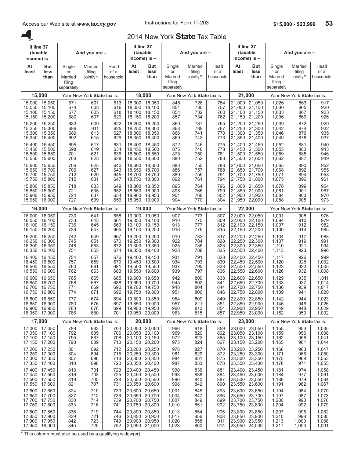A.

## 2014 New York **State** Tax Table

| At<br>At<br>Married<br>Head<br>But<br>Single<br>But<br>Single<br>At<br><b>But</b><br>Single<br>Married<br>Head<br>least<br>filing<br>of a<br>least<br>of a<br>less<br>or<br>less<br>or<br>less<br>filing<br>least<br>or<br>jointly*<br>household<br>than<br>than<br>Married<br>Married<br>jointly*<br>than<br>Married<br>household<br>filing<br>filing<br>filing<br>separately<br>separately<br>separately<br>18,000<br>21,000<br>15,000<br>Your New York State tax is:<br>Your New York State tax is:<br>Your New York State tax is:<br>21,050<br>15.000<br>15,050<br>671<br>18,000<br>18,050<br>728<br>21,000<br>601<br>613<br>848<br>754<br>1,026<br>15,100<br>674<br>603<br>616<br>18,100<br>851<br>730<br>757<br>21.050<br>21,100<br>1,030<br>15,050<br>18.050<br>618<br>854<br>732<br>760<br>21,100<br>21,150<br>1,033<br>15,100<br>15,150<br>677<br>605<br>18,100<br>18,150<br>620<br>857<br>762<br>15,150<br>15,200<br>680<br>607<br>18,150<br>18,200<br>734<br>21,150<br>21,200<br>1,036<br>622<br>737<br>21,250<br>15,200<br>15,250<br>683<br>609<br>18,200<br>18,250<br>860<br>21,200<br>1,039<br>765<br>625<br>15,300<br>686<br>611<br>18,300<br>863<br>739<br>767<br>21,300<br>1,042<br>15,250<br>18.250<br>21,250<br>627<br>15,300<br>15,350<br>689<br>613<br>18,300<br>866<br>741<br>770<br>21,300<br>21,350<br>1,046<br>18,350<br>629<br>869<br>15,350<br>692<br>615<br>18,350<br>18,400<br>743<br>773<br>21,350<br>21,400<br>1,049<br>15,400<br>872<br>746<br>21,450<br>15,400<br>15,450<br>695<br>617<br>631<br>18,450<br>775<br>21,400<br>18,400<br>1,052<br>634<br>698<br>619<br>875<br>748<br>778<br>21,500<br>1,055<br>15,450<br>15,500<br>18,450<br>18,500<br>21,450<br>15,500<br>621<br>636<br>18,500<br>878<br>750<br>781<br>21,500<br>21,550<br>1,059<br>15,550<br>701<br>18,550<br>623<br>638<br>880<br>783<br>15,550<br>15,600<br>703<br>18,550<br>18,600<br>752<br>21,550<br>21,600<br>1,062<br>21,650<br>15,600<br>706<br>625<br>640<br>18,650<br>883<br>755<br>21,600<br>15.650<br>18,600<br>786<br>1,065<br>643<br>15,700<br>709<br>627<br>18,700<br>886<br>757<br>788<br>21,700<br>1,068<br>15,650<br>18,650<br>21,650<br>15,750<br>712<br>629<br>645<br>889<br>759<br>791<br>21,700<br>21,750<br>1,071<br>15,700<br>18,700<br>18,750<br>631<br>647<br>892<br>794<br>15,750<br>15,800<br>715<br>18,750<br>18,800<br>761<br>21,750<br>21,800<br>1,075<br>764<br>21,850<br>15,800<br>15,850<br>718<br>633<br>649<br>18,800<br>18,850<br>895<br>796<br>21,800<br>1,078<br>635<br>652<br>721<br>18,900<br>898<br>766<br>799<br>21,900<br>1,081<br>15,850<br>15,900<br>18,850<br>21.850<br>724<br>637<br>654<br>901<br>802<br>21.900<br>1,084<br>15,900<br>15,950<br>18,900<br>18,950<br>768<br>21,950<br>904<br>727<br>639<br>656<br>804<br>15,950<br>16,000<br>18,950<br>19,000<br>770<br>21,950<br>22,000<br>1,088<br>16,000<br>19,000<br>22,000<br>Your New York State tax is:<br>Your New York State tax is:<br>Your New York State tax is:<br>22,050<br>16,000<br>16,050<br>730<br>641<br>658<br>19,000<br>19,050<br>907<br>773<br>807<br>22,000<br>1,091 |                                  | And you are -                 | If line 37<br>(taxable<br>income) is - |  | And you are - | If line 37<br>(taxable<br>income) is $-$ |  | And you are - | income) is - | If line 37<br>(taxable |
|---------------------------------------------------------------------------------------------------------------------------------------------------------------------------------------------------------------------------------------------------------------------------------------------------------------------------------------------------------------------------------------------------------------------------------------------------------------------------------------------------------------------------------------------------------------------------------------------------------------------------------------------------------------------------------------------------------------------------------------------------------------------------------------------------------------------------------------------------------------------------------------------------------------------------------------------------------------------------------------------------------------------------------------------------------------------------------------------------------------------------------------------------------------------------------------------------------------------------------------------------------------------------------------------------------------------------------------------------------------------------------------------------------------------------------------------------------------------------------------------------------------------------------------------------------------------------------------------------------------------------------------------------------------------------------------------------------------------------------------------------------------------------------------------------------------------------------------------------------------------------------------------------------------------------------------------------------------------------------------------------------------------------------------------------------------------------------------------------------------------------------------------------------------------------------------------------------------------------------------------------------------------------------------------------------------------------------------------------------------------------------------------------------------------------------------------------------------------------------------------------------------------------------------------------------------------------------------------------------------------------------------------------------------------------------------------------------------------------------------------------------------------------------------------------------------------------------------------------------------------------------------------------------------------------------------------------------------------------------------------------------------------------------------------------------------------------------------------|----------------------------------|-------------------------------|----------------------------------------|--|---------------|------------------------------------------|--|---------------|--------------|------------------------|
|                                                                                                                                                                                                                                                                                                                                                                                                                                                                                                                                                                                                                                                                                                                                                                                                                                                                                                                                                                                                                                                                                                                                                                                                                                                                                                                                                                                                                                                                                                                                                                                                                                                                                                                                                                                                                                                                                                                                                                                                                                                                                                                                                                                                                                                                                                                                                                                                                                                                                                                                                                                                                                                                                                                                                                                                                                                                                                                                                                                                                                                                                             | Head<br>of a<br>household        | Married<br>filing<br>jointly* |                                        |  |               |                                          |  |               |              |                        |
|                                                                                                                                                                                                                                                                                                                                                                                                                                                                                                                                                                                                                                                                                                                                                                                                                                                                                                                                                                                                                                                                                                                                                                                                                                                                                                                                                                                                                                                                                                                                                                                                                                                                                                                                                                                                                                                                                                                                                                                                                                                                                                                                                                                                                                                                                                                                                                                                                                                                                                                                                                                                                                                                                                                                                                                                                                                                                                                                                                                                                                                                                             |                                  |                               |                                        |  |               |                                          |  |               |              |                        |
|                                                                                                                                                                                                                                                                                                                                                                                                                                                                                                                                                                                                                                                                                                                                                                                                                                                                                                                                                                                                                                                                                                                                                                                                                                                                                                                                                                                                                                                                                                                                                                                                                                                                                                                                                                                                                                                                                                                                                                                                                                                                                                                                                                                                                                                                                                                                                                                                                                                                                                                                                                                                                                                                                                                                                                                                                                                                                                                                                                                                                                                                                             | 917<br>920<br>923<br>926         | 863<br>865<br>867<br>869      |                                        |  |               |                                          |  |               |              |                        |
|                                                                                                                                                                                                                                                                                                                                                                                                                                                                                                                                                                                                                                                                                                                                                                                                                                                                                                                                                                                                                                                                                                                                                                                                                                                                                                                                                                                                                                                                                                                                                                                                                                                                                                                                                                                                                                                                                                                                                                                                                                                                                                                                                                                                                                                                                                                                                                                                                                                                                                                                                                                                                                                                                                                                                                                                                                                                                                                                                                                                                                                                                             | 929<br>932<br>935<br>937         | 872<br>874<br>876<br>878      |                                        |  |               |                                          |  |               |              |                        |
|                                                                                                                                                                                                                                                                                                                                                                                                                                                                                                                                                                                                                                                                                                                                                                                                                                                                                                                                                                                                                                                                                                                                                                                                                                                                                                                                                                                                                                                                                                                                                                                                                                                                                                                                                                                                                                                                                                                                                                                                                                                                                                                                                                                                                                                                                                                                                                                                                                                                                                                                                                                                                                                                                                                                                                                                                                                                                                                                                                                                                                                                                             | 940<br>943<br>946<br>949         | 881<br>883<br>885<br>887      |                                        |  |               |                                          |  |               |              |                        |
|                                                                                                                                                                                                                                                                                                                                                                                                                                                                                                                                                                                                                                                                                                                                                                                                                                                                                                                                                                                                                                                                                                                                                                                                                                                                                                                                                                                                                                                                                                                                                                                                                                                                                                                                                                                                                                                                                                                                                                                                                                                                                                                                                                                                                                                                                                                                                                                                                                                                                                                                                                                                                                                                                                                                                                                                                                                                                                                                                                                                                                                                                             | 952<br>955<br>958<br>961         | 890<br>892<br>894<br>896      |                                        |  |               |                                          |  |               |              |                        |
|                                                                                                                                                                                                                                                                                                                                                                                                                                                                                                                                                                                                                                                                                                                                                                                                                                                                                                                                                                                                                                                                                                                                                                                                                                                                                                                                                                                                                                                                                                                                                                                                                                                                                                                                                                                                                                                                                                                                                                                                                                                                                                                                                                                                                                                                                                                                                                                                                                                                                                                                                                                                                                                                                                                                                                                                                                                                                                                                                                                                                                                                                             | 964<br>967<br>970<br>973         | 899<br>901<br>903<br>905      |                                        |  |               |                                          |  |               |              |                        |
|                                                                                                                                                                                                                                                                                                                                                                                                                                                                                                                                                                                                                                                                                                                                                                                                                                                                                                                                                                                                                                                                                                                                                                                                                                                                                                                                                                                                                                                                                                                                                                                                                                                                                                                                                                                                                                                                                                                                                                                                                                                                                                                                                                                                                                                                                                                                                                                                                                                                                                                                                                                                                                                                                                                                                                                                                                                                                                                                                                                                                                                                                             |                                  |                               |                                        |  |               |                                          |  |               |              |                        |
| 910<br>733<br>643<br>661<br>19,100<br>775<br>809<br>22.050<br>22,100<br>1.094<br>16.050<br>16,100<br>19.050<br>812<br>736<br>663<br>913<br>22,100<br>22,150<br>1,097<br>16,100<br>16,150<br>645<br>19,100<br>19,150<br>777<br>665<br>916<br>16,150<br>16,200<br>739<br>647<br>19,150<br>19,200<br>779<br>815<br>22,150 22,200<br>1,100                                                                                                                                                                                                                                                                                                                                                                                                                                                                                                                                                                                                                                                                                                                                                                                                                                                                                                                                                                                                                                                                                                                                                                                                                                                                                                                                                                                                                                                                                                                                                                                                                                                                                                                                                                                                                                                                                                                                                                                                                                                                                                                                                                                                                                                                                                                                                                                                                                                                                                                                                                                                                                                                                                                                                      | 976<br>979<br>982<br>985         | 908<br>910<br>912<br>914      |                                        |  |               |                                          |  |               |              |                        |
| 667<br>919<br>782<br>22,250<br>16,200<br>16,250<br>742<br>649<br>19,200<br>19,250<br>817<br>22,200<br>1,104<br>670<br>922<br>16.250<br>16,300<br>745<br>651<br>19.250<br>19,300<br>784<br>820<br>22.250<br>22,300<br>1,107<br>925<br>823<br>16,300<br>653<br>672<br>19,300<br>786<br>22,300<br>22,350<br>1,110<br>16,350<br>748<br>19,350<br>928<br>825<br>22,350<br>16,350<br>16,400<br>751<br>655<br>674<br>19,350<br>19,400<br>788<br>22,400<br>1,113                                                                                                                                                                                                                                                                                                                                                                                                                                                                                                                                                                                                                                                                                                                                                                                                                                                                                                                                                                                                                                                                                                                                                                                                                                                                                                                                                                                                                                                                                                                                                                                                                                                                                                                                                                                                                                                                                                                                                                                                                                                                                                                                                                                                                                                                                                                                                                                                                                                                                                                                                                                                                                    | 988<br>991<br>994<br>996         | 917<br>919<br>921<br>923      |                                        |  |               |                                          |  |               |              |                        |
| 676<br>931<br>16,400<br>16,450<br>754<br>657<br>19,450<br>791<br>828<br>22,450<br>1,117<br>19,400<br>22,400<br>934<br>830<br>757<br>659<br>679<br>19,500<br>793<br>22.450<br>22,500<br>1,120<br>16.450<br>16,500<br>19,450<br>833<br>16,500<br>760<br>661<br>681<br>937<br>795<br>22,500<br>22,550<br>1,123<br>16,550<br>19,500<br>19,550<br>683<br>939<br>797<br>22,550<br>16,550<br>16,600<br>762<br>663<br>19,550<br>19,600<br>836<br>22,600<br>1,126                                                                                                                                                                                                                                                                                                                                                                                                                                                                                                                                                                                                                                                                                                                                                                                                                                                                                                                                                                                                                                                                                                                                                                                                                                                                                                                                                                                                                                                                                                                                                                                                                                                                                                                                                                                                                                                                                                                                                                                                                                                                                                                                                                                                                                                                                                                                                                                                                                                                                                                                                                                                                                    | 999<br>1.002<br>1,005<br>1,008   | 926<br>928<br>930<br>932      |                                        |  |               |                                          |  |               |              |                        |
| 765<br>665<br>685<br>942<br>22,650<br>16,600<br>16.650<br>19,600<br>19,650<br>800<br>838<br>22,600<br>1,129<br>945<br>768<br>667<br>688<br>802<br>841<br>22,650<br>22,700<br>1,133<br>16,650<br>16,700<br>19,650<br>19,700<br>771<br>669<br>690<br>948<br>844<br>22,700<br>22,750<br>1,136<br>16,700<br>16,750<br>19,700<br>19,750<br>804<br>774<br>692<br>951<br>16,750<br>16,800<br>671<br>19,750<br>19,800<br>806<br>846<br>22.750<br>22,800<br>1,139                                                                                                                                                                                                                                                                                                                                                                                                                                                                                                                                                                                                                                                                                                                                                                                                                                                                                                                                                                                                                                                                                                                                                                                                                                                                                                                                                                                                                                                                                                                                                                                                                                                                                                                                                                                                                                                                                                                                                                                                                                                                                                                                                                                                                                                                                                                                                                                                                                                                                                                                                                                                                                    | 1,011<br>1.014<br>1,017<br>1,020 | 935<br>937<br>939<br>941      |                                        |  |               |                                          |  |               |              |                        |
| 674<br>954<br>16,800<br>777<br>694<br>19,800<br>19,850<br>809<br>849<br>22,800 22,850<br>16.850<br>1.142<br>16,850 16,900<br>19,850 19,900<br>22,850 22,900<br>1,146<br>780<br>676<br>697<br>957<br>811<br>851<br>783<br>678<br>699<br>19,900 19,950<br>960<br>854<br>22,900 22,950<br>1,149<br>16,900 16,950<br>813<br>16,950 17,000<br>19,950 20,000<br>22,950 23,000<br>786<br>680<br>701<br>963<br>815<br>857<br>1,152                                                                                                                                                                                                                                                                                                                                                                                                                                                                                                                                                                                                                                                                                                                                                                                                                                                                                                                                                                                                                                                                                                                                                                                                                                                                                                                                                                                                                                                                                                                                                                                                                                                                                                                                                                                                                                                                                                                                                                                                                                                                                                                                                                                                                                                                                                                                                                                                                                                                                                                                                                                                                                                                  | 1,023<br>1,026<br>1,029<br>1,032 | 944<br>946<br>948<br>950      |                                        |  |               |                                          |  |               |              |                        |
| 17,000<br>20,000<br>23,000<br>Your New York State tax is:<br>Your New York State tax is:<br>Your New York State tax is:                                                                                                                                                                                                                                                                                                                                                                                                                                                                                                                                                                                                                                                                                                                                                                                                                                                                                                                                                                                                                                                                                                                                                                                                                                                                                                                                                                                                                                                                                                                                                                                                                                                                                                                                                                                                                                                                                                                                                                                                                                                                                                                                                                                                                                                                                                                                                                                                                                                                                                                                                                                                                                                                                                                                                                                                                                                                                                                                                                     |                                  |                               |                                        |  |               |                                          |  |               |              |                        |
| 23,000 23,050<br>17,000 17,050<br>20,000 20,050<br>789<br>683<br>703<br>966<br>818<br>859<br>1,155<br>23,050 23,100<br>17,050 17,100<br>792<br>685<br>706<br>20,050<br>20,100<br>969<br>820<br>862<br>1,159<br>17,100 17,150<br>708<br>20,100<br>20,150<br>972<br>23,100 23,150<br>1,162<br>795<br>687<br>822<br>865<br>17,150 17,200<br>798<br>689<br>710<br>20,150<br>20,200<br>975<br>867<br>23,150 23,200<br>1,165<br>824                                                                                                                                                                                                                                                                                                                                                                                                                                                                                                                                                                                                                                                                                                                                                                                                                                                                                                                                                                                                                                                                                                                                                                                                                                                                                                                                                                                                                                                                                                                                                                                                                                                                                                                                                                                                                                                                                                                                                                                                                                                                                                                                                                                                                                                                                                                                                                                                                                                                                                                                                                                                                                                               | 1,035<br>1,038<br>1,041<br>1,044 | 953<br>956<br>958<br>961      |                                        |  |               |                                          |  |               |              |                        |
| 20,250<br>23,250<br>17,200<br>17,250<br>712<br>20,200<br>978<br>827<br>23,200<br>801<br>692<br>870<br>1,168<br>23,250 23,300<br>17,250<br>17,300<br>694<br>715<br>20,250<br>20,300<br>981<br>829<br>872<br>804<br>1,171<br>17,300 17,350<br>20,300<br>20,350<br>984<br>23,300 23,350<br>807<br>696<br>718<br>1,175<br>831<br>875<br>17,350 17,400<br>810<br>698<br>720<br>20,350<br>20,400<br>987<br>833<br>878<br>23,350<br>23,400<br>1,178                                                                                                                                                                                                                                                                                                                                                                                                                                                                                                                                                                                                                                                                                                                                                                                                                                                                                                                                                                                                                                                                                                                                                                                                                                                                                                                                                                                                                                                                                                                                                                                                                                                                                                                                                                                                                                                                                                                                                                                                                                                                                                                                                                                                                                                                                                                                                                                                                                                                                                                                                                                                                                                | 1,047<br>1,050<br>1,053<br>1,055 | 963<br>966<br>969<br>971      |                                        |  |               |                                          |  |               |              |                        |
| 23,450<br>17,400<br>17,450<br>20,400<br>20.450<br>23,400<br>813<br>701<br>723<br>990<br>836<br>881<br>1,181<br>17,450 17,500<br>725<br>20,500<br>993<br>884<br>23,450<br>23.500<br>1,184<br>816<br>703<br>20,450<br>838<br>17,500 17,550<br>705<br>728<br>20,500<br>20,550<br>996<br>23,500 23,550<br>1,188<br>887<br>819<br>840<br>17,550 17,600<br>821<br>707<br>731<br>20,550<br>20,600<br>998<br>890<br>23,550<br>23,600<br>1,191<br>842                                                                                                                                                                                                                                                                                                                                                                                                                                                                                                                                                                                                                                                                                                                                                                                                                                                                                                                                                                                                                                                                                                                                                                                                                                                                                                                                                                                                                                                                                                                                                                                                                                                                                                                                                                                                                                                                                                                                                                                                                                                                                                                                                                                                                                                                                                                                                                                                                                                                                                                                                                                                                                                | 1,058<br>1,061<br>1,064<br>1,067 | 974<br>977<br>979<br>982      |                                        |  |               |                                          |  |               |              |                        |
| 20,650<br>23,650<br>17,600<br>17,650<br>824<br>733<br>20,600<br>23,600<br>710<br>1,001<br>845<br>893<br>1,194<br>23,700<br>17,650 17,700<br>736<br>20,650<br>20,700<br>896<br>23,650<br>1,197<br>827<br>712<br>1,004<br>847<br>17,700 17,750<br>739<br>20,700<br>20,750<br>23,700 23,750<br>1,200<br>830<br>714<br>1,007<br>899<br>849<br>17,750<br>17,800<br>833<br>716<br>741<br>20,750<br>20,800<br>1,010<br>851<br>902<br>23,750<br>23,800<br>1,204                                                                                                                                                                                                                                                                                                                                                                                                                                                                                                                                                                                                                                                                                                                                                                                                                                                                                                                                                                                                                                                                                                                                                                                                                                                                                                                                                                                                                                                                                                                                                                                                                                                                                                                                                                                                                                                                                                                                                                                                                                                                                                                                                                                                                                                                                                                                                                                                                                                                                                                                                                                                                                     | 1,070<br>1,073<br>1,076<br>1,079 | 984<br>987<br>990<br>992      |                                        |  |               |                                          |  |               |              |                        |
| 20,850<br>23,800 23,850<br>17,800<br>17,850<br>836<br>20,800<br>719<br>744<br>1,013<br>854<br>905<br>1,207<br>20,900<br>17,850<br>17,900<br>839<br>746<br>20,850<br>1,017<br>23,850<br>23,900<br>1,210<br>721<br>856<br>908<br>17,900 17,950<br>723<br>20,900<br>20,950<br>1,020<br>23,900 23,950<br>1,213<br>749<br>842<br>858<br>911<br>17,950 18,000<br>845<br>725<br>752<br>20,950 21,000<br>1,023<br>860<br>914<br>23,950 24,000<br>1,217                                                                                                                                                                                                                                                                                                                                                                                                                                                                                                                                                                                                                                                                                                                                                                                                                                                                                                                                                                                                                                                                                                                                                                                                                                                                                                                                                                                                                                                                                                                                                                                                                                                                                                                                                                                                                                                                                                                                                                                                                                                                                                                                                                                                                                                                                                                                                                                                                                                                                                                                                                                                                                              | 1,082<br>1,085<br>1,088<br>1,091 | 995<br>998<br>1,000<br>1,003  |                                        |  |               |                                          |  |               |              |                        |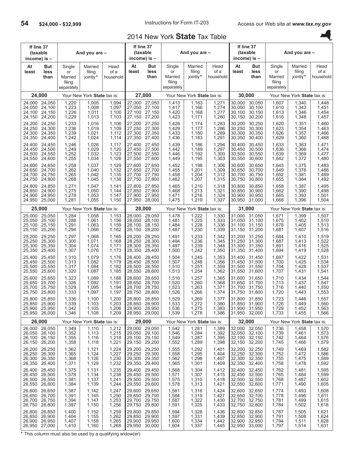## 2014 New York **State** Tax Table

| If line 37<br>(taxable               | income) is -                                              | And you are -<br>Married<br>Single<br>filing<br>or |                                  |                                      |                                      | If line 37<br>(taxable<br>income) is $-$    |                                                 | And you are -                        |                                  |                                      | If line 37<br>(taxable<br>income) is $-$    |                                                 | And you are -                    |                                  |
|--------------------------------------|-----------------------------------------------------------|----------------------------------------------------|----------------------------------|--------------------------------------|--------------------------------------|---------------------------------------------|-------------------------------------------------|--------------------------------------|----------------------------------|--------------------------------------|---------------------------------------------|-------------------------------------------------|----------------------------------|----------------------------------|
| At<br>least                          | But<br>less<br>than                                       | Married<br>filing<br>separately                    | jointly*                         | Head<br>of a<br>household            | At<br>least                          | But<br>less<br>than                         | Single<br>or<br>Married<br>filing<br>separately | Married<br>filing<br>jointly*        | Head<br>of a<br>household        | At<br>least                          | But<br>less<br>than                         | Single<br>or<br>Married<br>filing<br>separately | Married<br>filing<br>jointly*    | Head<br>of a<br>household        |
|                                      | 24,000                                                    |                                                    | Your New York State tax is:      |                                      |                                      | 27,000                                      |                                                 | Your New York State tax is:          |                                  | 30,000                               |                                             |                                                 | Your New York State tax is:      |                                  |
| 24,000                               | 24,050                                                    | 1,220                                              | 1,005                            | 1,094                                | 27.000                               | 27,050                                      | 1,413                                           | 1,163                                | 1,271                            | 30,000                               | 30,050                                      | 1,607                                           | 1,340                            | 1,448                            |
| 24,050                               | 24,100                                                    | 1,223                                              | 1,008                            | 1,097                                | 27.050                               | 27,100                                      | 1,417                                           | 1,166                                | 1,274                            | 30,050                               | 30,100                                      | 1,610                                           | 1,343                            | 1,451                            |
| 24.100                               | 24,150                                                    | 1,226                                              | 1,011                            | 1,100                                | 27,100                               | 27,150                                      | 1,420                                           | 1,168                                | 1,277                            | 30,100                               | 30,150                                      | 1,613                                           | 1,346                            | 1,454                            |
| 24,150                               | 24,200                                                    | 1,229                                              | 1,013                            | 1,103                                | 27,150                               | 27,200                                      | 1,423                                           | 1,171                                | 1,280                            | 30,150                               | 30,200                                      | 1,616                                           | 1,348                            | 1,457                            |
| 24,200                               | 24,250                                                    | 1,233                                              | 1,016                            | 1,106                                | 27.200                               | 27,250                                      | 1,426                                           | 1,174                                | 1,283                            | 30,200                               | 30,250                                      | 1,620                                           | 1,351                            | 1,460                            |
| 24,250                               | 24,300                                                    | 1,236                                              | 1,019                            | 1,109                                | 27,250                               | 27,300                                      | 1,429                                           | 1,177                                | 1,286                            | 30,250                               | 30,300                                      | 1,623                                           | 1,354                            | 1,463                            |
| 24,300                               | 24,350                                                    | 1,239                                              | 1,021                            | 1,112                                | 27,300                               | 27,350                                      | 1,433                                           | 1,180                                | 1,289                            | 30,300                               | 30,350                                      | 1,626                                           | 1,357                            | 1,466                            |
| 24,350                               | 24,400                                                    | 1,242                                              | 1,024                            | 1,114                                | 27,350                               | 27,400                                      | 1,436                                           | 1,183                                | 1,291                            | 30,350                               | 30,400                                      | 1,629                                           | 1,360                            | 1,468                            |
| 24,400                               | 24,450                                                    | 1,246                                              | 1,026                            | 1,117                                | 27,400                               | 27,450                                      | 1,439                                           | 1,186                                | 1,294                            | 30.400                               | 30,450                                      | 1,633                                           | 1,363                            | 1,471                            |
| 24,450                               | 24,500                                                    | 1,249                                              | 1,029                            | 1,120                                | 27,450                               | 27,500                                      | 1,442                                           | 1,189                                | 1,297                            | 30,450                               | 30,500                                      | 1,636                                           | 1,366                            | 1,474                            |
| 24,500                               | 24,550                                                    | 1,252                                              | 1,032                            | 1,123                                | 27.500                               | 27,550                                      | 1,446                                           | 1,192                                | 1,300                            | 30,500                               | 30,550                                      | 1,639                                           | 1,369                            | 1,477                            |
| 24,550                               | 24,600                                                    | 1,255                                              | 1,034                            | 1,126                                | 27,550                               | 27,600                                      | 1,449                                           | 1,195                                | 1,303                            | 30,550                               | 30,600                                      | 1,642                                           | 1,372                            | 1,480                            |
| 24,600                               | 24,650                                                    | 1,258                                              | 1,037                            | 1,129                                | 27.600                               | 27,650                                      | 1,452                                           | 1,198                                | 1,306                            | 30,600                               | 30,650                                      | 1,645                                           | 1,375                            | 1,483                            |
| 24.650                               | 24,700                                                    | 1,262                                              | 1,040                            | 1,132                                | 27,650                               | 27.700                                      | 1,455                                           | 1,201                                | 1,309                            | 30,650                               | 30.700                                      | 1,649                                           | 1,378                            | 1,486                            |
| 24,700                               | 24.750                                                    | 1,265                                              | 1,042                            | 1,135                                | 27,700                               | 27.750                                      | 1,458                                           | 1,204                                | 1,312                            | 30,700                               | 30,750                                      | 1,652                                           | 1,381                            | 1,489                            |
| 24,750                               | 24,800                                                    | 1,268                                              | 1,045                            | 1,138                                | 27,750                               | 27,800                                      | 1,462                                           | 1,207                                | 1,315                            | 30,750                               | 30,800                                      | 1,655                                           | 1,384                            | 1,492                            |
| 24,800                               | 24,850                                                    | 1,271                                              | 1,047                            | 1,141                                | 27.800                               | 27,850                                      | 1,465                                           | 1,210                                | 1,318                            | 30.800                               | 30,850                                      | 1,658                                           | 1,387                            | 1,495                            |
| 24.850                               | 24.900                                                    | 1,275                                              | 1,050                            | 1,144                                | 27,850                               | 27.900                                      | 1,468                                           | 1,213                                | 1,321                            | 30,850                               | 30.900                                      | 1,662                                           | 1,390                            | 1,498                            |
| 24,900                               | 24,950                                                    | 1,278                                              | 1,053                            | 1,147                                | 27.900                               | 27,950                                      | 1,471                                           | 1,216                                | 1,324                            | 30.900                               | 30,950                                      | 1,665                                           | 1,393                            | 1,501                            |
| 24,950                               | 25,000                                                    | 1,281                                              | 1,055                            | 1,150                                | 27,950                               | 28,000                                      | 1,475                                           | 1,219                                | 1,327                            | 30,950                               | 31,000                                      | 1,668                                           | 1,396                            | 1,504                            |
|                                      | 25,000                                                    |                                                    | Your New York State tax is:      |                                      |                                      | 28,000                                      |                                                 | Your New York State tax is:          |                                  |                                      | 31,000                                      |                                                 | Your New York State tax is:      |                                  |
| 25,000                               | 25,050                                                    | 1,284                                              | 1,058                            | 1,153                                | 28,000                               | 28,050                                      | 1,478                                           | 1,222                                | 1,330                            | 31,000                               | 31,050                                      | 1,671                                           | 1,399                            | 1,507                            |
| 25,050                               | 25,100                                                    | 1,288                                              | 1,061                            | 1,156                                | 28,050                               | 28,100                                      | 1,481                                           | 1,225                                | 1,333                            | 31,050                               | 31,100                                      | 1,675                                           | 1,402                            | 1,510                            |
| 25,100                               | 25,150                                                    | 1,291                                              | 1,063                            | 1,159                                | 28,100                               | 28,150                                      | 1,484                                           | 1,228                                | 1,336                            | 31,100                               | 31,150                                      | 1,678                                           | 1,405                            | 1,513                            |
| 25,150                               | 25,200                                                    | 1,294                                              | 1,066                            | 1,162                                | 28,150                               | 28,200                                      | 1,487                                           | 1,230                                | 1,339                            | 31,150                               | 31,200                                      | 1,681                                           | 1,407                            | 1,516                            |
| 25,200                               | 25,250                                                    | 1,297                                              | 1,068                            | 1,165                                | 28,200                               | 28,250                                      | 1,491                                           | 1,233                                | 1,342                            | 31,200                               | 31,250                                      | 1,684                                           | 1,410                            | 1,519                            |
| 25,250                               | 25,300                                                    | 1,300                                              | 1,071                            | 1,168                                | 28,250                               | 28,300                                      | 1,494                                           | 1,236                                | 1,345                            | 31,250                               | 31,300                                      | 1,687                                           | 1,413                            | 1,522                            |
| 25,300                               | 25,350                                                    | 1,304                                              | 1,074                            | 1,171                                | 28,300                               | 28,350                                      | 1,497                                           | 1,239                                | 1,348                            | 31,300                               | 31,350                                      | 1,691                                           | 1,416                            | 1,525                            |
| 25,350                               | 25,400                                                    | 1,307                                              | 1,076                            | 1,173                                | 28,350                               | 28,400                                      | 1,500                                           | 1,242                                | 1,350                            | 31,350                               | 31,400                                      | 1,694                                           | 1,419                            | 1,528                            |
| 25,400                               | 25,450                                                    | 1,310                                              | 1,079                            | 1,176                                | 28,400                               | 28,450                                      | 1,504                                           | 1,245                                | 1,353                            | 31,400                               | 31,450                                      | 1,697                                           | 1,422                            | 1,531                            |
| 25,450                               | 25,500                                                    | 1,313                                              | 1,082                            | 1,179                                | 28,450                               | 28,500                                      | 1,507                                           | 1,248                                | 1,356                            | 31,450                               | 31,500                                      | 1,700                                           | 1,425                            | 1,534                            |
| 25,500                               | 25,550                                                    | 1,317                                              | 1,084                            | 1,182                                | 28,500                               | 28,550                                      | 1,510                                           | 1,251                                | 1,359                            | 31.500                               | 31,550                                      | 1,704                                           | 1,428                            | 1,537                            |
| 25,550                               | 25,600                                                    | 1,320                                              | 1,087                            | 1,185                                | 28,550                               | 28,600                                      | 1,513                                           | 1,254                                | 1,362                            | 31,550                               | 31,600                                      | 1,707                                           | 1,431                            | 1,541                            |
| 25,600                               | 25,650                                                    | 1,323                                              | 1,089                            | 1,188                                | 28.600                               | 28,650                                      | 1,516                                           | 1,257                                | 1,365                            | 31,600                               | 31,650                                      | 1,710                                           | 1,434                            | 1,544                            |
| 25.650                               | 25,700                                                    | 1,326                                              | 1,092                            | 1,191                                | 28,650                               | 28.700                                      | 1,520                                           | 1,260                                | 1,368                            | 31,650                               | 31,700                                      | 1,713                                           | 1,437                            | 1,547                            |
| 25,700                               | 25.750                                                    | 1,329                                              | 1,095                            | 1,194                                | 28.700                               | 28,750                                      | 1,523                                           | 1,263                                | 1,371                            | 31.700                               | 31,750                                      | 1,716                                           | 1,440                            | 1,550                            |
| 25,750                               | 25,800                                                    | 1,333                                              | 1,097                            | 1,197                                | 28,750                               | 28,800                                      | 1,526                                           | 1,266                                | 1,374                            | 31,750                               | 31,800                                      | 1,720                                           | 1,443                            | 1,553                            |
| 25,800                               | 25,850<br>25,850 25,900<br>25,900 25,950<br>25,950 26,000 | 1,336<br>1,339<br>1,342<br>1,346                   | 1,100<br>1,103<br>1,105<br>1,108 | 1,200<br>1,203<br>1,206<br>1,209     | 28,800<br>28,850<br>28,900           | 28,850<br>28,900<br>28,950<br>28,950 29,000 | 1,529<br>1,533<br>1,536<br>1,539                | 1,269<br>$1,272$<br>$1,275$<br>1,278 | 1,377<br>1,380<br>1,383<br>1,386 | 31,800<br>31,850<br>31,900           | 31,850<br>31,900<br>31,950<br>31,950 32,000 | 1,723<br>1,726<br>1,729<br>1,733                | 1,446<br>1,449<br>1,452<br>1,455 | 1,557<br>1,560<br>1,563<br>1,566 |
|                                      | 26,000                                                    |                                                    | Your New York State tax is:      |                                      |                                      | 29,000                                      |                                                 | Your New York State tax is:          |                                  | 32,000                               |                                             |                                                 | Your New York State tax is:      |                                  |
| 26,050                               | 26,000 26,050<br>26,100<br>26,100 26,150<br>26,150 26,200 | 1,349<br>1,352<br>1,355<br>1,358                   | 1,110<br>1,113<br>1,116<br>1,118 | 1,212<br>$1,215$<br>$1,218$<br>1,221 | 29,050<br>29,100<br>29,150           | 29,000 29,050<br>29,100<br>29,150<br>29,200 | 1,542<br>1,546<br>1,549<br>1,552                | 1,281<br>1,284<br>1,287<br>1,289     | 1,389<br>1,392<br>1,395<br>1,398 | 32,000<br>32,050<br>32,100<br>32,150 | 32,050<br>32,100<br>32,150<br>32,200        | 1,736<br>1,739<br>1,742<br>1,745                | 1,458<br>1,461<br>1,464<br>1,466 | 1,570<br>1,573<br>1,576<br>1,579 |
| 26,200<br>26,250<br>26,300<br>26,350 | 26,250<br>26,300<br>26,350<br>26,400                      | 1,362<br>1,365<br>1,368<br>1,371                   | 1,121<br>1,124<br>1,126<br>1,129 | 1,224<br>$1,227$<br>$1,230$<br>1,232 | 29,200<br>29,250<br>29,300<br>29,350 | 29,250<br>29,300<br>29,350<br>29,400        | 1,555<br>1,558<br>1,562<br>1,565                | 1,292<br>1,295<br>1,298<br>1,301     | 1,401<br>1,404<br>1,407<br>1,409 | 32,200<br>32,250<br>32,300<br>32,350 | 32,250<br>32,300<br>32,350<br>32,400        | 1,749<br>1,752<br>1,755<br>1,758                | 1,469<br>1,472<br>1,475<br>1,478 | 1,582<br>1,586<br>1,589<br>1,592 |
| 26,400<br>26,500<br>26,550           | 26,450<br>26,450 26,500<br>26,550<br>26,600               | 1,375<br>1,378<br>1,381<br>1,384                   | 1,131<br>1,134<br>1,137<br>1,139 | 1,235<br>1,238<br>1,241<br>1,244     | 29,400<br>29,450<br>29,500<br>29,550 | 29,450<br>29,500<br>29,550<br>29,600        | 1,568<br>1,571<br>1,575<br>1,578                | 1,304<br>1,307<br>1,310<br>1,313     | 1,412<br>1,415<br>1,418<br>1,421 | 32,400<br>32,450<br>32,500<br>32,550 | 32,450<br>32,500<br>32,550<br>32,600        | 1,762<br>1,765<br>1,768<br>1,771                | 1,481<br>1,484<br>1,487<br>1,490 | 1,595<br>1,599<br>1,602<br>1,605 |
| 26,600                               | 26,650                                                    | 1,387                                              | 1,142                            | 1,247                                | 29,600                               | 29,650                                      | 1,581                                           | 1,316                                | 1,424                            | 32,600                               | 32,650                                      | 1,774                                           | 1,493                            | 1,608                            |
| 26,650                               | 26,700                                                    | 1,391                                              | 1,145                            | 1,250                                | 29,650                               | 29,700                                      | 1,584                                           | 1,319                                | 1,427                            | 32,650                               | 32,700                                      | 1,778                                           | 1,496                            | 1,611                            |
| 26,700                               | 26,750                                                    | 1,394                                              | 1,147                            | 1,253                                | 29,700                               | 29,750                                      | 1,587                                           | 1,322                                | 1,430                            | 32,700                               | 32,750                                      | 1,781                                           | 1,499                            | 1,615                            |
| 26,750                               | 26,800                                                    | 1,397                                              | 1,150                            | 1,256                                | 29,750                               | 29,800                                      | 1,591                                           | 1,325                                | 1,433                            | 32,750                               | 32,800                                      | 1,784                                           | 1,502                            | 1,618                            |
| 26,800<br>26,850<br>26,900           | 26,850<br>26,900<br>26,950<br>26,950 27,000               | 1,400<br>1,404<br>1,407<br>1,410                   | 1,152<br>1,155<br>1,158<br>1,160 | 1,259<br>1,262<br>1,265<br>1,268     | 29,800<br>29,850<br>29,900<br>29,950 | 29,850<br>29,900<br>29,950<br>30,000        | 1,594<br>1,597<br>1,600<br>1,604                | 1,328<br>1,331<br>1,334<br>1,337     | 1,436<br>1,439<br>1,442<br>1,445 | 32,800<br>32,850<br>32,900<br>32,950 | 32,850<br>32,900<br>32,950<br>33,000        | 1,787<br>1,791<br>1,794<br>1,797                | 1,505<br>1,508<br>1,511<br>1,514 | 1,621<br>1,624<br>1,628<br>1,631 |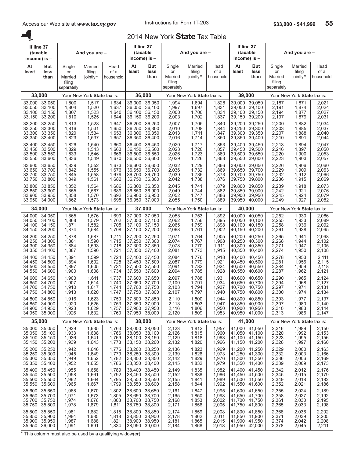A.

## 2014 New York **State** Tax Table

| If line 37                           | (taxable<br>income) is -                                  |                                                 | And you are -                    |                                  |                                      | If line 37<br>(taxable<br>income) is $-$           |                                                 | And you are -                    |                                  |                                             | If line 37<br>(taxable<br>income) is -                           |                                                 | And you are -                    |                                  |
|--------------------------------------|-----------------------------------------------------------|-------------------------------------------------|----------------------------------|----------------------------------|--------------------------------------|----------------------------------------------------|-------------------------------------------------|----------------------------------|----------------------------------|---------------------------------------------|------------------------------------------------------------------|-------------------------------------------------|----------------------------------|----------------------------------|
| At<br>least                          | But<br>less<br>than                                       | Single<br>or<br>Married<br>filing<br>separately | Married<br>filing<br>jointly*    | Head<br>of a<br>household        | At<br>least                          | But<br>less<br>than                                | Single<br>or<br>Married<br>filing<br>separately | Married<br>filing<br>jointly*    | Head<br>of a<br>household        | At<br>least                                 | But<br>less<br>than                                              | Single<br>or<br>Married<br>filing<br>separately | Married<br>filing<br>jointly*    | Head<br>of a<br>household        |
|                                      | 33,000                                                    |                                                 | Your New York State tax is:      |                                  |                                      | 36,000                                             |                                                 | Your New York State tax is:      |                                  | 39,000                                      |                                                                  |                                                 | Your New York State tax is:      |                                  |
| 33,000                               | 33,050                                                    | 1,800                                           | 1,517                            | 1,634                            | 36.000                               | 36,050                                             | 1,994                                           | 1,694                            | 1,828                            | 39,000                                      | 39,050                                                           | 2,187                                           | 1,871                            | 2,021                            |
| 33,050                               | 33,100                                                    | 1,804                                           | 1,520                            | 1,637                            | 36,050                               | 36,100                                             | 1,997                                           | 1,697                            | 1,831                            | 39,050                                      | 39,100                                                           | 2,191                                           | 1,874                            | 2,024                            |
| 33,100                               | 33,150                                                    | 1,807                                           | 1,523                            | 1,640                            | 36.100                               | 36,150                                             | 2,000                                           | 1,700                            | 1,834                            | 39,100                                      | 39,150                                                           | 2,194                                           | 1,877                            | 2,027                            |
| 33,150                               | 33,200                                                    | 1,810                                           | 1,525                            | 1,644                            | 36,150                               | 36,200                                             | 2,003                                           | 1,702                            | 1,837                            | 39,150                                      | 39,200                                                           | 2,197                                           | 1,879                            | 2,031                            |
| 33,200                               | 33,250                                                    | 1,813                                           | 1,528                            | 1,647                            | 36,200                               | 36,250                                             | 2,007                                           | 1,705                            | 1,840                            | 39,200                                      | 39,250                                                           | 2,200                                           | 1,882                            | 2,034                            |
| 33,250                               | 33,300                                                    | 1,816                                           | 1,531                            | 1,650                            | 36,250                               | 36,300                                             | 2,010                                           | 1,708                            | 1,844                            | 39,250                                      | 39,300                                                           | 2,203                                           | 1,885                            | 2,037                            |
| 33,300                               | 33,350                                                    | 1,820                                           | 1,534                            | 1,653                            | 36,300                               | 36,350                                             | 2,013                                           | 1,711                            | 1,847                            | 39,300                                      | 39,350                                                           | 2,207                                           | 1,888                            | 2,040                            |
| 33,350                               | 33,400                                                    | 1,823                                           | 1,537                            | 1,657                            | 36,350                               | 36,400                                             | 2,016                                           | 1,714                            | 1,850                            | 39,350                                      | 39,400                                                           | 2,210                                           | 1,891                            | 2,044                            |
| 33,400                               | 33,450                                                    | 1,826                                           | 1,540                            | 1,660                            | 36,400                               | 36,450                                             | 2,020                                           | 1,717                            | 1,853                            | 39,400                                      | 39,450                                                           | 2,213                                           | 1,894                            | 2,047                            |
| 33,450                               | 33,500                                                    | 1,829                                           | 1,543                            | 1,663                            | 36,450                               | 36,500                                             | 2,023                                           | 1,720                            | 1,857                            | 39,450                                      | 39,500                                                           | 2,216                                           | 1,897                            | 2,050                            |
| 33,500                               | 33,550                                                    | 1,833                                           | 1,546                            | 1,666                            | 36,500                               | 36,550                                             | 2,026                                           | 1,723                            | 1,860                            | 39,500                                      | 39,550                                                           | 2,220                                           | 1,900                            | 2,053                            |
| 33,550                               | 33,600                                                    | 1,836                                           | 1,549                            | 1,670                            | 36,550                               | 36,600                                             | 2,029                                           | 1,726                            | 1,863                            | 39,550                                      | 39,600                                                           | 2,223                                           | 1,903                            | 2,057                            |
| 33,600                               | 33,650                                                    | 1,839                                           | 1,552                            | 1,673                            | 36,600                               | 36,650                                             | 2,032                                           | 1,729                            | 1,866                            | 39,600                                      | 39,650                                                           | 2,226                                           | 1,906                            | 2,060                            |
| 33,650                               | 33.700                                                    | 1,842                                           | 1,555                            | 1,676                            | 36,650                               | 36,700                                             | 2,036                                           | 1,732                            | 1,869                            | 39.650                                      | 39,700                                                           | 2,229                                           | 1,909                            | 2,063                            |
| 33,700                               | 33,750                                                    | 1,845                                           | 1,558                            | 1,679                            | 36.700                               | 36,750                                             | 2,039                                           | 1,735                            | 1,873                            | 39.700                                      | 39.750                                                           | 2,232                                           | 1,912                            | 2,066                            |
| 33,750                               | 33,800                                                    | 1,849                                           | 1,561                            | 1,682                            | 36,750                               | 36,800                                             | 2,042                                           | 1,738                            | 1,876                            | 39,750                                      | 39,800                                                           | 2,236                                           | 1,915                            | 2,069                            |
| 33,800                               | 33,850                                                    | 1,852                                           | 1,564                            | 1,686                            | 36,800                               | 36,850                                             | 2,045                                           | 1,741                            | 1,879                            | 39,800                                      | 39,850                                                           | 2,239                                           | 1,918                            | 2,073                            |
| 33,850                               | 33,900                                                    | 1,855                                           | 1,567                            | 1,689                            | 36,850                               | 36,900                                             | 2,049                                           | 1.744                            | 1,882                            | 39.850                                      | 39,900                                                           | 2,242                                           | 1,921                            | 2,076                            |
| 33,900                               | 33,950                                                    | 1,858                                           | 1,570                            | 1,692                            | 36,900                               | 36,950                                             | 2,052                                           | 1,747                            | 1,886                            | 39,900                                      | 39,950                                                           | 2,245                                           | 1,924                            | 2,079                            |
| 33,950                               | 34,000                                                    | 1,862                                           | 1,573                            | 1,695                            | 36,950                               | 37,000                                             | 2,055                                           | 1,750                            | 1,889                            | 39,950                                      | 40,000                                                           | 2,249                                           | 1,927                            | 2,082                            |
|                                      | 34,000                                                    |                                                 | Your New York State tax is:      |                                  |                                      | 37,000                                             |                                                 | Your New York State tax is:      |                                  | 40,000                                      |                                                                  |                                                 | Your New York State tax is:      |                                  |
| 34,000                               | 34,050                                                    | 1,865                                           | 1,576                            | 1,699                            | 37,000                               | 37,050                                             | 2,058                                           | 1,753                            | 1,892                            | 40.000                                      | 40,050                                                           | 2,252                                           | 1,930                            | 2,086                            |
| 34.050                               | 34,100                                                    | 1,868                                           | 1,579                            | 1,702                            | 37,050                               | 37,100                                             | 2,062                                           | 1,756                            | 1,895                            | 40.050                                      | 40,100                                                           | 2,255                                           | 1,933                            | 2,089                            |
| 34,100                               | 34,150                                                    | 1,871                                           | 1,582                            | 1,705                            | 37,100                               | 37,150                                             | 2,065                                           | 1,759                            | 1,898                            | 40,100                                      | 40,150                                                           | 2,258                                           | 1,936                            | 2,092                            |
| 34,150                               | 34,200                                                    | 1,874                                           | 1,584                            | 1,708                            | 37,150                               | 37,200                                             | 2,068                                           | 1,761                            | 1,902                            | 40,150                                      | 40,200                                                           | 2,261                                           | 1,938                            | 2,095                            |
| 34,200                               | 34,250                                                    | 1,878                                           | 1,587                            | 1,711                            | 37,200                               | 37,250                                             | 2,071                                           | 1,764                            | 1,905                            | 40,200                                      | 40,250                                                           | 2,265                                           | 1,941                            | 2,098                            |
| 34.250                               | 34,300                                                    | 1,881                                           | 1,590                            | 1,715                            | 37,250                               | 37,300                                             | 2,074                                           | 1,767                            | 1,908                            | 40.250                                      | 40,300                                                           | 2,268                                           | 1,944                            | 2.102                            |
| 34,300                               | 34,350                                                    | 1,884                                           | 1,593                            | 1,718                            | 37,300                               | 37,350                                             | 2,078                                           | 1,770                            | 1,911                            | 40,300                                      | 40,350                                                           | 2,271                                           | 1,947                            | 2,105                            |
| 34,350                               | 34,400                                                    | 1,887                                           | 1,596                            | 1,721                            | 37,350                               | 37,400                                             | 2,081                                           | 1,773                            | 1,915                            | 40,350                                      | 40,400                                                           | 2,274                                           | 1,950                            | 2,108                            |
| 34,400                               | 34,450                                                    | 1,891                                           | 1,599                            | 1,724                            | 37,400                               | 37,450                                             | 2,084                                           | 1,776                            | 1,918                            | 40,400                                      | 40,450                                                           | 2,278                                           | 1,953                            | 2,111                            |
| 34.450                               | 34,500                                                    | 1,894                                           | 1,602                            | 1,728                            | 37,450                               | 37,500                                             | 2,087                                           | 1,779                            | 1,921                            | 40.450                                      | 40,500                                                           | 2,281                                           | 1,956                            | 2.115                            |
| 34,500                               | 34,550                                                    | 1,897                                           | 1,605                            | 1,731                            | 37,500                               | 37,550                                             | 2,091                                           | 1,782                            | 1,924                            | 40.500                                      | 40,550                                                           | 2,284                                           | 1,959                            | 2,118                            |
| 34,550                               | 34,600                                                    | 1,900                                           | 1,608                            | 1,734                            | 37,550                               | 37,600                                             | 2,094                                           | 1,785                            | 1,928                            | 40,550                                      | 40,600                                                           | 2,287                                           | 1,962                            | 2,121                            |
| 34,600                               | 34,650                                                    | 1,903                                           | 1,611                            | 1,737                            | 37,600                               | 37,650                                             | 2,097                                           | 1,788                            | 1,931                            | 40,600                                      | 40,650                                                           | 2,290                                           | 1,965                            | 2,124                            |
| 34,650                               | 34,700                                                    | 1,907                                           | 1,614                            | 1,740                            | 37,650                               | 37,700                                             | 2,100                                           | 1,791                            | 1,934                            | 40,650                                      | 40,700                                                           | 2,294                                           | 1,968                            | 2,127                            |
| 34,700                               | 34,750                                                    | 1,910                                           | 1,617                            | 1,744                            | 37,700                               | 37,750                                             | 2,103                                           | 1,794                            | 1,937                            | 40,700                                      | 40,750                                                           | 2,297                                           | 1,971                            | 2,131                            |
| 34,750                               | 34,800                                                    | 1,913                                           | 1,620                            | 1,747                            | 37,750                               | 37,800                                             | 2,107                                           | 1,797                            | 1,940                            | 40,750                                      | 40,800                                                           | 2,300                                           | 1,974                            | 2,134                            |
| 34,800                               | 34,850<br>34,850 34,900<br>34,900 34,950<br>34,950 35,000 | 1,916<br>1,920<br>1,923<br>1,926                | 1,623<br>1,626<br>1,629<br>1,632 | 1,750<br>1,753<br>1,757<br>1,760 | 37.800<br>37,850                     | 37,850<br>37,900<br>37,900 37,950<br>37,950 38,000 | 2,110<br>2,113<br>2,116<br>2,120                | 1,800<br>1,803<br>1,806<br>1,809 | 1,944<br>1,947<br>1,950<br>1,953 |                                             | 40,800 40,850<br>40,850 40,900<br>40,900 40,950<br>40,950 41,000 | 2,303<br>2,307<br>2,310<br>2,313                | 1,977<br>1,980<br>1,983<br>1,986 | 2,137<br>2,140<br>2,144<br>2,147 |
|                                      | 35,000                                                    |                                                 | Your New York State tax is:      |                                  |                                      | 38,000                                             |                                                 | Your New York State tax is:      |                                  | 41,000                                      |                                                                  |                                                 | Your New York State tax is:      |                                  |
| 35,000<br>35,050<br>35,100<br>35,150 | 35,050<br>35,100<br>35,150<br>35,200                      | 1,929<br>1,933<br>1,936<br>1,939                | 1,635<br>1,638<br>1,641<br>1,643 | 1,763<br>1,766<br>1,769<br>1,773 | 38,000<br>38,050<br>38,100<br>38,150 | 38,050<br>38,100<br>38,150<br>38,200               | 2,123<br>2,126<br>2,129<br>2,132                | 1,812<br>1,815<br>1,818<br>1,820 | 1,957<br>1,960<br>1,963<br>1,966 | 41,050 41,100<br>41,100 41,150<br>41,150    | 41,000 41,050<br>41,200                                          | 2,316<br>2,320<br>2,323<br>2,326                | 1,989<br>1,992<br>1,995<br>1,997 | 2,150<br>2,153<br>2,156<br>2,160 |
| 35,200<br>35,250<br>35,300<br>35,350 | 35,250<br>35,300<br>35,350<br>35,400                      | 1,942<br>1,945<br>1,949<br>1,952                | 1,646<br>1,649<br>1,652<br>1,655 | 1,776<br>1,779<br>1,782<br>1,786 | 38,200<br>38,250<br>38,300<br>38,350 | 38,250<br>38,300<br>38,350<br>38,400               | 2,136<br>2,139<br>2,142<br>2,145                | 1,823<br>1,826<br>1,829<br>1,832 | 1,969<br>1,973<br>1,976<br>1,979 | 41,200 41,250<br>41,250<br>41,350           | 41,300<br>41,300 41,350<br>41,400                                | 2,329<br>2,332<br>2,336<br>2,339                | 2,000<br>2,003<br>2,006<br>2,009 | 2,163<br>2,166<br>2,169<br>2,173 |
| 35,400<br>35,450<br>35,500<br>35,550 | 35,450<br>35,500<br>35,550<br>35,600                      | 1,955<br>1,958<br>1,962<br>1,965                | 1,658<br>1,661<br>1,664<br>1,667 | 1,789<br>1,792<br>1,795<br>1,799 | 38,400<br>38,450<br>38,500<br>38,550 | 38,450<br>38,500<br>38,550<br>38,600               | 2,149<br>2,152<br>2,155<br>2,158                | 1,835<br>1,838<br>1,841<br>1,844 | 1,982<br>1,986<br>1,989<br>1,992 | 41,400<br>41,450<br>41,500 41,550<br>41,550 | 41,450<br>41,500<br>41,600                                       | 2,342<br>2,345<br>2,349<br>2,352                | 2,012<br>2,015<br>2,018<br>2,021 | 2,176<br>2,179<br>2,182<br>2,186 |
| 35,600                               | 35,650                                                    | 1,968                                           | 1,670                            | 1,802                            | 38,600                               | 38,650                                             | 2,161                                           | 1,847                            | 1,995                            | 41,600                                      | 41,650                                                           | 2,355                                           | 2,024                            | 2,189                            |
| 35,650                               | 35,700                                                    | 1,971                                           | 1,673                            | 1,805                            | 38,650                               | 38,700                                             | 2,165                                           | 1,850                            | 1,998                            | 41,650                                      | 41,700                                                           | 2,358                                           | 2,027                            | 2,192                            |
| 35,700                               | 35,750                                                    | 1,974                                           | 1,676                            | 1,808                            | 38,700                               | 38,750                                             | 2,168                                           | 1,853                            | 2,002                            | 41,700                                      | 41,750                                                           | 2,361                                           | 2,030                            | 2,195                            |
| 35,750                               | 35,800                                                    | 1,978                                           | 1,679                            | 1,811                            | 38,750                               | 38,800                                             | 2,171                                           | 1,856                            | 2,005                            | 41,750                                      | 41,800                                                           | 2,365                                           | 2,033                            | 2,198                            |
| 35,800<br>35,850<br>35,900<br>35,950 | 35,850<br>35,900<br>35,950<br>36,000                      | 1,981<br>1,984<br>1,987<br>1,991                | 1,682<br>1,685<br>1,688<br>1,691 | 1,815<br>1,818<br>1,821<br>1,824 | 38,800<br>38,850<br>38,900<br>38,950 | 38,850<br>38,900<br>38,950<br>39,000               | 2,174<br>2,178<br>2,181<br>2,184                | 1,859<br>1,862<br>1,865<br>1,868 | 2,008<br>2,011<br>2,015<br>2,018 | 41,800 41,850<br>41,850<br>41,900 41,950    | 41,900<br>41,950 42,000                                          | 2,368<br>2,371<br>2,374<br>2,378                | 2,036<br>2,039<br>2,042<br>2,045 | 2,202<br>2,205<br>2,208<br>2,211 |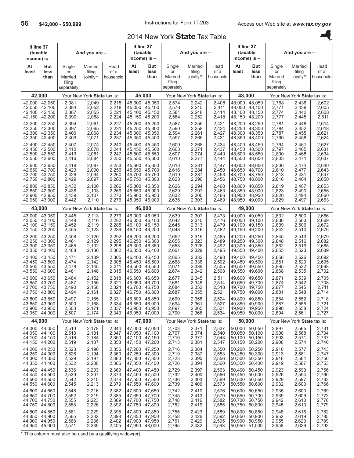## 2014 New York **State** Tax Table

|                                      | If line 37<br>(taxable<br>income) is $-$                         |                                                 | And you are -                    |                                  |                                      | If line 37<br>(taxable<br>income) is -                    |                                                 | And you are -                    |                                  |                                      | If line 37<br>(taxable<br>income) is $-$           |                                                 | And you are -                    |                                  |
|--------------------------------------|------------------------------------------------------------------|-------------------------------------------------|----------------------------------|----------------------------------|--------------------------------------|-----------------------------------------------------------|-------------------------------------------------|----------------------------------|----------------------------------|--------------------------------------|----------------------------------------------------|-------------------------------------------------|----------------------------------|----------------------------------|
| At<br>least                          | <b>But</b><br>less<br>than                                       | Single<br>or<br>Married<br>filing<br>separately | Married<br>filing<br>jointly*    | Head<br>of a<br>household        | At<br>least                          | But<br>less<br>than                                       | Single<br>or<br>Married<br>filing<br>separately | Married<br>filing<br>jointly*    | Head<br>of a<br>household        | At<br>least                          | But<br>less<br>than                                | Single<br>or<br>Married<br>filing<br>separately | Married<br>filing<br>jointly*    | Head<br>of a<br>household        |
|                                      | 42,000                                                           |                                                 | Your New York State tax is:      |                                  |                                      | 45,000                                                    |                                                 | Your New York State tax is:      |                                  | 48,000                               |                                                    |                                                 | Your New York State tax is:      |                                  |
| 42,000                               | 42,050                                                           | 2,381                                           | 2,049                            | 2,215                            | 45,000                               | 45,050                                                    | 2,574                                           | 2,242                            | 2,408                            | 48,000                               | 48,050                                             | 2,768                                           | 2,436                            | 2,602                            |
| 42,050                               | 42,100                                                           | 2,384                                           | 2,052                            | 2,218                            | 45,050                               | 45,100                                                    | 2,578                                           | 2,245                            | 2,411                            | 48,050                               | 48,100                                             | 2,771                                           | 2,439                            | 2,605                            |
| 42,100                               | 42.150                                                           | 2,387                                           | 2,055                            | 2,221                            | 45.100                               | 45.150                                                    | 2,581                                           | 2,248                            | 2,414                            | 48,100                               | 48,150                                             | 2,774                                           | 2,442                            | 2,608                            |
| 42,150                               | 42,200                                                           | 2,390                                           | 2,058                            | 2,224                            | 45,150                               | 45,200                                                    | 2,584                                           | 2,252                            | 2,418                            | 48,150                               | 48,200                                             | 2,777                                           | 2,445                            | 2,611                            |
| 42,200                               | 42,250                                                           | 2,394                                           | 2,061                            | 2,227                            | 45,200                               | 45,250                                                    | 2,587                                           | 2,255                            | 2,421                            | 48,200                               | 48,250                                             | 2,781                                           | 2,448                            | 2,614                            |
| 42,250                               | 42,300                                                           | 2,397                                           | 2,065                            | 2,231                            | 45,250                               | 45,300                                                    | 2,590                                           | 2,258                            | 2,424                            | 48,250                               | 48,300                                             | 2,784                                           | 2,452                            | 2,618                            |
| 42,300                               | 42,350                                                           | 2,400                                           | 2,068                            | 2,234                            | 45,300                               | 45,350                                                    | 2,594                                           | 2,261                            | 2,427                            | 48,300                               | 48,350                                             | 2,787                                           | 2,455                            | 2,621                            |
| 42,350                               | 42,400                                                           | 2,403                                           | 2,071                            | 2,237                            | 45,350                               | 45,400                                                    | 2,597                                           | 2,265                            | 2,431                            | 48,350                               | 48,400                                             | 2,790                                           | 2,458                            | 2,624                            |
| 42,400                               | 42,450                                                           | 2,407                                           | 2,074                            | 2,240                            | 45,400                               | 45,450                                                    | 2,600                                           | 2,268                            | 2,434                            | 48.400                               | 48,450                                             | 2,794                                           | 2,461                            | 2,627                            |
| 42,450                               | 42,500                                                           | 2,410                                           | 2,078                            | 2,244                            | 45,450                               | 45,500                                                    | 2,603                                           | 2,271                            | 2,437                            | 48,450                               | 48,500                                             | 2,797                                           | 2,465                            | 2,631                            |
| 42,500                               | 42,550                                                           | 2,413                                           | 2,081                            | 2,247                            | 45,500                               | 45,550                                                    | 2,607                                           | 2,274                            | 2,440                            | 48,500                               | 48,550                                             | 2,800                                           | 2,468                            | 2,634                            |
| 42,550                               | 42,600                                                           | 2,416                                           | 2,084                            | 2,250                            | 45,550                               | 45,600                                                    | 2,610                                           | 2,277                            | 2,444                            | 48,550                               | 48,600                                             | 2,803                                           | 2,471                            | 2,637                            |
| 42,600                               | 42,650                                                           | 2,419                                           | 2,087                            | 2,253                            | 45,600                               | 45.650                                                    | 2,613                                           | 2,281                            | 2,447                            | 48,600                               | 48,650                                             | 2,806                                           | 2,474                            | 2,640                            |
| 42,650                               | 42,700                                                           | 2,423                                           | 2,090                            | 2,256                            | 45,650                               | 45,700                                                    | 2,616                                           | 2,284                            | 2,450                            | 48,650                               | 48,700                                             | 2,810                                           | 2,477                            | 2,643                            |
| 42,700                               | 42,750                                                           | 2,426                                           | 2,094                            | 2,260                            | 45.700                               | 45,750                                                    | 2,619                                           | 2,287                            | 2,453                            | 48,700                               | 48,750                                             | 2,813                                           | 2,481                            | 2,647                            |
| 42,750                               | 42,800                                                           | 2,429                                           | 2,097                            | 2,263                            | 45,750                               | 45,800                                                    | 2,623                                           | 2,290                            | 2,456                            | 48,750                               | 48,800                                             | 2,816                                           | 2,484                            | 2,650                            |
| 42,800                               | 42,850                                                           | 2,432                                           | 2,100                            | 2,266                            | 45,800                               | 45,850                                                    | 2,626                                           | 2,294                            | 2,460                            | 48.800                               | 48,850                                             | 2,819                                           | 2,487                            | 2,653                            |
| 42,850                               | 42,900                                                           | 2,436                                           | 2,103                            | 2,269                            | 45,850                               | 45,900                                                    | 2,629                                           | 2,297                            | 2,463                            | 48.850                               | 48,900                                             | 2,823                                           | 2,490                            | 2,656                            |
| 42,900                               | 42,950                                                           | 2,439                                           | 2,107                            | 2,273                            | 45,900                               | 45.950                                                    | 2,632                                           | 2,300                            | 2,466                            | 48,900                               | 48,950                                             | 2,826                                           | 2,494                            | 2,660                            |
| 42,950                               | 43,000                                                           | 2,442                                           | 2,110                            | 2,276                            | 45,950                               | 46,000                                                    | 2,636                                           | 2,303                            | 2,469                            | 48,950                               | 49,000                                             | 2,829                                           | 2,497                            | 2,663                            |
|                                      | 43,000                                                           |                                                 | Your New York State tax is:      |                                  |                                      | 46,000                                                    |                                                 | Your New York State tax is:      |                                  | 49,000                               |                                                    |                                                 | Your New York State tax is:      |                                  |
| 43,000                               | 43,050                                                           | 2,445                                           | 2,113                            | 2,279                            | 46,000                               | 46,050                                                    | 2,639                                           | 2,307                            | 2,473                            | 49,000                               | 49,050                                             | 2,832                                           | 2,500                            | 2,666                            |
| 43,050                               | 43,100                                                           | 2,449                                           | 2,116                            | 2,282                            | 46,050                               | 46,100                                                    | 2,642                                           | 2,310                            | 2,476                            | 49,050                               | 49,100                                             | 2,836                                           | 2,503                            | 2,669                            |
| 43,100                               | 43,150                                                           | 2,452                                           | 2,119                            | 2,285                            | 46,100                               | 46,150                                                    | 2,645                                           | 2,313                            | 2,479                            | 49,100                               | 49,150                                             | 2,839                                           | 2,506                            | 2,672                            |
| 43,150                               | 43,200                                                           | 2,455                                           | 2,123                            | 2,289                            | 46,150                               | 46,200                                                    | 2,648                                           | 2,316                            | 2,482                            | 49,150                               | 49,200                                             | 2,842                                           | 2,510                            | 2,676                            |
| 43,200                               | 43,250                                                           | 2,458                                           | 2,126                            | 2,292                            | 46,200                               | 46,250                                                    | 2,652                                           | 2,319                            | 2,485                            | 49,200                               | 49,250                                             | 2,845                                           | 2,513                            | 2,679                            |
| 43,250                               | 43,300                                                           | 2,461                                           | 2,129                            | 2,295                            | 46,250                               | 46,300                                                    | 2,655                                           | 2,323                            | 2,489                            | 49,250                               | 49,300                                             | 2,848                                           | 2,516                            | 2,682                            |
| 43,300                               | 43,350                                                           | 2,465                                           | 2,132                            | 2,298                            | 46,300                               | 46,350                                                    | 2,658                                           | 2,326                            | 2,492                            | 49,300                               | 49,350                                             | 2,852                                           | 2,519                            | 2,685                            |
| 43,350                               | 43,400                                                           | 2,468                                           | 2,136                            | 2,302                            | 46,350                               | 46,400                                                    | 2,661                                           | 2,329                            | 2,495                            | 49,350                               | 49,400                                             | 2,855                                           | 2,523                            | 2,689                            |
| 43,400                               | 43,450                                                           | 2,471                                           | 2,139                            | 2,305                            | 46,400                               | 46,450                                                    | 2,665                                           | 2,332                            | 2,498                            | 49.400                               | 49,450                                             | 2,858                                           | 2,526                            | 2,692                            |
| 43,450                               | 43,500                                                           | 2,474                                           | 2,142                            | 2,308                            | 46,450                               | 46,500                                                    | 2,668                                           | 2,336                            | 2,502                            | 49,450                               | 49,500                                             | 2,861                                           | 2,529                            | 2,695                            |
| 43.500                               | 43,550                                                           | 2,478                                           | 2,145                            | 2,311                            | 46,500                               | 46,550                                                    | 2,671                                           | 2,339                            | 2,505                            | 49.500                               | 49,550                                             | 2,865                                           | 2,532                            | 2,698                            |
| 43,550                               | 43,600                                                           | 2,481                                           | 2,148                            | 2,315                            | 46,550                               | 46,600                                                    | 2,674                                           | 2,342                            | 2,508                            | 49,550                               | 49,600                                             | 2,868                                           | 2,535                            | 2,702                            |
| 43,600                               | 43,650                                                           | 2,484                                           | 2,152                            | 2,318                            | 46,600                               | 46,650                                                    | 2,677                                           | 2,345                            | 2,511                            | 49,600                               | 49,650                                             | 2,871                                           | 2,539                            | 2,705                            |
| 43,650                               | 43.700                                                           | 2,487                                           | 2,155                            | 2,321                            | 46,650                               | 46,700                                                    | 2,681                                           | 2,348                            | 2,514                            | 49.650                               | 49,700                                             | 2,874                                           | 2,542                            | 2,708                            |
| 43,700                               | 43,750                                                           | 2,490                                           | 2,158                            | 2,324                            | 46,700                               | 46,750                                                    | 2,684                                           | 2,352                            | 2,518                            | 49,700                               | 49,750                                             | 2,877                                           | 2,545                            | 2,711                            |
| 43,750                               | 43,800                                                           | 2,494                                           | 2,161                            | 2,327                            | 46,750                               | 46,800                                                    | 2,687                                           | 2,355                            | 2,521                            | 49,750                               | 49,800                                             | 2,881                                           | 2,548                            | 2,714                            |
|                                      | 43,800 43,850<br>43,850 43,900<br>43,900 43,950<br>43,950 44,000 | 2,497<br>2,500<br>2,503<br>2,507                | 2,165<br>2,168<br>2,171<br>2,174 | 2,331<br>2,334<br>2,337<br>2,340 | 46,800                               | 46,850<br>46,850 46,900<br>46,900 46,950<br>46,950 47,000 | 2,690<br>2,694<br>2,697<br>2,700                | 2,358<br>2,361<br>2,365<br>2,368 | 2,524<br>2,527<br>2,531<br>2,534 | 49,800<br>49,900                     | 49,850<br>49,850 49,900<br>49,950<br>49,950 50,000 | 2,884<br>2,887<br>2,890<br>2,894                | 2,552<br>2,555<br>2,558<br>2,561 | 2,718<br>2,721<br>2,724<br>2,727 |
|                                      | 44,000                                                           |                                                 | Your New York State tax is:      |                                  |                                      | 47,000                                                    |                                                 | Your New York State tax is:      |                                  | 50,000                               |                                                    |                                                 | Your New York State tax is:      |                                  |
| 44,150                               | 44,000 44,050<br>44,050 44,100<br>44,100 44,150<br>44,200        | 2,510<br>2,513<br>2,516<br>2,519                | 2,178<br>2,181<br>2,184<br>2,187 | 2,344<br>2,347<br>2,350<br>2,353 | 47,150                               | 47,000 47,050<br>47,050 47,100<br>47,100 47,150<br>47,200 | 2,703<br>2,707<br>2,710<br>2,713                | 2,371<br>2,374<br>2,377<br>2,381 | 2,537<br>2,540<br>2,543<br>2,547 | 50,000<br>50,050<br>50,100<br>50,150 | 50,050<br>50,100<br>50,150<br>50,200               | 2,897<br>2,900<br>2,903<br>2,906                | 2,565<br>2,568<br>2,571<br>2,574 | 2,731<br>2,734<br>2,737<br>2,740 |
| 44,200<br>44,250<br>44,300<br>44,350 | 44,250<br>44,300<br>44,350<br>44,400                             | 2,523<br>2,526<br>2,529<br>2,532                | 2,190<br>2,194<br>2,197<br>2,200 | 2,356<br>2,360<br>2,363<br>2,366 | 47,200<br>47,250<br>47,350           | 47,250<br>47,300<br>47,300 47,350<br>47,400               | 2,716<br>2,719<br>2,723<br>2,726                | 2,384<br>2,387<br>2,390<br>2,394 | 2,550<br>2,553<br>2,556<br>2,560 | 50,200<br>50,250<br>50,300<br>50,350 | 50,250<br>50,300<br>50,350<br>50,400               | 2,910<br>2,913<br>2,916<br>2,919                | 2,577<br>2,581<br>2,584<br>2,587 | 2,743<br>2,747<br>2,750<br>2,753 |
| 44,400<br>44,450<br>44,500<br>44,550 | 44,450<br>44,500<br>44,550<br>44,600                             | 2,536<br>2,539<br>2,542<br>2,545                | 2,203<br>2,207<br>2,210<br>2,213 | 2,369<br>2,373<br>2,376<br>2,379 | 47,400<br>47,450<br>47,500<br>47,550 | 47,450<br>47,500<br>47,550<br>47,600                      | 2,729<br>2,732<br>2,736<br>2,739                | 2,397<br>2,400<br>2,403<br>2,406 | 2,563<br>2,566<br>2,569<br>2,573 | 50,400<br>50,450<br>50,500<br>50,550 | 50,450<br>50,500<br>50,550<br>50,600               | 2,923<br>2,926<br>2,929<br>2,932                | 2,590<br>2,594<br>2,597<br>2,600 | 2,756<br>2,760<br>2,763<br>2,766 |
| 44,600                               | 44,650                                                           | 2,548                                           | 2,216                            | 2,382                            | 47,600                               | 47,650                                                    | 2,742                                           | 2,410                            | 2,576                            | 50,600                               | 50,650                                             | 2,935                                           | 2,603                            | 2,769                            |
| 44,650                               | 44,700                                                           | 2,552                                           | 2,219                            | 2,385                            | 47,650                               | 47,700                                                    | 2,745                                           | 2,413                            | 2,579                            | 50,650                               | 50,700                                             | 2,939                                           | 2,606                            | 2,772                            |
| 44,700                               | 44,750                                                           | 2,555                                           | 2,223                            | 2,389                            | 47,700                               | 47,750                                                    | 2,748                                           | 2,416                            | 2,582                            | 50,700                               | 50,750                                             | 2,942                                           | 2,610                            | 2,776                            |
| 44,750                               | 44,800                                                           | 2,558                                           | 2,226                            | 2,392                            | 47,750                               | 47,800                                                    | 2,752                                           | 2,419                            | 2,585                            | 50,750                               | 50,800                                             | 2,945                                           | 2,613                            | 2,779                            |
| 44,800<br>44,850<br>44,900<br>44,950 | 44,850<br>44,900<br>44,950<br>45,000                             | 2,561<br>2,565<br>2,568<br>2,571                | 2,229<br>2,232<br>2,236<br>2,239 | 2,395<br>2,398<br>2,402<br>2,405 | 47,800<br>47,850<br>47,900           | 47,850<br>47,900<br>47,950<br>47,950 48,000               | 2,755<br>2,758<br>2,761<br>2,765                | 2,423<br>2,426<br>2,429<br>2,432 | 2,589<br>2,592<br>2,595<br>2,598 | 50,800<br>50,850<br>50,900<br>50,950 | 50,850<br>50,900<br>50,950<br>51,000               | 2,948<br>2,952<br>2,955<br>2,958                | 2,616<br>2,619<br>2,623<br>2,626 | 2,782<br>2,785<br>2,789<br>2,792 |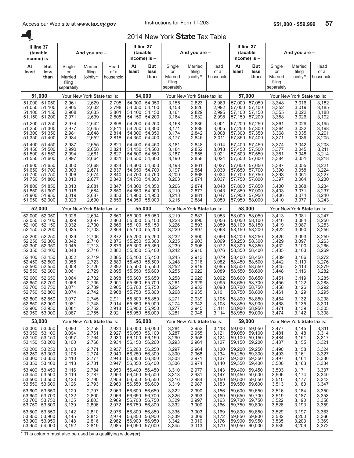A.

## 2014 New York **State** Tax Table

| If line 37<br>(taxable<br>income) is - |                                                           |                                                 | And you are -                    |                                  |                                      | If line 37<br>(taxable<br>income) is $-$                  |                                                 | And you are -                    |                                  |                                      | If line 37<br>(taxable<br>income) is -                    |                                                 | And you are -                    |                                  |
|----------------------------------------|-----------------------------------------------------------|-------------------------------------------------|----------------------------------|----------------------------------|--------------------------------------|-----------------------------------------------------------|-------------------------------------------------|----------------------------------|----------------------------------|--------------------------------------|-----------------------------------------------------------|-------------------------------------------------|----------------------------------|----------------------------------|
| At<br>least                            | <b>But</b><br>less<br>than                                | Single<br>or<br>Married<br>filing<br>separately | Married<br>filing<br>jointly*    | Head<br>of a<br>household        | At<br>least                          | But<br>less<br>than                                       | Single<br>or<br>Married<br>filing<br>separately | Married<br>filing<br>jointly*    | Head<br>of a<br>household        | At<br>least                          | But<br>less<br>than                                       | Single<br>or<br>Married<br>filing<br>separately | Married<br>filing<br>jointly*    | Head<br>of a<br>household        |
|                                        | 51,000                                                    |                                                 | Your New York State tax is:      |                                  |                                      | 54,000                                                    |                                                 | Your New York State tax is:      |                                  | 57,000                               |                                                           |                                                 | Your New York State tax is:      |                                  |
| 51.000                                 | 51,050                                                    | 2,961                                           | 2,629                            | 2,795                            | 54,000                               | 54,050                                                    | 3,155                                           | 2,823                            | 2,989                            | 57,000                               | 57,050                                                    | 3,348                                           | 3,016                            | 3,182                            |
| 51.050                                 | 51,100                                                    | 2,965                                           | 2,632                            | 2,798                            | 54,050                               | 54,100                                                    | 3,158                                           | 2,826                            | 2,992                            | 57,050                               | 57.100                                                    | 3,352                                           | 3,019                            | 3,185                            |
| 51,100                                 | 51,150                                                    | 2,968                                           | 2,635                            | 2,801                            | 54.100                               | 54,150                                                    | 3.161                                           | 2,829                            | 2,995                            | 57,100                               | 57,150                                                    | 3,355                                           | 3,022                            | 3,188                            |
| 51,150                                 | 51,200                                                    | 2,971                                           | 2,639                            | 2,805                            | 54,150                               | 54,200                                                    | 3,164                                           | 2,832                            | 2,998                            | 57,150                               | 57,200                                                    | 3,358                                           | 3,026                            | 3,192                            |
| 51.200                                 | 51,250                                                    | 2,974                                           | 2,642                            | 2,808                            | 54,200                               | 54,250                                                    | 3,168                                           | 2,835                            | 3,001                            | 57,200                               | 57,250                                                    | 3,361                                           | 3,029                            | 3,195                            |
| 51,250                                 | 51,300                                                    | 2,977                                           | 2,645                            | 2,811                            | 54,250                               | 54,300                                                    | 3,171                                           | 2,839                            | 3,005                            | 57,250                               | 57,300                                                    | 3,364                                           | 3,032                            | 3,198                            |
| 51,300                                 | 51,350                                                    | 2,981                                           | 2,648                            | 2,814                            | 54,300                               | 54,350                                                    | 3,174                                           | 2,842                            | 3,008                            | 57,300                               | 57,350                                                    | 3,368                                           | 3,035                            | 3,201                            |
| 51,350                                 | 51,400                                                    | 2,984                                           | 2,652                            | 2,818                            | 54,350                               | 54,400                                                    | 3,177                                           | 2,845                            | 3,011                            | 57,350                               | 57,400                                                    | 3,371                                           | 3,039                            | 3,205                            |
| 51,400                                 | 51,450                                                    | 2,987                                           | 2,655                            | 2,821                            | 54,400                               | 54,450                                                    | 3,181                                           | 2,848                            | 3,014                            | 57,400                               | 57,450                                                    | 3,374                                           | 3,042                            | 3,208                            |
| 51,450                                 | 51,500                                                    | 2,990                                           | 2,658                            | 2,824                            | 54,450                               | 54,500                                                    | 3,184                                           | 2,852                            | 3,018                            | 57,450                               | 57,500                                                    | 3,377                                           | 3,045                            | 3,211                            |
| 51,500                                 | 51,550                                                    | 2,994                                           | 2,661                            | 2,827                            | 54,500                               | 54,550                                                    | 3,187                                           | 2,855                            | 3,021                            | 57,500                               | 57,550                                                    | 3,381                                           | 3,048                            | 3,214                            |
| 51,550                                 | 51,600                                                    | 2,997                                           | 2,664                            | 2,831                            | 54,550                               | 54,600                                                    | 3,190                                           | 2,858                            | 3,024                            | 57,550                               | 57,600                                                    | 3,384                                           | 3,051                            | 3,218                            |
| 51.600                                 | 51,650                                                    | 3,000                                           | 2,668                            | 2,834                            | 54,600                               | 54,650                                                    | 3,193                                           | 2,861                            | 3,027                            | 57,600                               | 57,650                                                    | 3,387                                           | 3,055                            | 3,221                            |
| 51,650                                 | 51,700                                                    | 3,003                                           | 2,671                            | 2,837                            | 54,650                               | 54,700                                                    | 3,197                                           | 2,864                            | 3,030                            | 57.650                               | 57.700                                                    | 3,390                                           | 3,058                            | 3,224                            |
| 51,700                                 | 51,750                                                    | 3,006                                           | 2,674                            | 2,840                            | 54,700                               | 54,750                                                    | 3,200                                           | 2,868                            | 3,034                            | 57,700                               | 57,750                                                    | 3,393                                           | 3,061                            | 3,227                            |
| 51,750                                 | 51,800                                                    | 3,010                                           | 2,677                            | 2,843                            | 54,750                               | 54,800                                                    | 3,203                                           | 2,871                            | 3,037                            | 57,750                               | 57,800                                                    | 3,397                                           | 3,064                            | 3,230                            |
| 51,800                                 | 51,850                                                    | 3,013                                           | 2,681                            | 2,847                            | 54,800                               | 54,850                                                    | 3,206                                           | 2,874                            | 3,040                            | 57,800                               | 57,850                                                    | 3,400                                           | 3,068                            | 3,234                            |
| 51,850                                 | 51.900                                                    | 3,016                                           | 2,684                            | 2,850                            | 54.850                               | 54.900                                                    | 3,210                                           | 2,877                            | 3,043                            | 57,850                               | 57,900                                                    | 3,403                                           | 3,071                            | 3,237                            |
| 51,900                                 | 51,950                                                    | 3,019                                           | 2,687                            | 2,853                            | 54,900                               | 54,950                                                    | 3,213                                           | 2,881                            | 3,047                            | 57,900                               | 57.950                                                    | 3,406                                           | 3,074                            | 3,240                            |
| 51,950                                 | 52,000                                                    | 3,023                                           | 2,690                            | 2,856                            | 54,950                               | 55,000                                                    | 3,216                                           | 2,884                            | 3,050                            | 57,950                               | 58,000                                                    | 3,410                                           | 3,077                            | 3,243                            |
|                                        | 52,000                                                    |                                                 | Your New York State tax is:      |                                  |                                      | 55,000                                                    |                                                 | Your New York State tax is:      |                                  | 58,000                               |                                                           |                                                 | Your New York State tax is:      |                                  |
| 52,000                                 | 52,050                                                    | 3,026                                           | 2,694                            | 2,860                            | 55,000                               | 55,050                                                    | 3,219                                           | 2,887                            | 3,053                            | 58,000                               | 58,050                                                    | 3,413                                           | 3,081                            | 3,247                            |
| 52,050                                 | 52,100                                                    | 3,029                                           | 2,697                            | 2,863                            | 55,050                               | 55,100                                                    | 3,223                                           | 2,890                            | 3,056                            | 58,050                               | 58,100                                                    | 3,416                                           | 3,084                            | 3,250                            |
| 52,100                                 | 52,150                                                    | 3,032                                           | 2,700                            | 2,866                            | 55,100                               | 55,150                                                    | 3,226                                           | 2,893                            | 3,059                            | 58,100                               | 58,150                                                    | 3,419                                           | 3,087                            | 3,253                            |
| 52,150                                 | 52,200                                                    | 3,035                                           | 2,703                            | 2,869                            | 55,150                               | 55,200                                                    | 3,229                                           | 2,897                            | 3,063                            | 58,150                               | 58,200                                                    | 3,422                                           | 3,090                            | 3,256                            |
| 52,200                                 | 52,250                                                    | 3,039                                           | 2,706                            | 2,872                            | 55,200                               | 55,250                                                    | 3,232                                           | 2,900                            | 3,066                            | 58,200                               | 58,250                                                    | 3,426                                           | 3,093                            | 3,259                            |
| 52,250                                 | 52,300                                                    | 3,042                                           | 2,710                            | 2,876                            | 55,250                               | 55,300                                                    | 3,235                                           | 2,903                            | 3,069                            | 58,250                               | 58,300                                                    | 3,429                                           | 3,097                            | 3,263                            |
| 52,300                                 | 52,350                                                    | 3,045                                           | 2,713                            | 2,879                            | 55,300                               | 55,350                                                    | 3,239                                           | 2,906                            | 3,072                            | 58,300                               | 58,350                                                    | 3,432                                           | 3,100                            | 3,266                            |
| 52,350                                 | 52,400                                                    | 3,048                                           | 2,716                            | 2,882                            | 55,350                               | 55,400                                                    | 3,242                                           | 2,910                            | 3,076                            | 58,350                               | 58,400                                                    | 3,435                                           | 3,103                            | 3,269                            |
| 52,400                                 | 52,450                                                    | 3,052                                           | 2,719                            | 2,885                            | 55,400                               | 55,450                                                    | 3,245                                           | 2,913                            | 3,079                            | 58,400                               | 58,450                                                    | 3,439                                           | 3,106                            | 3,272                            |
| 52,450                                 | 52,500                                                    | 3,055                                           | 2,723                            | 2,889                            | 55,450                               | 55,500                                                    | 3,248                                           | 2,916                            | 3,082                            | 58,450                               | 58,500                                                    | 3,442                                           | 3,110                            | 3,276                            |
| 52.500                                 | 52,550                                                    | 3,058                                           | 2,726                            | 2,892                            | 55.500                               | 55,550                                                    | 3,252                                           | 2,919                            | 3,085                            | 58,500                               | 58,550                                                    | 3,445                                           | 3,113                            | 3,279                            |
| 52,550                                 | 52,600                                                    | 3,061                                           | 2,729                            | 2,895                            | 55,550                               | 55,600                                                    | 3,255                                           | 2,922                            | 3,089                            | 58,550                               | 58,600                                                    | 3,448                                           | 3,116                            | 3,282                            |
| 52,600                                 | 52,650                                                    | 3,064                                           | 2,732                            | 2,898                            | 55.600                               | 55,650                                                    | 3,258                                           | 2,926                            | 3,092                            | 58.600                               | 58,650                                                    | 3,451                                           | 3,119                            | 3,285                            |
| 52.650                                 | 52,700                                                    | 3,068                                           | 2,735                            | 2,901                            | 55.650                               | 55.700                                                    | 3,261                                           | 2,929                            | 3,095                            | 58.650                               | 58,700                                                    | 3,455                                           | 3,122                            | 3,288                            |
| 52,700                                 | 52,750                                                    | 3,071                                           | 2,739                            | 2,905                            | 55.700                               | 55,750                                                    | 3,264                                           | 2,932                            | 3,098                            | 58.700                               | 58,750                                                    | 3,458                                           | 3,126                            | 3,292                            |
| 52,750                                 | 52,800                                                    | 3,074                                           | 2,742                            | 2,908                            | 55,750                               | 55,800                                                    | 3,268                                           | 2,935                            | 3,101                            | 58,750                               | 58,800                                                    | 3,461                                           | 3,129                            | 3,295                            |
| 52,800                                 | 52,850<br>52,850 52,900<br>52,900 52,950<br>52,950 53,000 | 3,077<br>3,081<br>3,084<br>3,087                | 2,745<br>2,748<br>2,752<br>2,755 | 2,911<br>2,914<br>2,918<br>2,921 | 55,800                               | 55,850<br>55,850 55,900<br>55,900 55,950<br>55,950 56,000 | 3,271<br>3,274<br>3,277<br>3,281                | 2,939<br>2,942<br>2,945<br>2,948 | 3,105<br>3,108<br>3,111<br>3,114 | 58,800                               | 58,850<br>58,850 58,900<br>58,900 58,950<br>58,950 59,000 | 3,464<br>3,468<br>3,471<br>3,474                | 3,132<br>3,135<br>3,139<br>3,142 | 3,298<br>3,301<br>3,305<br>3,308 |
|                                        | 53,000                                                    |                                                 | Your New York State tax is:      |                                  |                                      | 56,000                                                    |                                                 | Your New York State tax is:      |                                  | 59,000                               |                                                           |                                                 | Your New York State tax is:      |                                  |
| 53,050                                 | 53,000 53,050<br>53,100<br>53,100 53,150<br>53,150 53,200 | 3,090<br>3,094<br>3,097<br>3,100                | 2,758<br>2,761<br>2,764<br>2,768 | 2,924<br>2,927<br>2,930<br>2,934 | 56,000<br>56,050<br>56,100<br>56,150 | 56,050<br>56,100<br>56,150<br>56,200                      | 3,284<br>3,287<br>3,290<br>3,293                | 2,952<br>2,955<br>2,958<br>2,961 | 3,118<br>3,121<br>3,124<br>3,127 | 59,050<br>59,100<br>59,150           | 59,000 59,050<br>59,100<br>59,150<br>59,200               | 3,477<br>3,481<br>3,484<br>3,487                | 3,145<br>3,148<br>3,151<br>3,155 | 3,311<br>3,314<br>3,317<br>3,321 |
| 53,200<br>53,250                       | 53,250<br>53,300<br>53,300 53,350<br>53,350 53,400        | 3,103<br>3,106<br>3,110<br>3,113                | 2,771<br>2,774<br>2,777<br>2,781 | 2,937<br>2,940<br>2,943<br>2,947 | 56,200<br>56,250<br>56,300<br>56,350 | 56,250<br>56,300<br>56,350<br>56,400                      | 3,297<br>3,300<br>3,303<br>3,306                | 2,964<br>2,968<br>2,971<br>2,974 | 3,130<br>3,134<br>3,137<br>3,140 | 59,200<br>59,250<br>59,300<br>59,350 | 59,250<br>59,300<br>59,350<br>59,400                      | 3,490<br>3,493<br>3,497<br>3,500                | 3,158<br>3,161<br>3,164<br>3,168 | 3,324<br>3,327<br>3,330<br>3,334 |
| 53,400<br>53,450                       | 53,450<br>53,500<br>53,500 53,550<br>53,550 53,600        | 3,116<br>3,119<br>3,123<br>3,126                | 2,784<br>2,787<br>2,790<br>2,793 | 2,950<br>2,953<br>2,956<br>2,960 | 56,400<br>56,450<br>56,500<br>56,550 | 56,450<br>56,500<br>56,550<br>56,600                      | 3,310<br>3,313<br>3,316<br>3,319                | 2,977<br>2,981<br>2,984<br>2,987 | 3,143<br>3,147<br>3,150<br>3,153 | 59,400<br>59,450<br>59,500<br>59,550 | 59,450<br>59,500<br>59,550<br>59,600                      | 3,503<br>3,506<br>3,510<br>3,513                | 3,171<br>3,174<br>3,177<br>3,180 | 3,337<br>3,340<br>3,343<br>3,347 |
| 53,600                                 | 53,650                                                    | 3,129                                           | 2,797                            | 2,963                            | 56,600                               | 56,650                                                    | 3,322                                           | 2,990                            | 3,156                            | 59,600                               | 59,650                                                    | 3,516                                           | 3,184                            | 3,350                            |
| 53,650                                 | 53,700                                                    | 3,132                                           | 2,800                            | 2,966                            | 56,650                               | 56,700                                                    | 3,326                                           | 2,993                            | 3,159                            | 59,650                               | 59,700                                                    | 3,519                                           | 3,187                            | 3,353                            |
| 53,700                                 | 53,750                                                    | 3,135                                           | 2,803                            | 2,969                            | 56,700                               | 56,750                                                    | 3,329                                           | 2,997                            | 3,163                            | 59,700                               | 59,750                                                    | 3,522                                           | 3,190                            | 3,356                            |
| 53,750                                 | 53,800                                                    | 3,139                                           | 2,806                            | 2,972                            | 56,750                               | 56,800                                                    | 3,332                                           | 3,000                            | 3,166                            | 59,750                               | 59,800                                                    | 3,526                                           | 3,193                            | 3,359                            |
| 53,800<br>53,850                       | 53,850<br>53,900<br>53,900 53,950<br>53,950 54,000        | 3,142<br>3,145<br>3,148<br>3,152                | 2,810<br>2,813<br>2,816<br>2,819 | 2,976<br>2,979<br>2,982<br>2,985 | 56,800<br>56,850<br>56,900           | 56,850<br>56,900<br>56,950<br>56,950 57,000               | 3,335<br>3,339<br>3,342<br>3,345                | 3,003<br>3,006<br>3,010<br>3,013 | 3,169<br>3,172<br>3,176<br>3,179 | 59,800<br>59,850<br>59,900           | 59,850<br>59,900<br>59,950<br>59,950 60,000               | 3,529<br>3,532<br>3,535<br>3,539                | 3,197<br>3,200<br>3,203<br>3,206 | 3,363<br>3,366<br>3,369<br>3,372 |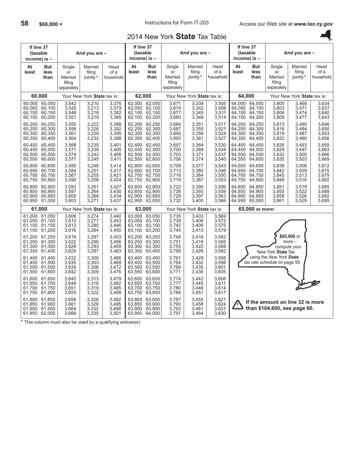Ų

## 2014 New York **State** Tax Table

| If line 37<br>(taxable<br>income) is - |                                             |                                                 | And you are -                    |                                  | If line 37<br>(taxable<br>income) is - |                                                    |                                                 | And you are -                    |                                  | If line 37<br>income) is -                                | (taxable                             |                                                                  | And you are -                    |                                  |
|----------------------------------------|---------------------------------------------|-------------------------------------------------|----------------------------------|----------------------------------|----------------------------------------|----------------------------------------------------|-------------------------------------------------|----------------------------------|----------------------------------|-----------------------------------------------------------|--------------------------------------|------------------------------------------------------------------|----------------------------------|----------------------------------|
| At<br>least                            | <b>But</b><br>less<br>than                  | Single<br>or<br>Married<br>filing<br>separately | Married<br>filing<br>jointly*    | Head<br>of a<br>household        | At<br>least                            | <b>But</b><br>less<br>than                         | Single<br>or<br>Married<br>filing<br>separately | Married<br>filing<br>jointly*    | Head<br>of a<br>household        | At<br>least                                               | <b>But</b><br>less<br>than           | Single<br>or<br>Married<br>filing<br>separately                  | Married<br>filing<br>jointly*    | Head<br>of a<br>household        |
| 60,000                                 |                                             |                                                 | Your New York State tax is:      |                                  | 62,000                                 |                                                    |                                                 | Your New York State tax is:      |                                  | 64,000                                                    |                                      |                                                                  | Your New York State tax is:      |                                  |
| 60,050<br>60,100<br>60,150             | 60,000 60,050<br>60,100<br>60,150<br>60,200 | 3,542<br>3,545<br>3,548<br>3,551                | 3,210<br>3,213<br>3,216<br>3,219 | 3,376<br>3,379<br>3,382<br>3,385 | 62,100<br>62,150                       | 62,000 62,050<br>62,050 62,100<br>62,150<br>62,200 | 3,671<br>3,674<br>3,677<br>3,680                | 3,339<br>3,342<br>3,345<br>3,348 | 3,505<br>3,508<br>3,511<br>3,514 | 64.000<br>64,050<br>64,100<br>64,150                      | 64,050<br>64,100<br>64,150<br>64,200 | 3,800<br>3,803<br>3,806<br>3,809                                 | 3,468<br>3,471<br>3,474<br>3,477 | 3,634<br>3,637<br>3,640<br>3,643 |
| 60.200<br>60,250<br>60,300<br>60,350   | 60.250<br>60,300<br>60,350<br>60,400        | 3,555<br>3,558<br>3,561<br>3,564                | 3,222<br>3,226<br>3,229<br>3,232 | 3,388<br>3,392<br>3,395<br>3,398 | 62.200<br>62,250<br>62,300<br>62,350   | 62,250<br>62,300<br>62,350<br>62,400               | 3,684<br>3,687<br>3,690<br>3,693                | 3,351<br>3,355<br>3,358<br>3,361 | 3,517<br>3,521<br>3,524<br>3,527 | 64,200<br>64,250<br>64,300<br>64,350                      | 64.250<br>64,300<br>64,350<br>64,400 | 3,813<br>3,816<br>3,819<br>3,822                                 | 3,480<br>3,484<br>3,487<br>3,490 | 3,646<br>3,650<br>3,653<br>3,656 |
| 60,400<br>60,450<br>60.500<br>60,550   | 60,450<br>60,500<br>60.550<br>60,600        | 3,568<br>3,571<br>3,574<br>3,577                | 3,235<br>3,239<br>3,242<br>3,245 | 3,401<br>3,405<br>3,408<br>3,411 | 62,400<br>62,450<br>62.500<br>62,550   | 62,450<br>62,500<br>62,550<br>62,600               | 3,697<br>3,700<br>3,703<br>3,706                | 3,364<br>3,368<br>3,371<br>3,374 | 3,530<br>3,534<br>3,537<br>3,540 | 64.400<br>64,450<br>64.500<br>64,550                      | 64.450<br>64.500<br>64.550<br>64,600 | 3,826<br>3,829<br>3,832<br>3,835                                 | 3,493<br>3,497<br>3,500<br>3,503 | 3,659<br>3,663<br>3,666<br>3,669 |
| 60,600<br>60,650<br>60,700<br>60,750   | 60,650<br>60,700<br>60,750<br>60,800        | 3,580<br>3,584<br>3,587<br>3,590                | 3,248<br>3,251<br>3,255<br>3,258 | 3,414<br>3,417<br>3,421<br>3,424 | 62,600<br>62,650<br>62,700<br>62,750   | 62,650<br>62,700<br>62,750<br>62,800               | 3,709<br>3,713<br>3,716<br>3,719                | 3,377<br>3,380<br>3,384<br>3,387 | 3,543<br>3,546<br>3,550<br>3,553 | 64,600<br>64,650<br>64,700<br>64,750                      | 64,650<br>64,700<br>64,750<br>64,800 | 3,838<br>3,842<br>3,845<br>3,848                                 | 3,506<br>3,509<br>3,513<br>3,516 | 3,672<br>3,675<br>3,679<br>3,682 |
| 60.800<br>60.850<br>60,900<br>60,950   | 60,850<br>60,900<br>60,950<br>61,000        | 3,593<br>3,597<br>3,600<br>3,603                | 3,261<br>3,264<br>3,268<br>3,271 | 3,427<br>3,430<br>3,434<br>3,437 | 62.800<br>62.850<br>62,950 63,000      | 62.850<br>62,900<br>62,900 62,950                  | 3,722<br>3,726<br>3,729<br>3,732                | 3,390<br>3,393<br>3,397<br>3,400 | 3,556<br>3,559<br>3,563<br>3,566 | 64.800<br>64.850<br>64.900<br>64,950                      | 64.850<br>64,900<br>64,950<br>65,000 | 3,851<br>3,855<br>3,858<br>3,861                                 | 3,519<br>3,522<br>3,526<br>3,529 | 3,685<br>3,688<br>3,692<br>3,695 |
| 61,000                                 |                                             |                                                 | Your New York State tax is:      |                                  | 63,000                                 |                                                    |                                                 | Your New York State tax is:      |                                  |                                                           | 65,000 or more:                      |                                                                  |                                  |                                  |
| 61.000<br>61,050<br>61.100<br>61,150   | 61,050<br>61,100<br>61,150<br>61,200        | 3.606<br>3,610<br>3,613<br>3,616                | 3,274<br>3,277<br>3,280<br>3,284 | 3.440<br>3,443<br>3,446<br>3,450 | 63,050<br>63,100<br>63,150             | 63.000 63.050<br>63,100<br>63,150<br>63,200        | 3,735<br>3,739<br>3,742<br>3,745                | 3.403<br>3,406<br>3,409<br>3,413 | 3,569<br>3,572<br>3,575<br>3,579 |                                                           |                                      |                                                                  |                                  |                                  |
| 61,200<br>61,250<br>61,300<br>61,350   | 61,250<br>61,300<br>61,350<br>61,400        | 3,619<br>3,622<br>3,626<br>3,629                | 3,287<br>3,290<br>3,293<br>3,297 | 3,453<br>3,456<br>3,459<br>3,463 | 63,200<br>63,250<br>63,300<br>63,350   | 63,250<br>63,300<br>63,350<br>63,400               | 3,748<br>3,751<br>3,755<br>3,758                | 3,416<br>3,419<br>3,422<br>3,426 | 3,582<br>3,585<br>3,588<br>3,592 |                                                           |                                      | compute your<br>New York State Tax                               | \$65,000 or<br>$more -$          |                                  |
| 61.400<br>61,450<br>61.500<br>61,550   | 61,450<br>61,500<br>61,550<br>61,600        | 3,632<br>3,635<br>3,639<br>3,642                | 3,300<br>3,303<br>3,306<br>3,309 | 3,466<br>3,469<br>3,472<br>3,476 | 63,400<br>63,450<br>63.500<br>63,550   | 63,450<br>63,500<br>63,550<br>63,600               | 3,761<br>3,764<br>3,768<br>3,771                | 3,429<br>3,432<br>3,435<br>3,438 | 3,595<br>3,598<br>3,601<br>3,605 | using the New York State<br>tax rate schedule on page 59. |                                      |                                                                  |                                  |                                  |
| 61.600<br>61,650<br>61,700<br>61,750   | 61,650<br>61,700<br>61,750<br>61,800        | 3,645<br>3,648<br>3,651<br>3,655                | 3.313<br>3,316<br>3,319<br>3,322 | 3,479<br>3,482<br>3,485<br>3,488 | 63.600<br>63,650<br>63,700<br>63,750   | 63.650<br>63,700<br>63,750<br>63,800               | 3,774<br>3,777<br>3,780<br>3,784                | 3.442<br>3,445<br>3,448<br>3,451 | 3.608<br>3,611<br>3,614<br>3,617 |                                                           |                                      |                                                                  |                                  |                                  |
| 61,800<br>61.850<br>61,900             | 61,850<br>61,900<br>61,950<br>61,950 62,000 | 3,658<br>3,661<br>3,664<br>3,668                | 3,326<br>3,329<br>3,332<br>3,335 | 3,492<br>3,495<br>3,498<br>3,501 | 63,800<br>63,850                       | 63,850<br>63,900<br>63,900 63,950<br>63,950 64,000 | 3,787<br>3,790<br>3,793<br>3,797                | 3,455<br>3,458<br>3,461<br>3,464 | 3,621<br>3,624<br>3,627<br>3,630 |                                                           |                                      | If the amount on line 32 is more<br>than \$104,600, see page 60. |                                  |                                  |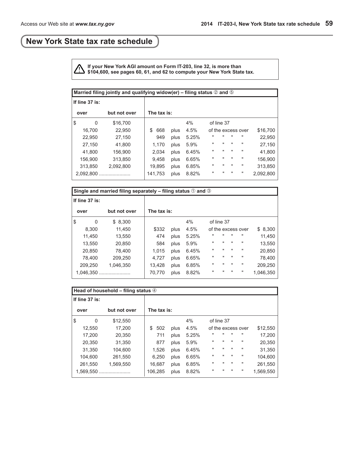## <span id="page-58-0"></span>**New York State tax rate schedule**

**If your New York AGI amount on Form IT-203, line 32, is more than \$104,600, see pages 60, 61, and 62 to compute your New York State tax.**

| Married filing jointly and qualifying widow(er) – filing status $\oslash$ and $\odot$ |              |             |      |       |              |                |              |                    |           |
|---------------------------------------------------------------------------------------|--------------|-------------|------|-------|--------------|----------------|--------------|--------------------|-----------|
| If line 37 is:                                                                        |              |             |      |       |              |                |              |                    |           |
| over                                                                                  | but not over | The tax is: |      |       |              |                |              |                    |           |
| \$<br>0                                                                               | \$16,700     |             |      | 4%    |              | of line 37     |              |                    |           |
| 16,700                                                                                | 22,950       | 668<br>\$   | plus | 4.5%  |              |                |              | of the excess over | \$16,700  |
| 22,950                                                                                | 27,150       | 949         | plus | 5.25% | "            | $\blacksquare$ | $\mathbf{u}$ | $\mathbf{H}$       | 22,950    |
| 27.150                                                                                | 41.800       | 1,170       | plus | 5.9%  | $\mathbf{H}$ | $\mathbf{H}$   | $\mathbf{H}$ | $\mathbf{H}$       | 27.150    |
| 41.800                                                                                | 156,900      | 2,034       | plus | 6.45% | $\mathbf{H}$ | $\mathbf{H}$   | $\mathbf{H}$ | $\mathbf{H}$       | 41,800    |
| 156.900                                                                               | 313.850      | 9.458       | plus | 6.65% | $\mathbf{H}$ | $\mathbf{H}$   | $\mathbf{H}$ | $\pmb{\mathsf{H}}$ | 156.900   |
| 313,850                                                                               | 2,092,800    | 19.895      | plus | 6.85% | $\mathbf{H}$ | $\mathbf{H}$   | $\mathbf{H}$ | $\mathbf{H}$       | 313.850   |
| 2,092,800                                                                             |              | 141,753     | plus | 8.82% | $\mathbf{H}$ | $\blacksquare$ | $\mathbf{u}$ | п                  | 2,092,800 |

|                      | Single and married filing separately – filing status $\odot$ and $\odot$ |             |        |      |       |              |              |                |                    |           |
|----------------------|--------------------------------------------------------------------------|-------------|--------|------|-------|--------------|--------------|----------------|--------------------|-----------|
| If line $37$ is:     |                                                                          |             |        |      |       |              |              |                |                    |           |
| but not over<br>over |                                                                          | The tax is: |        |      |       |              |              |                |                    |           |
| \$                   | 0                                                                        | \$8,300     |        |      | 4%    |              | of line 37   |                |                    |           |
|                      | 8.300                                                                    | 11.450      | \$332  | plus | 4.5%  |              |              |                | of the excess over | \$8,300   |
|                      | 11,450                                                                   | 13.550      | 474    | plus | 5.25% | $\mathbf{H}$ | $\mathbf{H}$ | $\mathbf{H}$   | $\mathbf{H}$       | 11.450    |
|                      | 13.550                                                                   | 20.850      | 584    | plus | 5.9%  | $\mathbf{H}$ |              | $\mathbf{u}$   | $\mathbf{H}$       | 13,550    |
|                      | 20.850                                                                   | 78.400      | 1.015  | plus | 6.45% |              |              | $\mathbf{H}$   | $\mathbf{H}$       | 20,850    |
|                      | 78.400                                                                   | 209,250     | 4.727  | plus | 6.65% | $\mathbf{H}$ | $\mathbf{u}$ | $\mathbf{u}$   | $\mathbf{H}$       | 78,400    |
|                      | 209.250                                                                  | 1.046.350   | 13,428 | plus | 6.85% | $\mathbf{H}$ | $\mathbf{u}$ | $\mathbf{u}$   | $\mathbf{H}$       | 209,250   |
|                      | 1,046,350                                                                |             | 70,770 | plus | 8.82% | $\mathbf{H}$ | $\mathbf{u}$ | $\blacksquare$ | п                  | 1.046.350 |

| Head of household – filing status $\circled{a}$ |              |    |             |      |       |              |                |              |                    |           |
|-------------------------------------------------|--------------|----|-------------|------|-------|--------------|----------------|--------------|--------------------|-----------|
| If line $37$ is:                                |              |    |             |      |       |              |                |              |                    |           |
| over                                            | but not over |    | The tax is: |      |       |              |                |              |                    |           |
| \$<br>0                                         | \$12,550     |    |             |      | 4%    |              | of line 37     |              |                    |           |
| 12,550                                          | 17.200       | \$ | 502         | plus | 4.5%  |              |                |              | of the excess over | \$12,550  |
| 17,200                                          | 20,350       |    | 711         | plus | 5.25% | "            |                | $\mathbf{u}$ | $\mathbf{u}$       | 17,200    |
| 20,350                                          | 31,350       |    | 877         | plus | 5.9%  | п            | $\mathbf{H}$   | $\mathbf{H}$ | $\pmb{\mathsf{H}}$ | 20,350    |
| 31,350                                          | 104,600      |    | 1,526       | plus | 6.45% | п            | $\mathbf{H}$   | $\mathbf{H}$ | $\pmb{\mathsf{H}}$ | 31,350    |
| 104,600                                         | 261,550      |    | 6,250       | plus | 6.65% | $\mathbf{H}$ | $\mathbf{H}$   | $\mathbf{H}$ | $\pmb{\mathsf{H}}$ | 104,600   |
| 261,550                                         | 1.569.550    |    | 16,687      | plus | 6.85% | $\mathbf{H}$ | $\mathbf{H}$   | $\mathbf{H}$ | $\pmb{\mathsf{H}}$ | 261,550   |
| 1.569.550                                       |              |    | 106.285     | plus | 8.82% | $\mathbf{H}$ | $\blacksquare$ | $\mathbf{u}$ | п                  | 1.569.550 |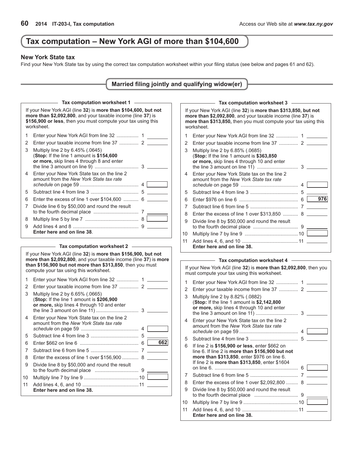## <span id="page-59-0"></span>**Tax computation – New York AGI of more than \$104,600**

### **New York State tax**

Find your New York State tax by using the correct tax computation worksheet within your filing status (see below and pages 61 and 62).

| Married filing jointly and qualifying widow(er) |  |  |  |  |  |  |  |
|-------------------------------------------------|--|--|--|--|--|--|--|
|-------------------------------------------------|--|--|--|--|--|--|--|

|    | Tax computation worksheet 1                                                                                                                                                                                 |  |
|----|-------------------------------------------------------------------------------------------------------------------------------------------------------------------------------------------------------------|--|
|    | If your New York AGI (line 32) is more than \$104,600, but not<br>more than \$2,092,800, and your taxable income (line 37) is<br>\$156,900 or less, then you must compute your tax using this<br>worksheet. |  |
| 1  |                                                                                                                                                                                                             |  |
| 2  |                                                                                                                                                                                                             |  |
| 3  | Multiply line 2 by 6.45% (.0645)<br>(Stop: If the line 1 amount is \$154,600<br>or more, skip lines 4 through 8 and enter                                                                                   |  |
| 4  | Enter your New York State tax on the line 2<br>amount from the New York State tax rate<br>4                                                                                                                 |  |
| 5. | 5                                                                                                                                                                                                           |  |
| 6  |                                                                                                                                                                                                             |  |
| 7  | Divide line 6 by \$50,000 and round the result<br>7                                                                                                                                                         |  |
| 8  | 8                                                                                                                                                                                                           |  |
| 9  | 9<br>Enter here and on line 38.                                                                                                                                                                             |  |

#### **Tax computation worksheet 2**

|    | If your New York AGI (line 32) is more than \$156,900, but not<br>more than \$2,092,800, and your taxable income (line 37) is more<br>than \$156,900 but not more than \$313,850, then you must<br>compute your tax using this worksheet. |
|----|-------------------------------------------------------------------------------------------------------------------------------------------------------------------------------------------------------------------------------------------|
| 1  | Enter your New York AGI from line 32  1                                                                                                                                                                                                   |
| 2  | Enter your taxable income from line 37  2                                                                                                                                                                                                 |
| 3  | Multiply line 2 by 6.65% (.0665)<br>(Stop: If the line 1 amount is \$206,900<br>or more, skip lines 4 through 10 and enter                                                                                                                |
| 4  | Enter your New York State tax on the line 2<br>amount from the New York State tax rate<br>4                                                                                                                                               |
| 5. |                                                                                                                                                                                                                                           |
| 6  | 662<br>6                                                                                                                                                                                                                                  |
| 7  |                                                                                                                                                                                                                                           |
| 8  |                                                                                                                                                                                                                                           |
| 9  | Divide line 8 by \$50,000 and round the result                                                                                                                                                                                            |
| 10 |                                                                                                                                                                                                                                           |
| 11 | Enter here and on line 38.                                                                                                                                                                                                                |

|    | Tax computation worksheet 3                                                                                                                                                                                   |   |          |  |
|----|---------------------------------------------------------------------------------------------------------------------------------------------------------------------------------------------------------------|---|----------|--|
|    | If your New York AGI (line 32) is more than \$313,850, but not<br>more than \$2,092,800, and your taxable income (line 37) is<br>more than \$313,850, then you must compute your tax using this<br>worksheet. |   |          |  |
| 1  |                                                                                                                                                                                                               |   |          |  |
| 2  |                                                                                                                                                                                                               |   |          |  |
| 3  | Multiply line 2 by 6.85% (.0685)<br>(Stop: If the line 1 amount is \$363,850<br>or more, skip lines 4 through 10 and enter                                                                                    |   |          |  |
| 4  | Enter your New York State tax on the line 2<br>amount from the New York State tax rate                                                                                                                        | 4 |          |  |
| 5  |                                                                                                                                                                                                               |   |          |  |
| 6  |                                                                                                                                                                                                               |   | 976<br>6 |  |
| 7  |                                                                                                                                                                                                               |   |          |  |
| 8  | Enter the excess of line 1 over \$313,850  8                                                                                                                                                                  |   |          |  |
| 9  | Divide line 8 by \$50,000 and round the result                                                                                                                                                                |   |          |  |
| 10 |                                                                                                                                                                                                               |   |          |  |
| 11 | Enter here and on line 38.                                                                                                                                                                                    |   |          |  |

### **Tax computation worksheet 4**

|    | $\alpha$ computation worksheet $\tau$                                                                                                                                                                       |
|----|-------------------------------------------------------------------------------------------------------------------------------------------------------------------------------------------------------------|
|    | If your New York AGI (line 32) is more than \$2,092,800, then you<br>must compute your tax using this worksheet.                                                                                            |
| 1  |                                                                                                                                                                                                             |
| 2  |                                                                                                                                                                                                             |
| 3  | Multiply line 2 by 8.82% (.0882)<br>(Stop: If the line 1 amount is \$2,142,800<br>or more, skip lines 4 through 10 and enter                                                                                |
| 4  | Enter your New York State tax on the line 2<br>amount from the New York State tax rate                                                                                                                      |
| 5  |                                                                                                                                                                                                             |
| 6  | If line 2 is \$156,900 or less, enter \$662 on<br>line 6. If line 2 is more than \$156,900 but not<br>more than \$313,850, enter \$976 on line 6.<br>If line 2 is <b>more than \$313,850</b> , enter \$1604 |
|    |                                                                                                                                                                                                             |
| 7  | 7                                                                                                                                                                                                           |
| 8  | Enter the excess of line 1 over \$2,092,800  8                                                                                                                                                              |
| 9  | Divide line 8 by \$50,000 and round the result                                                                                                                                                              |
| 10 |                                                                                                                                                                                                             |
| 11 | Enter here and on line 38.                                                                                                                                                                                  |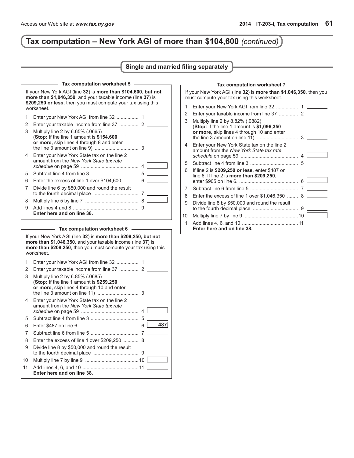# **Tax computation – New York AGI of more than \$104,600** *(continued)*

### **Single and married filing separately**

|    | Tax computation worksheet 5                                                                                                                                                                                                                  |                |     |
|----|----------------------------------------------------------------------------------------------------------------------------------------------------------------------------------------------------------------------------------------------|----------------|-----|
|    | If your New York AGI (line 32) is more than \$104,600, but not<br>more than \$1,046,350, and your taxable income (line 37) is<br>\$209,250 or less, then you must compute your tax using this<br>worksheet.                                  |                |     |
| 1  | Enter your New York AGI from line 32                                                                                                                                                                                                         | 1              |     |
| 2  |                                                                                                                                                                                                                                              |                |     |
| 3  | Multiply line 2 by 6.65% (.0665)<br>(Stop: If the line 1 amount is \$154,600<br>or more, skip lines 4 through 8 and enter                                                                                                                    | 3              |     |
| 4  | Enter your New York State tax on the line 2<br>amount from the New York State tax rate                                                                                                                                                       | $\overline{4}$ |     |
| 5  |                                                                                                                                                                                                                                              |                |     |
| 6  | Enter the excess of line 1 over \$104,600                                                                                                                                                                                                    | 6              |     |
| 7  | Divide line 6 by \$50,000 and round the result                                                                                                                                                                                               | 7              |     |
| 8  |                                                                                                                                                                                                                                              | 8              |     |
| 9  | Enter here and on line 38.                                                                                                                                                                                                                   |                |     |
|    | Tax computation worksheet 6<br>If your New York AGI (line 32) is more than \$209,250, but not<br>more than \$1,046,350, and your taxable income (line 37) is<br>more than \$209,250, then you must compute your tax using this<br>worksheet. |                |     |
| 1  | Enter your New York AGI from line 32                                                                                                                                                                                                         | $\mathbf{1}$   |     |
| 2  |                                                                                                                                                                                                                                              |                |     |
| 3  | Multiply line 2 by 6.85% (.0685)<br>(Stop: If the line 1 amount is \$259,250<br>or more, skip lines 4 through 10 and enter                                                                                                                   | 3              |     |
| 4  | Enter your New York State tax on the line 2<br>amount from the New York State tax rate                                                                                                                                                       |                |     |
| 5  |                                                                                                                                                                                                                                              | 5              |     |
| 6  |                                                                                                                                                                                                                                              | 6              | 487 |
| 7  |                                                                                                                                                                                                                                              |                |     |
| 8  | Enter the excess of line 1 over \$209,250                                                                                                                                                                                                    | 8              |     |
| 9  | Divide line 8 by \$50,000 and round the result                                                                                                                                                                                               |                |     |
| 10 |                                                                                                                                                                                                                                              |                |     |
| 11 | Enter here and on line 38.                                                                                                                                                                                                                   |                |     |

|    | Tax computation worksheet 7 -                                                                                                 |
|----|-------------------------------------------------------------------------------------------------------------------------------|
|    | If your New York AGI (line 32) is more than \$1,046,350, then you<br>must compute your tax using this worksheet.              |
| 1  |                                                                                                                               |
| 2  |                                                                                                                               |
| 3  | Multiply line 2 by 8.82% (.0882)<br>(Stop: If the line 1 amount is $$1,096,350$<br>or more, skip lines 4 through 10 and enter |
| 4  | Enter your New York State tax on the line 2<br>amount from the New York State tax rate                                        |
| 5  |                                                                                                                               |
| 6  | If line 2 is \$209,250 or less, enter \$487 on<br>line 6. If line 2 is more than \$209,250,                                   |
| 7  |                                                                                                                               |
| 8  | Enter the excess of line 1 over \$1,046,350  8                                                                                |
| 9  | Divide line 8 by \$50,000 and round the result                                                                                |
| 10 |                                                                                                                               |
| 11 | Enter here and on line 38.                                                                                                    |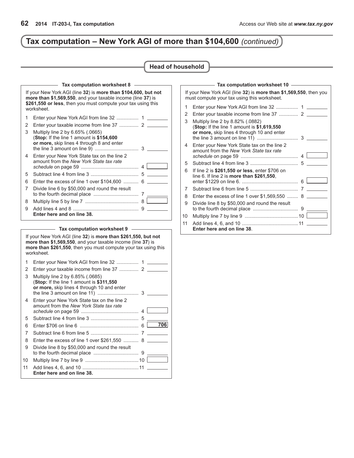# **Tax computation – New York AGI of more than \$104,600** *(continued)*

### **Head of household**

|    | Tax computation worksheet 8                                                                                                                                                                                 |   |  |
|----|-------------------------------------------------------------------------------------------------------------------------------------------------------------------------------------------------------------|---|--|
|    | If your New York AGI (line 32) is more than \$104,600, but not<br>more than \$1,569,550, and your taxable income (line 37) is<br>\$261,550 or less, then you must compute your tax using this<br>worksheet. |   |  |
| 1  | Enter your New York AGI from line 32  1                                                                                                                                                                     |   |  |
| 2  | Enter your taxable income from line 37  2                                                                                                                                                                   |   |  |
| 3  | Multiply line 2 by 6.65% (.0665)<br>(Stop: If the line 1 amount is \$154,600<br>or more, skip lines 4 through 8 and enter                                                                                   |   |  |
| 4  | Enter your New York State tax on the line 2<br>amount from the New York State tax rate                                                                                                                      |   |  |
| 5  |                                                                                                                                                                                                             |   |  |
| 6  | Enter the excess of line 1 over \$104,600                                                                                                                                                                   | 6 |  |
| 7  | Divide line 6 by \$50,000 and round the result                                                                                                                                                              |   |  |
| 8  |                                                                                                                                                                                                             | 8 |  |
| 9  |                                                                                                                                                                                                             |   |  |
|    | Enter here and on line 38.                                                                                                                                                                                  |   |  |
|    | Tax computation worksheet 9                                                                                                                                                                                 |   |  |
|    | If your New York AGI (line 32) is more than \$261,550, but not<br>more than \$1,569,550, and your taxable income (line 37) is                                                                               |   |  |
|    | more than \$261,550, then you must compute your tax using this<br>worksheet.                                                                                                                                |   |  |
| 1  |                                                                                                                                                                                                             |   |  |
| 2  |                                                                                                                                                                                                             |   |  |
| 3  | Multiply line 2 by 6.85% (.0685)<br>(Stop: If the line 1 amount is \$311,550<br>or more, skip lines 4 through 10 and enter                                                                                  |   |  |
| 4  | Enter your New York State tax on the line 2<br>amount from the New York State tax rate                                                                                                                      |   |  |
| 5  |                                                                                                                                                                                                             |   |  |
| 6  |                                                                                                                                                                                                             | 6 |  |
| 7  |                                                                                                                                                                                                             |   |  |
| 8  | Enter the excess of line 1 over \$261,550                                                                                                                                                                   | 8 |  |
| 9  | Divide line 8 by \$50,000 and round the result                                                                                                                                                              |   |  |
| 10 |                                                                                                                                                                                                             |   |  |

|    | $-$ Tax computation worksheet 10 $-$                                                                                         |
|----|------------------------------------------------------------------------------------------------------------------------------|
|    | If your New York AGI (line 32) is more than \$1,569,550, then you<br>must compute your tax using this worksheet.             |
| 1  | Enter your New York AGI from line 32  1                                                                                      |
| 2  |                                                                                                                              |
| 3  | Multiply line 2 by 8.82% (.0882)<br>(Stop: If the line 1 amount is \$1,619,550<br>or more, skip lines 4 through 10 and enter |
| 4  | Enter your New York State tax on the line 2<br>amount from the New York State tax rate<br>$4 \mid$                           |
| 5  |                                                                                                                              |
| 6  | If line 2 is \$261,550 or less, enter \$706 on<br>line $6.$ If line 2 is more than \$261,550,                                |
| 7  |                                                                                                                              |
| 8  | Enter the excess of line 1 over \$1,569,550  8                                                                               |
| 9  | Divide line 8 by \$50,000 and round the result                                                                               |
| 10 |                                                                                                                              |
| 11 | Enter here and on line 38.                                                                                                   |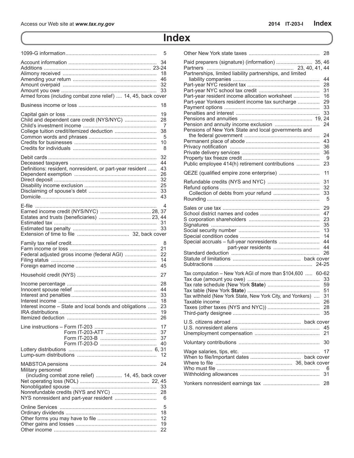# **Index**

<span id="page-62-0"></span>

|                                                                          | 5                                            |
|--------------------------------------------------------------------------|----------------------------------------------|
| Armed forces (including combat zone relief)  14, 45, back cover          | 34<br>18<br>46<br>32<br>33                   |
|                                                                          | 18                                           |
| College tuition credit/itemized deduction                                | 19<br>28<br>7<br>38<br>- 5<br>10<br>8        |
| Definitions: resident, nonresident, or part-year resident                | 32<br>44<br>43<br>26<br>32<br>25<br>33<br>43 |
|                                                                          | 4<br>31<br>33                                |
| Federal adjusted gross income (federal AGI)                              | 8<br>21<br>22<br>14<br>45                    |
|                                                                          | 27                                           |
| Interest income - State and local bonds and obligations                  | 28<br>44<br>33<br>18<br>23<br>19<br>26       |
|                                                                          | 17<br>37<br>37<br>40                         |
|                                                                          | 12                                           |
| Military personnel<br>(including combat zone relief)  14, 45, back cover | 24<br>33<br>28<br>6                          |
|                                                                          | 5<br>18<br>12<br>19<br>22                    |

|                                                                                                                                                                | 28                                           |
|----------------------------------------------------------------------------------------------------------------------------------------------------------------|----------------------------------------------|
| Paid preparers (signature) (information)  35, 46                                                                                                               |                                              |
| Partnerships, limited liability partnerships, and limited<br>Part-year resident income allocation worksheet<br>Part-year Yonkers resident income tax surcharge | 44<br>28<br>31<br>16<br>29<br>33<br>33       |
| Pensions of New York State and local governments and                                                                                                           | 24                                           |
| Public employee 414(h) retirement contributions                                                                                                                | 24<br>43<br>36<br>36<br>- 9<br>23            |
| QEZE (qualified empire zone enterprise)                                                                                                                        | 11                                           |
|                                                                                                                                                                | 31<br>32<br>33<br>5                          |
|                                                                                                                                                                | 29<br>47<br>23<br>35<br>13<br>14<br>44<br>44 |
|                                                                                                                                                                | 26                                           |
| Tax computation - New York AGI of more than \$104,600  60-62<br>Tax withheld (New York State, New York City, and Yonkers)                                      | 33<br>59<br>51<br>31<br>26<br>28<br>35       |
|                                                                                                                                                                | 45<br>21                                     |
|                                                                                                                                                                | 30                                           |
|                                                                                                                                                                | 17<br>6<br>31                                |
|                                                                                                                                                                | 28                                           |